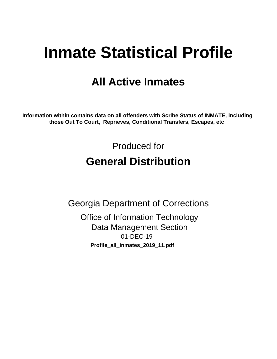# **Inmate Statistical Profile**

# **All Active Inmates**

Information within contains data on all offenders with Scribe Status of INMATE, including those Out To Court, Reprieves, Conditional Transfers, Escapes, etc

> Produced for **General Distribution**

**Georgia Department of Corrections** 

**Office of Information Technology Data Management Section** 01-DEC-19 Profile\_all\_inmates\_2019\_11.pdf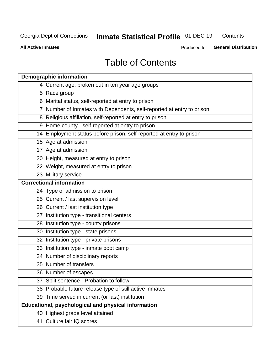#### **Inmate Statistical Profile 01-DEC-19** Contents

**All Active Inmates** 

Produced for General Distribution

# **Table of Contents**

| <b>Demographic information</b>                                        |
|-----------------------------------------------------------------------|
| 4 Current age, broken out in ten year age groups                      |
| 5 Race group                                                          |
| 6 Marital status, self-reported at entry to prison                    |
| 7 Number of Inmates with Dependents, self-reported at entry to prison |
| 8 Religious affiliation, self-reported at entry to prison             |
| 9 Home county - self-reported at entry to prison                      |
| 14 Employment status before prison, self-reported at entry to prison  |
| 15 Age at admission                                                   |
| 17 Age at admission                                                   |
| 20 Height, measured at entry to prison                                |
| 22 Weight, measured at entry to prison                                |
| 23 Military service                                                   |
| <b>Correctional information</b>                                       |
| 24 Type of admission to prison                                        |
| 25 Current / last supervision level                                   |
| 26 Current / last institution type                                    |
| 27 Institution type - transitional centers                            |
| 28 Institution type - county prisons                                  |
| 30 Institution type - state prisons                                   |
| 32 Institution type - private prisons                                 |
| 33 Institution type - inmate boot camp                                |
| 34 Number of disciplinary reports                                     |
| 35 Number of transfers                                                |
| 36 Number of escapes                                                  |
| 37 Split sentence - Probation to follow                               |
| 38 Probable future release type of still active inmates               |
| 39 Time served in current (or last) institution                       |
| Educational, psychological and physical information                   |
| 40 Highest grade level attained                                       |
| 41 Culture fair IQ scores                                             |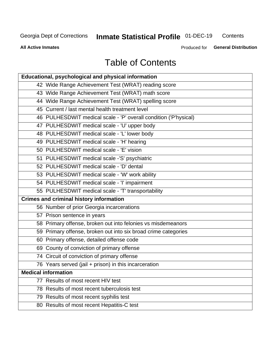# **Inmate Statistical Profile 01-DEC-19**

Contents

**All Active Inmates** 

Produced for General Distribution

# **Table of Contents**

| Educational, psychological and physical information              |
|------------------------------------------------------------------|
| 42 Wide Range Achievement Test (WRAT) reading score              |
| 43 Wide Range Achievement Test (WRAT) math score                 |
| 44 Wide Range Achievement Test (WRAT) spelling score             |
| 45 Current / last mental health treatment level                  |
| 46 PULHESDWIT medical scale - 'P' overall condition ('P'hysical) |
| 47 PULHESDWIT medical scale - 'U' upper body                     |
| 48 PULHESDWIT medical scale - 'L' lower body                     |
| 49 PULHESDWIT medical scale - 'H' hearing                        |
| 50 PULHESDWIT medical scale - 'E' vision                         |
| 51 PULHESDWIT medical scale -'S' psychiatric                     |
| 52 PULHESDWIT medical scale - 'D' dental                         |
| 53 PULHESDWIT medical scale - 'W' work ability                   |
| 54 PULHESDWIT medical scale - 'I' impairment                     |
| 55 PULHESDWIT medical scale - 'T' transportability               |
| <b>Crimes and criminal history information</b>                   |
| 56 Number of prior Georgia incarcerations                        |
| 57 Prison sentence in years                                      |
| 58 Primary offense, broken out into felonies vs misdemeanors     |
| 59 Primary offense, broken out into six broad crime categories   |
| 60 Primary offense, detailed offense code                        |
| 69 County of conviction of primary offense                       |
| 74 Circuit of conviction of primary offense                      |
| 76 Years served (jail + prison) in this incarceration            |
| <b>Medical information</b>                                       |
| 77 Results of most recent HIV test                               |
| 78 Results of most recent tuberculosis test                      |
| 79 Results of most recent syphilis test                          |
| 80 Results of most recent Hepatitis-C test                       |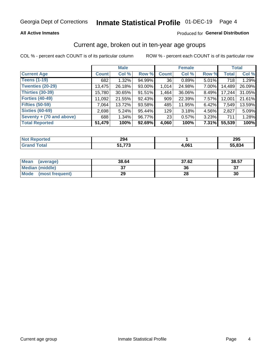# Inmate Statistical Profile 01-DEC-19 Page 4

### **All Active Inmates**

### Produced for General Distribution

### Current age, broken out in ten-year age groups

COL % - percent each COUNT is of its particular column

|                          | <b>Male</b>  |          |        | <b>Female</b> |        |       | <b>Total</b> |        |
|--------------------------|--------------|----------|--------|---------------|--------|-------|--------------|--------|
| <b>Current Age</b>       | <b>Count</b> | Col %    | Row %  | <b>Count</b>  | Col %  | Row % | <b>Total</b> | Col %  |
| <b>Teens (1-19)</b>      | 682          | 1.32%    | 94.99% | 36            | 0.89%  | 5.01% | 718          | 1.29%  |
| <b>Twenties (20-29)</b>  | 13,475       | 26.18%   | 93.00% | 1,014         | 24.98% | 7.00% | 14,489       | 26.09% |
| <b>Thirties (30-39)</b>  | 15,780       | 30.65%   | 91.51% | 1,464         | 36.06% | 8.49% | 17,244       | 31.05% |
| <b>Forties (40-49)</b>   | 11,092       | 21.55%   | 92.43% | 909           | 22.39% | 7.57% | 12,001       | 21.61% |
| <b>Fifties (50-59)</b>   | 7.064        | 13.72%   | 93.58% | 485           | 11.95% | 6.42% | 7,549        | 13.59% |
| <b>Sixties (60-69)</b>   | 2,698        | 5.24%    | 95.44% | 129           | 3.18%  | 4.56% | 2,827        | 5.09%  |
| Seventy + (70 and above) | 688          | $1.34\%$ | 96.77% | 23            | 0.57%  | 3.23% | 711          | 1.28%  |
| <b>Total Reported</b>    | 51,479       | 100%     | 92.69% | 4,060         | 100%   | 7.31% | 55,539       | 100%   |

| <b>Not Reported</b> | 294        |       | 295    |
|---------------------|------------|-------|--------|
| <b>Total</b>        | ララウ<br>. . | 1,061 | 55,834 |

| <b>Mean</b><br>(average) | 38.64         | 37.62 | 38.57 |
|--------------------------|---------------|-------|-------|
| Median (middle)          | $\sim$<br>ا پ | 36    | ^¬    |
| Mode<br>(most frequent)  | 29            | 28    | 30    |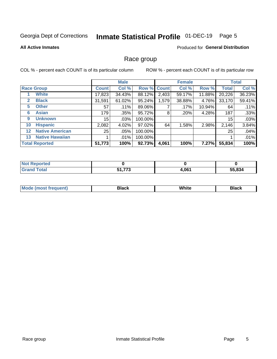#### Inmate Statistical Profile 01-DEC-19 Page 5

### **All Active Inmates**

### Produced for General Distribution

### Race group

COL % - percent each COUNT is of its particular column

|                   |                        | <b>Male</b>  |         |         | <b>Female</b> |        |        | <b>Total</b> |        |
|-------------------|------------------------|--------------|---------|---------|---------------|--------|--------|--------------|--------|
|                   | <b>Race Group</b>      | <b>Count</b> | Col %   |         | Row % Count   | Col %  | Row %  | <b>Total</b> | Col %  |
|                   | <b>White</b>           | 17,823       | 34.43%  | 88.12%  | 2,403         | 59.17% | 11.88% | 20,226       | 36.23% |
| $\mathbf{2}$      | <b>Black</b>           | 31,591       | 61.02%  | 95.24%  | 1,579         | 38.88% | 4.76%  | 33,170       | 59.41% |
| 5.                | <b>Other</b>           | 57           | .11%    | 89.06%  |               | .17%   | 10.94% | 64           | .11%   |
| 6                 | <b>Asian</b>           | 179          | .35%    | 95.72%  | 8             | .20%   | 4.28%  | 187          | .33%   |
| 9                 | <b>Unknown</b>         | 15           | .03%    | 100.00% |               |        |        | 15           | .03%   |
| 10                | <b>Hispanic</b>        | 2,082        | 4.02%   | 97.02%  | 64            | 1.58%  | 2.98%  | 2,146        | 3.84%  |
| $12 \overline{ }$ | <b>Native American</b> | 25           | $.05\%$ | 100.00% |               |        |        | 25           | .04%   |
| 13                | <b>Native Hawaiian</b> |              | .01%    | 100.00% |               |        |        |              | .01%   |
|                   | <b>Total Reported</b>  | 51,773       | 100%    | 92.73%  | 4,061         | 100%   | 7.27%  | 55,834       | 100%   |

| <b>Not Reported</b>   |                          |       |        |
|-----------------------|--------------------------|-------|--------|
| <b>Total</b><br>Gran: | ララヘ<br>C 4<br>. <u>.</u> | 4,061 | 55,834 |

| <b>Mode</b><br>---<br>most frequent) | Black | White | <b>Black</b> |
|--------------------------------------|-------|-------|--------------|
|                                      |       |       |              |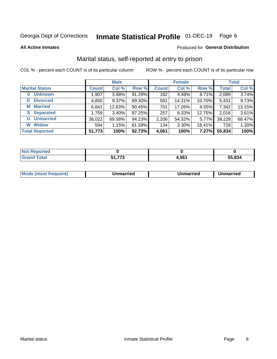#### Inmate Statistical Profile 01-DEC-19 Page 6

**All Active Inmates** 

### Produced for General Distribution

### Marital status, self-reported at entry to prison

COL % - percent each COUNT is of its particular column

|                            | <b>Male</b>  |        |        |                  | <b>Female</b> | <b>Total</b> |              |        |
|----------------------------|--------------|--------|--------|------------------|---------------|--------------|--------------|--------|
| <b>Marital Status</b>      | <b>Count</b> | Col %  | Row %  | <b>Count</b>     | Col %         | Row %        | <b>Total</b> | Col %  |
| <b>Unknown</b><br>$\bf{0}$ | 1,907        | 3.68%  | 91.29% | 182 <sub>1</sub> | 4.48%         | 8.71%        | 2,089        | 3.74%  |
| <b>Divorced</b><br>D       | 4,850        | 9.37%  | 89.30% | 581              | 14.31%        | 10.70%       | 5,431        | 9.73%  |
| <b>Married</b><br>М        | 6,641        | 12.83% | 90.45% | 701              | 17.26%        | 9.55%        | 7,342        | 13.15% |
| <b>Separated</b><br>S.     | 1,759        | 3.40%  | 87.25% | 257              | 6.33%         | 12.75%       | 2,016        | 3.61%  |
| <b>Unmarried</b><br>U      | 36,022       | 69.58% | 94.23% | 2,206            | 54.32%        | 5.77%        | 38,228       | 68.47% |
| <b>Widow</b><br>W          | 594          | 1.15%  | 81.59% | 134              | 3.30%         | 18.41%       | 728          | 1.30%  |
| <b>Total Reported</b>      | 51,773       | 100%   | 92.73% | 4,061            | 100%          | 7.27%        | 55,834       | 100%   |

| orted<br>. IN OT |     |                  |        |
|------------------|-----|------------------|--------|
| $\sim$           | --- | .06 <sub>1</sub> | 55.834 |

|--|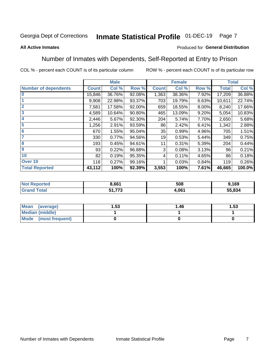#### Inmate Statistical Profile 01-DEC-19 Page 7

#### **All Active Inmates**

### Produced for General Distribution

### Number of Inmates with Dependents, Self-Reported at Entry to Prison

COL % - percent each COUNT is of its particular column

|                             |              | <b>Male</b> |        | <b>Female</b> |        |       | <b>Total</b> |        |
|-----------------------------|--------------|-------------|--------|---------------|--------|-------|--------------|--------|
| <b>Number of dependents</b> | <b>Count</b> | Col %       | Row %  | <b>Count</b>  | Col %  | Row % | <b>Total</b> | Col %  |
| l 0                         | 15,846       | 36.76%      | 92.08% | 1,363         | 38.36% | 7.92% | 17,209       | 36.88% |
|                             | 9,908        | 22.98%      | 93.37% | 703           | 19.79% | 6.63% | 10,611       | 22.74% |
| $\overline{2}$              | 7,581        | 17.58%      | 92.00% | 659           | 18.55% | 8.00% | 8,240        | 17.66% |
| $\mathbf{3}$                | 4,589        | 10.64%      | 90.80% | 465           | 13.09% | 9.20% | 5,054        | 10.83% |
| 4                           | 2,446        | 5.67%       | 92.30% | 204           | 5.74%  | 7.70% | 2,650        | 5.68%  |
| 5                           | 1,256        | 2.91%       | 93.59% | 86            | 2.42%  | 6.41% | 1,342        | 2.88%  |
| 6                           | 670          | 1.55%       | 95.04% | 35            | 0.99%  | 4.96% | 705          | 1.51%  |
| 7                           | 330          | 0.77%       | 94.56% | 19            | 0.53%  | 5.44% | 349          | 0.75%  |
| 8                           | 193          | 0.45%       | 94.61% | 11            | 0.31%  | 5.39% | 204          | 0.44%  |
| 9                           | 93           | 0.22%       | 96.88% | 3             | 0.08%  | 3.13% | 96           | 0.21%  |
| 10                          | 82           | 0.19%       | 95.35% | 4             | 0.11%  | 4.65% | 86           | 0.18%  |
| Over 10                     | 118          | 0.27%       | 99.16% |               | 0.03%  | 0.84% | 119          | 0.26%  |
| <b>Total Reported</b>       | 43,112       | 100%        | 92.39% | 3,553         | 100%   | 7.61% | 46,665       | 100.0% |

| 8.661      | 508  | .169   |
|------------|------|--------|
| . .<br>. . | .061 | 55.834 |

| Mean (average)         | l.53 | 1.46 | l.53 |
|------------------------|------|------|------|
| <b>Median (middle)</b> |      |      |      |
| Mode (most frequent)   |      |      |      |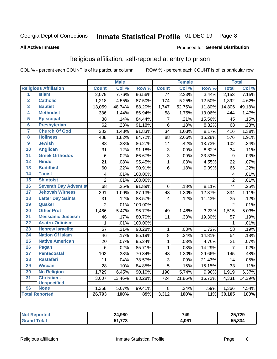#### Inmate Statistical Profile 01-DEC-19 Page 8

#### **All Active Inmates**

#### Produced for General Distribution

## Religious affiliation, self-reported at entry to prison

COL % - percent each COUNT is of its particular column

|                     |                              |                 | <b>Male</b> |         |                           | <b>Female</b> |                  |                | <b>Total</b> |
|---------------------|------------------------------|-----------------|-------------|---------|---------------------------|---------------|------------------|----------------|--------------|
|                     | <b>Religious Affiliation</b> | <b>Count</b>    | Col %       | Row %   | <b>Count</b>              | Col %         | Row <sup>%</sup> | <b>Total</b>   | Col %        |
| $\overline{1}$      | <b>Islam</b>                 | 2,079           | 7.76%       | 96.56%  | $\overline{74}$           | 2.23%         | 3.44%            | 2,153          | 7.15%        |
| $\overline{2}$      | <b>Catholic</b>              | 1,218           | 4.55%       | 87.50%  | 174                       | 5.25%         | 12.50%           | 1,392          | 4.62%        |
| 3                   | <b>Baptist</b>               | 13,059          | 48.74%      | 88.20%  | 1,747                     | 52.75%        | 11.80%           | 14,806         | 49.18%       |
| 4                   | <b>Methodist</b>             | 386             | 1.44%       | 86.94%  | 58                        | 1.75%         | 13.06%           | 444            | 1.47%        |
| 5                   | <b>Episcopal</b>             | 38              | .14%        | 84.44%  | $\overline{7}$            | .21%          | 15.56%           | 45             | .15%         |
| $\overline{\bf{6}}$ | <b>Presbyterian</b>          | 62              | .23%        | 91.18%  | $6\phantom{1}6$           | .18%          | 8.82%            | 68             | .23%         |
| 7                   | <b>Church Of God</b>         | 382             | 1.43%       | 91.83%  | 34                        | 1.03%         | 8.17%            | 416            | 1.38%        |
| 8                   | <b>Holiness</b>              | 488             | 1.82%       | 84.72%  | 88                        | 2.66%         | 15.28%           | 576            | 1.91%        |
| $\overline{9}$      | <b>Jewish</b>                | 88              | .33%        | 86.27%  | 14                        | .42%          | 13.73%           | 102            | .34%         |
| 10                  | <b>Anglican</b>              | 31              | .12%        | 91.18%  | $\ensuremath{\mathsf{3}}$ | .09%          | 8.82%            | 34             | .11%         |
| 11                  | <b>Greek Orthodox</b>        | 6               | .02%        | 66.67%  | $\overline{3}$            | .09%          | 33.33%           | $\overline{9}$ | .03%         |
| 12                  | <b>Hindu</b>                 | $\overline{21}$ | .08%        | 95.45%  | $\mathbf{1}$              | .03%          | 4.55%            | 22             | .07%         |
| 13                  | <b>Buddhist</b>              | 60              | .22%        | 90.91%  | 6                         | .18%          | 9.09%            | 66             | .22%         |
| 14                  | <b>Taoist</b>                | 4               | .01%        | 100.00% |                           |               |                  | 4              | .01%         |
| 15                  | <b>Shintoist</b>             | $\overline{2}$  | .01%        | 100.00% |                           |               |                  | $\overline{2}$ | .01%         |
| 16                  | <b>Seventh Day Adventist</b> | 68              | .25%        | 91.89%  | $6\phantom{1}$            | .18%          | 8.11%            | 74             | .25%         |
| 17                  | <b>Jehovah Witness</b>       | 291             | 1.09%       | 87.13%  | 43                        | 1.30%         | 12.87%           | 334            | 1.11%        |
| 18                  | <b>Latter Day Saints</b>     | 31              | .12%        | 88.57%  | 4                         | .12%          | 11.43%           | 35             | .12%         |
| 19                  | Quaker                       | $\overline{2}$  | .01%        | 100.00% |                           |               |                  | $\overline{2}$ | .01%         |
| 20                  | <b>Other Prot</b>            | 1,466           | 5.47%       | 96.77%  | 49                        | 1.48%         | 3.23%            | 1,515          | 5.03%        |
| 21                  | <b>Messianic Judaism</b>     | 46              | .17%        | 80.70%  | 11                        | .33%          | 19.30%           | 57             | .19%         |
| 22                  | <b>Asatru-Odinism</b>        | $\mathbf{1}$    | .01%        | 100.00% |                           |               |                  | 1              | .01%         |
| 23                  | <b>Hebrew Israelite</b>      | 57              | .21%        | 98.28%  | $\mathbf 1$               | .03%          | 1.72%            | 58             | .19%         |
| 24                  | <b>Nation Of Islam</b>       | 46              | .17%        | 85.19%  | 8                         | .24%          | 14.81%           | 54             | .18%         |
| 25                  | <b>Native American</b>       | 20              | .07%        | 95.24%  | $\mathbf{1}$              | .03%          | 4.76%            | 21             | .07%         |
| 26                  | <b>Pagan</b>                 | 6               | .02%        | 85.71%  | $\mathbf{1}$              | .03%          | 14.29%           | 7              | .02%         |
| $\overline{27}$     | <b>Pentecostal</b>           | 102             | .38%        | 70.34%  | 43                        | 1.30%         | 29.66%           | 145            | .48%         |
| 28                  | <b>Rastafari</b>             | 11              | .04%        | 78.57%  | 3                         | .09%          | 21.43%           | 14             | .05%         |
| 29                  | <b>Wiccan</b>                | 28              | .10%        | 84.85%  | 5                         | .15%          | 15.15%           | 33             | .11%         |
| 30                  | <b>No Religion</b>           | 1,729           | 6.45%       | 90.10%  | 190                       | 5.74%         | 9.90%            | 1,919          | 6.37%        |
| 31                  | Christian -                  | 3,607           | 13.46%      | 83.28%  | 724                       | 21.86%        | 16.72%           | 4,331          | 14.39%       |
|                     | <b>Unspecified</b>           |                 |             |         |                           |               |                  |                |              |
| 96                  | <b>None</b>                  | 1,358           | 5.07%       | 99.41%  | 8                         | .24%          | .59%             | 1,366          | 4.54%        |
|                     | <b>Total Reported</b>        | 26,793          | 100%        | 89%     | 3,312                     | 100%          | 11%              | 30,105         | 100%         |

| "Tet. | 24,980            | 749<br>$\sim$ | 25,729 |
|-------|-------------------|---------------|--------|
|       | ララヘ<br>CA.<br>, . | 1,061         | 55.834 |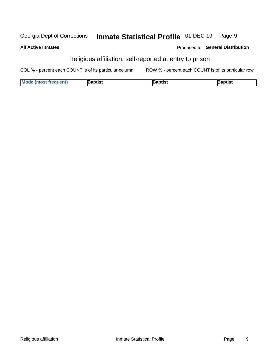#### Inmate Statistical Profile 01-DEC-19 Georgia Dept of Corrections Page 9

#### **All Active Inmates**

### Produced for General Distribution

# Religious affiliation, self-reported at entry to prison

COL % - percent each COUNT is of its particular column ROW % - percent each COUNT is of its particular row

| <b>Mode (most frequent)</b> | 3aptist | aptist | Baptist |
|-----------------------------|---------|--------|---------|
|-----------------------------|---------|--------|---------|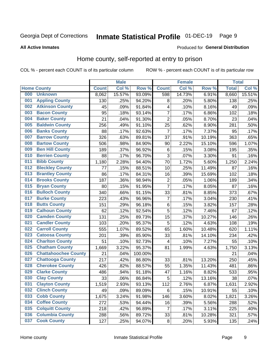#### Inmate Statistical Profile 01-DEC-19 Page 9

#### **All Active Inmates**

### Produced for General Distribution

# Home county, self-reported at entry to prison

COL % - percent each COUNT is of its particular column

|     |                             |              | <b>Male</b> |         |                | <b>Female</b> |        | <b>Total</b> |        |
|-----|-----------------------------|--------------|-------------|---------|----------------|---------------|--------|--------------|--------|
|     | <b>Home County</b>          | <b>Count</b> | Col %       | Row %   | <b>Count</b>   | Col %         | Row %  | <b>Total</b> | Col %  |
| 000 | <b>Unknown</b>              | 8,062        | 15.57%      | 93.09%  | 598            | 14.73%        | 6.91%  | 8,660        | 15.51% |
| 001 | <b>Appling County</b>       | 130          | .25%        | 94.20%  | 8              | .20%          | 5.80%  | 138          | .25%   |
| 002 | <b>Atkinson County</b>      | 45           | .09%        | 91.84%  | 4              | .10%          | 8.16%  | 49           | .09%   |
| 003 | <b>Bacon County</b>         | 95           | .18%        | 93.14%  | $\overline{7}$ | .17%          | 6.86%  | 102          | .18%   |
| 004 | <b>Baker County</b>         | 21           | .04%        | 91.30%  | $\overline{2}$ | .05%          | 8.70%  | 23           | .04%   |
| 005 | <b>Baldwin County</b>       | 256          | .49%        | 91.10%  | 25             | .62%          | 8.90%  | 281          | .50%   |
| 006 | <b>Banks County</b>         | 88           | .17%        | 92.63%  | $\overline{7}$ | .17%          | 7.37%  | 95           | .17%   |
| 007 | <b>Barrow County</b>        | 326          | .63%        | 89.81%  | 37             | .91%          | 10.19% | 363          | .65%   |
| 008 | <b>Bartow County</b>        | 506          | .98%        | 84.90%  | 90             | 2.22%         | 15.10% | 596          | 1.07%  |
| 009 | <b>Ben Hill County</b>      | 189          | .37%        | 96.92%  | $\,6$          | .15%          | 3.08%  | 195          | .35%   |
| 010 | <b>Berrien County</b>       | 88           | .17%        | 96.70%  | 3              | .07%          | 3.30%  | 91           | .16%   |
| 011 | <b>Bibb County</b>          | 1,180        | 2.28%       | 94.40%  | 70             | 1.72%         | 5.60%  | 1,250        | 2.24%  |
| 012 | <b>Bleckley County</b>      | 77           | .15%        | 88.51%  | 10             | .25%          | 11.49% | 87           | .16%   |
| 013 | <b>Brantley County</b>      | 86           | .17%        | 84.31%  | 16             | .39%          | 15.69% | 102          | .18%   |
| 014 | <b>Brooks County</b>        | 187          | .36%        | 98.94%  | $\overline{2}$ | .05%          | 1.06%  | 189          | .34%   |
| 015 | <b>Bryan County</b>         | 80           | .15%        | 91.95%  | $\overline{7}$ | .17%          | 8.05%  | 87           | .16%   |
| 016 | <b>Bulloch County</b>       | 340          | .66%        | 91.15%  | 33             | .81%          | 8.85%  | 373          | .67%   |
| 017 | <b>Burke County</b>         | 223          | .43%        | 96.96%  | $\overline{7}$ | .17%          | 3.04%  | 230          | .41%   |
| 018 | <b>Butts County</b>         | 151          | .29%        | 96.18%  | $\,6$          | .15%          | 3.82%  | 157          | .28%   |
| 019 | <b>Calhoun County</b>       | 62           | .12%        | 92.54%  | 5              | .12%          | 7.46%  | 67           | .12%   |
| 020 | <b>Camden County</b>        | 131          | .25%        | 89.73%  | 15             | .37%          | 10.27% | 146          | .26%   |
| 021 | <b>Candler County</b>       | 103          | .20%        | 95.37%  | 5              | .12%          | 4.63%  | 108          | .19%   |
| 022 | <b>Carroll County</b>       | 555          | 1.07%       | 89.52%  | 65             | 1.60%         | 10.48% | 620          | 1.11%  |
| 023 | <b>Catoosa County</b>       | 201          | .39%        | 85.90%  | 33             | .81%          | 14.10% | 234          | .42%   |
| 024 | <b>Charlton County</b>      | 51           | .10%        | 92.73%  | 4              | .10%          | 7.27%  | 55           | .10%   |
| 025 | <b>Chatham County</b>       | 1,669        | 3.22%       | 95.37%  | 81             | 1.99%         | 4.63%  | 1,750        | 3.13%  |
| 026 | <b>Chattahoochee County</b> | 21           | .04%        | 100.00% |                |               |        | 21           | .04%   |
| 027 | <b>Chattooga County</b>     | 217          | .42%        | 86.80%  | 33             | .81%          | 13.20% | 250          | .45%   |
| 028 | <b>Cherokee County</b>      | 426          | .82%        | 88.57%  | 55             | 1.35%         | 11.43% | 481          | .86%   |
| 029 | <b>Clarke County</b>        | 486          | .94%        | 91.18%  | 47             | 1.16%         | 8.82%  | 533          | .95%   |
| 030 | <b>Clay County</b>          | 33           | .06%        | 86.84%  | 5              | .12%          | 13.16% | 38           | .07%   |
| 031 | <b>Clayton County</b>       | 1,519        | 2.93%       | 93.13%  | 112            | 2.76%         | 6.87%  | 1,631        | 2.92%  |
| 032 | <b>Clinch County</b>        | 49           | .09%        | 89.09%  | 6              | .15%          | 10.91% | 55           | .10%   |
| 033 | <b>Cobb County</b>          | 1,675        | 3.24%       | 91.98%  | 146            | 3.60%         | 8.02%  | 1,821        | 3.26%  |
| 034 | <b>Coffee County</b>        | 272          | .53%        | 94.44%  | 16             | .39%          | 5.56%  | 288          | .52%   |
| 035 | <b>Colquitt County</b>      | 218          | .42%        | 96.89%  | $\overline{7}$ | .17%          | 3.11%  | 225          | .40%   |
| 036 | <b>Columbia County</b>      | 288          | .56%        | 89.72%  | 33             | .81%          | 10.28% | 321          | .57%   |
| 037 | <b>Cook County</b>          | 127          | .25%        | 94.07%  | $\bf 8$        | .20%          | 5.93%  | 135          | .24%   |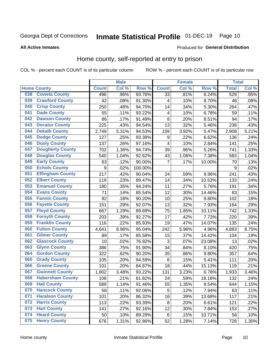# Inmate Statistical Profile 01-DEC-19 Page 10

### **All Active Inmates**

#### Produced for General Distribution

### Home county, self-reported at entry to prison

COL % - percent each COUNT is of its particular column

|     |                         |                  | <b>Male</b> |           |                         | <b>Female</b> |        | <b>Total</b> |       |
|-----|-------------------------|------------------|-------------|-----------|-------------------------|---------------|--------|--------------|-------|
|     | <b>Home County</b>      | <b>Count</b>     | Col %       | Row %     | <b>Count</b>            | Col %         | Row %  | <b>Total</b> | Col % |
| 038 | <b>Coweta County</b>    | 496              | .96%        | 93.76%    | $\overline{33}$         | .81%          | 6.24%  | 529          | .95%  |
| 039 | <b>Crawford County</b>  | 42               | .08%        | 91.30%    | 4                       | .10%          | 8.70%  | 46           | .08%  |
| 040 | <b>Crisp County</b>     | 250              | .48%        | 94.70%    | 14                      | .34%          | 5.30%  | 264          | .47%  |
| 041 | <b>Dade County</b>      | 55               | .11%        | 93.22%    | $\overline{\mathbf{4}}$ | .10%          | 6.78%  | 59           | .11%  |
| 042 | <b>Dawson County</b>    | 86               | .17%        | 91.49%    | 8                       | .20%          | 8.51%  | 94           | .17%  |
| 043 | <b>Decatur County</b>   | 225              | .43%        | 94.54%    | 13                      | .32%          | 5.46%  | 238          | .43%  |
| 044 | <b>Dekalb County</b>    | 2,749            | 5.31%       | 94.53%    | 159                     | 3.92%         | 5.47%  | 2,908        | 5.21% |
| 045 | <b>Dodge County</b>     | 127              | .25%        | 93.38%    | 9                       | .22%          | 6.62%  | 136          | .24%  |
| 046 | <b>Dooly County</b>     | 137              | .26%        | 97.16%    | $\overline{4}$          | .10%          | 2.84%  | 141          | .25%  |
| 047 | <b>Dougherty County</b> | 702              | 1.36%       | 94.74%    | 39                      | .96%          | 5.26%  | 741          | 1.33% |
| 048 | <b>Douglas County</b>   | 540              | 1.04%       | 92.62%    | 43                      | 1.06%         | 7.38%  | 583          | 1.04% |
| 049 | <b>Early County</b>     | 63               | .12%        | 90.00%    | $\overline{7}$          | .17%          | 10.00% | 70           | .13%  |
| 050 | <b>Echols County</b>    | $\boldsymbol{9}$ | .02%        | 100.00%   |                         |               |        | 9            | .02%  |
| 051 | <b>Effingham County</b> | 217              | .42%        | 90.04%    | 24                      | .59%          | 9.96%  | 241          | .43%  |
| 052 | <b>Elbert County</b>    | 119              | .23%        | 89.47%    | 14                      | .34%          | 10.53% | 133          | .24%  |
| 053 | <b>Emanuel County</b>   | 180              | .35%        | 94.24%    | 11                      | .27%          | 5.76%  | 191          | .34%  |
| 054 | <b>Evans County</b>     | 71               | .14%        | 85.54%    | 12                      | .30%          | 14.46% | 83           | .15%  |
| 055 | <b>Fannin County</b>    | 92               | .18%        | $90.20\%$ | 10                      | .25%          | 9.80%  | 102          | .18%  |
| 056 | <b>Fayette County</b>   | 151              | .29%        | 92.07%    | 13                      | .32%          | 7.93%  | 164          | .29%  |
| 057 | <b>Floyd County</b>     | 667              | 1.29%       | 89.89%    | 75                      | 1.85%         | 10.11% | 742          | 1.33% |
| 058 | <b>Forsyth County</b>   | 203              | .39%        | 92.27%    | 17                      | .42%          | 7.73%  | 220          | .39%  |
| 059 | <b>Franklin County</b>  | 116              | .22%        | 85.93%    | 19                      | .47%          | 14.07% | 135          | .24%  |
| 060 | <b>Fulton County</b>    | 4,641            | 8.96%       | 95.04%    | 242                     | 5.96%         | 4.96%  | 4,883        | 8.75% |
| 061 | <b>Gilmer County</b>    | 89               | .17%        | 85.58%    | 15                      | .37%          | 14.42% | 104          | .19%  |
| 062 | <b>Glascock County</b>  | 10               | .02%        | 76.92%    | 3                       | .07%          | 23.08% | 13           | .02%  |
| 063 | <b>Glynn County</b>     | 386              | .75%        | 91.90%    | 34                      | .84%          | 8.10%  | 420          | .75%  |
| 064 | <b>Gordon County</b>    | 322              | .62%        | 90.20%    | 35                      | .86%          | 9.80%  | 357          | .64%  |
| 065 | <b>Grady County</b>     | 105              | .20%        | 94.59%    | $\,6$                   | .15%          | 5.41%  | 111          | .20%  |
| 066 | <b>Greene County</b>    | 101              | .20%        | 84.87%    | 18                      | .44%          | 15.13% | 119          | .21%  |
| 067 | <b>Gwinnett County</b>  | 1,802            | 3.48%       | 93.22%    | 131                     | 3.23%         | 6.78%  | 1,933        | 3.46% |
| 068 | <b>Habersham County</b> | 108              | .21%        | 81.82%    | 24                      | .59%          | 18.18% | 132          | .24%  |
| 069 | <b>Hall County</b>      | 589              | 1.14%       | 91.46%    | 55                      | 1.35%         | 8.54%  | 644          | 1.15% |
| 070 | <b>Hancock County</b>   | 58               | .11%        | 92.06%    | 5                       | .12%          | 7.94%  | 63           | .11%  |
| 071 | <b>Haralson County</b>  | 101              | .20%        | 86.32%    | 16                      | .39%          | 13.68% | 117          | .21%  |
| 072 | <b>Harris County</b>    | 113              | .22%        | 93.39%    | 8                       | .20%          | 6.61%  | 121          | .22%  |
| 073 | <b>Hart County</b>      | 141              | .27%        | 92.16%    | 12                      | .30%          | 7.84%  | 153          | .27%  |
| 074 | <b>Heard County</b>     | 50               | .10%        | 89.29%    | 6                       | .15%          | 10.71% | 56           | .10%  |
| 075 | <b>Henry County</b>     | 676              | 1.31%       | 92.86%    | 52                      | 1.28%         | 7.14%  | 728          | 1.30% |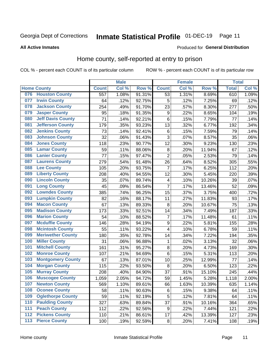# Inmate Statistical Profile 01-DEC-19 Page 11

**All Active Inmates** 

#### Produced for General Distribution

### Home county, self-reported at entry to prison

COL % - percent each COUNT is of its particular column

|     |                          |              | <b>Male</b> |        |                  | <b>Female</b> |        | <b>Total</b> |       |
|-----|--------------------------|--------------|-------------|--------|------------------|---------------|--------|--------------|-------|
|     | <b>Home County</b>       | <b>Count</b> | Col %       | Row %  | <b>Count</b>     | Col %         | Row %  | <b>Total</b> | Col % |
|     | 076 Houston County       | 557          | 1.08%       | 91.31% | 53               | 1.31%         | 8.69%  | 610          | 1.09% |
| 077 | <b>Irwin County</b>      | 64           | .12%        | 92.75% | 5                | .12%          | 7.25%  | 69           | .12%  |
| 078 | <b>Jackson County</b>    | 254          | .49%        | 91.70% | 23               | .57%          | 8.30%  | 277          | .50%  |
| 079 | <b>Jasper County</b>     | 95           | .18%        | 91.35% | $\boldsymbol{9}$ | .22%          | 8.65%  | 104          | .19%  |
| 080 | <b>Jeff Davis County</b> | 71           | .14%        | 92.21% | $\,6$            | .15%          | 7.79%  | 77           | .14%  |
| 081 | <b>Jefferson County</b>  | 179          | .35%        | 93.23% | 13               | .32%          | 6.77%  | 192          | .34%  |
| 082 | <b>Jenkins County</b>    | 73           | .14%        | 92.41% | $\,6$            | .15%          | 7.59%  | 79           | .14%  |
| 083 | <b>Johnson County</b>    | 32           | .06%        | 91.43% | 3                | .07%          | 8.57%  | 35           | .06%  |
| 084 | <b>Jones County</b>      | 118          | .23%        | 90.77% | 12               | .30%          | 9.23%  | 130          | .23%  |
| 085 | <b>Lamar County</b>      | 59           | .11%        | 88.06% | $\bf 8$          | .20%          | 11.94% | 67           | .12%  |
| 086 | <b>Lanier County</b>     | 77           | .15%        | 97.47% | $\overline{2}$   | .05%          | 2.53%  | 79           | .14%  |
| 087 | <b>Laurens County</b>    | 279          | .54%        | 91.48% | 26               | .64%          | 8.52%  | 305          | .55%  |
| 088 | <b>Lee County</b>        | 105          | .20%        | 93.75% | $\overline{7}$   | .17%          | 6.25%  | 112          | .20%  |
| 089 | <b>Liberty County</b>    | 208          | .40%        | 94.55% | 12               | .30%          | 5.45%  | 220          | .39%  |
| 090 | <b>Lincoln County</b>    | 35           | .07%        | 89.74% | $\overline{4}$   | .10%          | 10.26% | 39           | .07%  |
| 091 | <b>Long County</b>       | 45           | .09%        | 86.54% | $\overline{7}$   | .17%          | 13.46% | 52           | .09%  |
| 092 | <b>Lowndes County</b>    | 385          | .74%        | 96.25% | 15               | .37%          | 3.75%  | 400          | .72%  |
| 093 | <b>Lumpkin County</b>    | 82           | .16%        | 88.17% | 11               | .27%          | 11.83% | 93           | .17%  |
| 094 | <b>Macon County</b>      | 67           | .13%        | 89.33% | 8                | .20%          | 10.67% | 75           | .13%  |
| 095 | <b>Madison County</b>    | 173          | .33%        | 92.51% | 14               | .34%          | 7.49%  | 187          | .33%  |
| 096 | <b>Marion County</b>     | 54           | .10%        | 88.52% | $\overline{7}$   | .17%          | 11.48% | 61           | .11%  |
| 097 | <b>Mcduffie County</b>   | 146          | .28%        | 94.19% | $\boldsymbol{9}$ | .22%          | 5.81%  | 155          | .28%  |
| 098 | <b>Mcintosh County</b>   | 55           | .11%        | 93.22% | 4                | .10%          | 6.78%  | 59           | .11%  |
| 099 | <b>Meriwether County</b> | 180          | .35%        | 92.78% | 14               | .34%          | 7.22%  | 194          | .35%  |
| 100 | <b>Miller County</b>     | 31           | .06%        | 96.88% | 1                | .02%          | 3.13%  | 32           | .06%  |
| 101 | <b>Mitchell County</b>   | 161          | .31%        | 95.27% | 8                | .20%          | 4.73%  | 169          | .30%  |
| 102 | <b>Monroe County</b>     | 107          | .21%        | 94.69% | $\,6$            | .15%          | 5.31%  | 113          | .20%  |
| 103 | <b>Montgomery County</b> | 67           | .13%        | 87.01% | 10               | .25%          | 12.99% | 77           | .14%  |
| 104 | <b>Morgan County</b>     | 115          | .22%        | 93.50% | 8                | .20%          | 6.50%  | 123          | .22%  |
| 105 | <b>Murray County</b>     | 208          | .40%        | 84.90% | 37               | .91%          | 15.10% | 245          | .44%  |
| 106 | <b>Muscogee County</b>   | 1,059        | 2.05%       | 94.72% | 59               | 1.45%         | 5.28%  | 1,118        | 2.00% |
| 107 | <b>Newton County</b>     | 569          | 1.10%       | 89.61% | 66               | 1.63%         | 10.39% | 635          | 1.14% |
| 108 | <b>Oconee County</b>     | 58           | .11%        | 90.63% | 6                | .15%          | 9.38%  | 64           | .11%  |
| 109 | <b>Oglethorpe County</b> | 59           | .11%        | 92.19% | 5                | .12%          | 7.81%  | 64           | .11%  |
| 110 | <b>Paulding County</b>   | 327          | .63%        | 89.84% | 37               | .91%          | 10.16% | 364          | .65%  |
| 111 | <b>Peach County</b>      | 112          | .22%        | 92.56% | $\boldsymbol{9}$ | .22%          | 7.44%  | 121          | .22%  |
| 112 | <b>Pickens County</b>    | 110          | .21%        | 86.61% | 17               | .42%          | 13.39% | 127          | .23%  |
| 113 | <b>Pierce County</b>     | 100          | .19%        | 92.59% | $\bf 8$          | .20%          | 7.41%  | 108          | .19%  |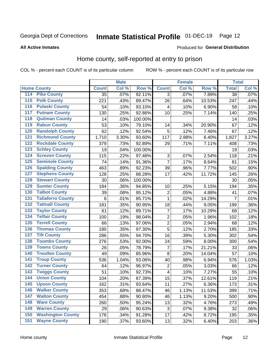# Inmate Statistical Profile 01-DEC-19 Page 12

### **All Active Inmates**

### Produced for General Distribution

### Home county, self-reported at entry to prison

COL % - percent each COUNT is of its particular column

|                  |                          |              | <b>Male</b> |                  |                | <b>Female</b> |        | <b>Total</b>    |         |
|------------------|--------------------------|--------------|-------------|------------------|----------------|---------------|--------|-----------------|---------|
|                  | <b>Home County</b>       | <b>Count</b> | Col %       | Row <sup>%</sup> | <b>Count</b>   | Col %         | Row %  | <b>Total</b>    | Col %   |
| 114              | <b>Pike County</b>       | 35           | .07%        | 92.11%           | 3              | .07%          | 7.89%  | $\overline{38}$ | .07%    |
| 115              | <b>Polk County</b>       | 221          | .43%        | 89.47%           | 26             | .64%          | 10.53% | 247             | .44%    |
| 116              | <b>Pulaski County</b>    | 54           | .10%        | 93.10%           | 4              | .10%          | 6.90%  | 58              | .10%    |
| 117              | <b>Putnam County</b>     | 130          | .25%        | 92.86%           | 10             | .25%          | 7.14%  | 140             | .25%    |
| 118              | <b>Quitman County</b>    | 14           | .03%        | 100.00%          |                |               |        | 14              | .03%    |
| 119              | <b>Rabun County</b>      | 53           | .10%        | 79.10%           | 14             | .34%          | 20.90% | 67              | .12%    |
| 120              | <b>Randolph County</b>   | 62           | .12%        | 92.54%           | 5              | .12%          | 7.46%  | 67              | .12%    |
| 121              | <b>Richmond County</b>   | 1,710        | 3.30%       | 93.60%           | 117            | 2.88%         | 6.40%  | 1,827           | 3.27%   |
| 122              | <b>Rockdale County</b>   | 379          | .73%        | 92.89%           | 29             | .71%          | 7.11%  | 408             | .73%    |
| 123              | <b>Schley County</b>     | 19           | .04%        | 100.00%          |                |               |        | 19              | .03%    |
| 124              | <b>Screven County</b>    | 115          | .22%        | 97.46%           | $\sqrt{3}$     | .07%          | 2.54%  | 118             | .21%    |
| 125              | <b>Seminole County</b>   | 74           | .14%        | 91.36%           | $\overline{7}$ | .17%          | 8.64%  | 81              | .15%    |
| 126              | <b>Spalding County</b>   | 463          | .89%        | 92.23%           | 39             | .96%          | 7.77%  | 502             | .90%    |
| 127              | <b>Stephens County</b>   | 128          | .25%        | 88.28%           | 17             | .42%          | 11.72% | 145             | .26%    |
| 128              | <b>Stewart County</b>    | 30           | .06%        | 100.00%          |                |               |        | 30              | .05%    |
| 129              | <b>Sumter County</b>     | 184          | .36%        | 94.85%           | 10             | .25%          | 5.15%  | 194             | .35%    |
| 130              | <b>Talbot County</b>     | 39           | .08%        | 95.12%           | $\overline{2}$ | .05%          | 4.88%  | 41              | .07%    |
| 131              | <b>Taliaferro County</b> | $\,6$        | .01%        | 85.71%           | $\mathbf 1$    | .02%          | 14.29% | $\overline{7}$  | .01%    |
| 132              | <b>Tattnall County</b>   | 181          | .35%        | 90.95%           | 18             | .44%          | 9.05%  | 199             | .36%    |
| 133              | <b>Taylor County</b>     | 61           | .12%        | 89.71%           | $\overline{7}$ | .17%          | 10.29% | 68              | .12%    |
| 134              | <b>Telfair County</b>    | 100          | .19%        | 98.04%           | $\overline{2}$ | .05%          | 1.96%  | 102             | .18%    |
| $\overline{135}$ | <b>Terrell County</b>    | 66           | .13%        | 97.06%           | $\overline{2}$ | .05%          | 2.94%  | 68              | .12%    |
| 136              | <b>Thomas County</b>     | 180          | .35%        | 97.30%           | $\overline{5}$ | .12%          | 2.70%  | 185             | .33%    |
| 137              | <b>Tift County</b>       | 286          | .55%        | 94.70%           | 16             | .39%          | 5.30%  | 302             | .54%    |
| 138              | <b>Toombs County</b>     | 276          | .53%        | 92.00%           | 24             | .59%          | 8.00%  | 300             | .54%    |
| 139              | <b>Towns County</b>      | 26           | .05%        | 78.79%           | 7              | .17%          | 21.21% | 33              | .06%    |
| 140              | <b>Treutlen County</b>   | 49           | .09%        | 85.96%           | $\bf 8$        | .20%          | 14.04% | 57              | .10%    |
| 141              | <b>Troup County</b>      | 536          | 1.04%       | 93.06%           | 40             | .98%          | 6.94%  | 576             | 1.03%   |
| $\overline{142}$ | <b>Turner County</b>     | 64           | .12%        | 96.97%           | $\overline{2}$ | .05%          | 3.03%  | 66              | .12%    |
| 143              | <b>Twiggs County</b>     | 51           | .10%        | 92.73%           | 4              | .10%          | 7.27%  | 55              | .10%    |
| 144              | <b>Union County</b>      | 104          | .20%        | 87.39%           | 15             | .37%          | 12.61% | 119             | .21%    |
| 145              | <b>Upson County</b>      | 162          | .31%        | 93.64%           | 11             | .27%          | 6.36%  | 173             | .31%    |
| 146              | <b>Walker County</b>     | 353          | .68%        | 88.47%           | 46             | 1.13%         | 11.53% | 399             | .71%    |
| 147              | <b>Walton County</b>     | 454          | .88%        | 90.80%           | 46             | 1.13%         | 9.20%  | 500             | .90%    |
| 148              | <b>Ware County</b>       | 260          | .50%        | 95.24%           | 13             | .32%          | 4.76%  | 273             | .49%    |
| 149              | <b>Warren County</b>     | 29           | .06%        | 90.63%           | $\sqrt{3}$     | .07%          | 9.38%  | 32              | .06%    |
| 150              | <b>Washington County</b> | 178          | .34%        | 91.28%           | 17             | .42%          | 8.72%  | 195             | .35%    |
| 151              | <b>Wayne County</b>      | 190          | .37%        | 93.60%           | 13             | .32%          | 6.40%  | 203             | $.36\%$ |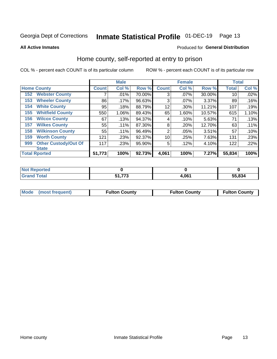# Inmate Statistical Profile 01-DEC-19 Page 13

**All Active Inmates** 

### Produced for General Distribution

### Home county, self-reported at entry to prison

COL % - percent each COUNT is of its particular column

|     |                             |              | <b>Male</b> |        |                | <b>Female</b> |        | <b>Total</b> |       |
|-----|-----------------------------|--------------|-------------|--------|----------------|---------------|--------|--------------|-------|
|     | <b>Home County</b>          | <b>Count</b> | Col %       | Row %  | <b>Count</b>   | Col %         | Row %  | <b>Total</b> | Col % |
| 152 | <b>Webster County</b>       | 7            | .01%        | 70.00% | 3              | $.07\%$       | 30.00% | 10           | .02%  |
| 153 | <b>Wheeler County</b>       | 86           | .17%        | 96.63% | 3              | .07%          | 3.37%  | 89           | .16%  |
| 154 | <b>White County</b>         | 95           | .18%        | 88.79% | 12             | .30%          | 11.21% | 107          | .19%  |
| 155 | <b>Whitfield County</b>     | 550          | 1.06%       | 89.43% | 65             | 1.60%         | 10.57% | 615          | 1.10% |
| 156 | <b>Wilcox County</b>        | 67           | .13%        | 94.37% | 4              | .10%          | 5.63%  | 71           | .13%  |
| 157 | <b>Wilkes County</b>        | 55           | .11%        | 87.30% | 8              | .20%          | 12.70% | 63           | .11%  |
| 158 | <b>Wilkinson County</b>     | 55           | $.11\%$     | 96.49% | $\overline{2}$ | .05%          | 3.51%  | 57           | .10%  |
| 159 | <b>Worth County</b>         | 121          | .23%        | 92.37% | 10             | .25%          | 7.63%  | 131          | .23%  |
| 999 | <b>Other Custody/Out Of</b> | 117          | .23%        | 95.90% | 5              | .12%          | 4.10%  | 122          | .22%  |
|     | <b>State</b>                |              |             |        |                |               |        |              |       |
|     | <b>Total Rported</b>        | 51,773       | 100%        | 92.73% | 4,061          | 100%          | 7.27%  | 55,834       | 100%  |

| τeα         |                        |      |        |
|-------------|------------------------|------|--------|
| <b>otal</b> | $- - -$<br>C 4<br>- 11 | .061 | 55.834 |

|  | Mode (most frequent) | <b>Fulton County</b> | <b>Fulton County</b> | <b>Fulton County</b> |
|--|----------------------|----------------------|----------------------|----------------------|
|--|----------------------|----------------------|----------------------|----------------------|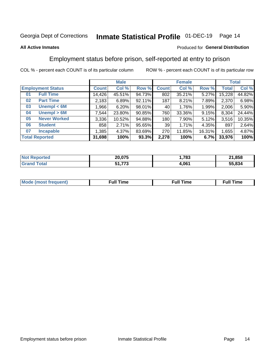#### Inmate Statistical Profile 01-DEC-19 Page 14

### **All Active Inmates**

### Produced for General Distribution

### Employment status before prison, self-reported at entry to prison

COL % - percent each COUNT is of its particular column

|                           |         | <b>Male</b> |        |              | <b>Female</b> |        |        | <b>Total</b> |
|---------------------------|---------|-------------|--------|--------------|---------------|--------|--------|--------------|
| <b>Employment Status</b>  | Count l | Col %       | Row %  | <b>Count</b> | Col %         | Row %  | Total  | Col %        |
| <b>Full Time</b><br>01    | 14,426  | 45.51%      | 94.73% | 802          | 35.21%        | 5.27%  | 15,228 | 44.82%       |
| <b>Part Time</b><br>02    | 2,183   | 6.89%       | 92.11% | 187          | 8.21%         | 7.89%  | 2,370  | 6.98%        |
| Unempl $<$ 6M<br>03       | ,966    | 6.20%       | 98.01% | 40           | 1.76%         | 1.99%  | 2,006  | 5.90%        |
| Unempl > 6M<br>04         | 7,544   | 23.80%      | 90.85% | 760          | 33.36%        | 9.15%  | 8,304  | 24.44%       |
| <b>Never Worked</b><br>05 | 3,336   | 10.52%      | 94.88% | 180          | 7.90%         | 5.12%  | 3,516  | 10.35%       |
| <b>Student</b><br>06      | 858     | 2.71%       | 95.65% | 39           | 1.71%         | 4.35%  | 897    | 2.64%        |
| <b>Incapable</b><br>07    | 1,385   | 4.37%       | 83.69% | 270          | 11.85%        | 16.31% | 1,655  | 4.87%        |
| <b>Total Reported</b>     | 31,698  | 100%        | 93.3%  | 2,278        | 100%          | 6.7%   | 33,976 | 100%         |

| ∩rte∩<br><b>NOT</b> | 20.075    | ,783  | .858<br>O4. |
|---------------------|-----------|-------|-------------|
| int                 | ラフヘ<br>79 | 1,061 | 55.834      |

| Mc | ----<br>me<br>ш | nc<br>. |
|----|-----------------|---------|
|    |                 |         |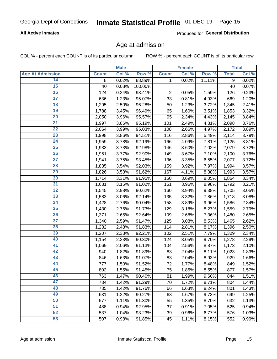# Inmate Statistical Profile 01-DEC-19 Page 15

### **All Active Inmates**

Produced for General Distribution

### Age at admission

COL % - percent each COUNT is of its particular column

|                         |              | <b>Male</b> |         |              | <b>Female</b> |        |              | <b>Total</b> |
|-------------------------|--------------|-------------|---------|--------------|---------------|--------|--------------|--------------|
| <b>Age At Admission</b> | <b>Count</b> | Col %       | Row %   | <b>Count</b> | Col %         | Row %  | <b>Total</b> | Col %        |
| 14                      | 8            | 0.02%       | 88.89%  | 1            | 0.02%         | 11.11% | 9            | 0.02%        |
| 15                      | 40           | 0.08%       | 100.00% |              |               |        | 40           | 0.07%        |
| 16                      | 124          | 0.24%       | 98.41%  | $\mathbf 2$  | 0.05%         | 1.59%  | 126          | 0.23%        |
| $\overline{17}$         | 636          | 1.23%       | 95.07%  | 33           | 0.81%         | 4.93%  | 669          | 1.20%        |
| $\overline{18}$         | 1,295        | 2.50%       | 96.28%  | 50           | 1.23%         | 3.72%  | 1,345        | 2.41%        |
| 19                      | 1,788        | 3.45%       | 96.49%  | 65           | 1.60%         | 3.51%  | 1,853        | 3.32%        |
| 20                      | 2,050        | 3.96%       | 95.57%  | 95           | 2.34%         | 4.43%  | 2,145        | 3.84%        |
| $\overline{21}$         | 1,997        | 3.86%       | 95.19%  | 101          | 2.49%         | 4.81%  | 2,098        | 3.76%        |
| $\overline{22}$         | 2,064        | 3.99%       | 95.03%  | 108          | 2.66%         | 4.97%  | 2,172        | 3.89%        |
| 23                      | 1,998        | 3.86%       | 94.51%  | 116          | 2.86%         | 5.49%  | 2,114        | 3.79%        |
| $\overline{24}$         | 1,959        | 3.78%       | 92.19%  | 166          | 4.09%         | 7.81%  | 2,125        | 3.81%        |
| $\overline{25}$         | 1,933        | 3.73%       | 92.98%  | 146          | 3.60%         | 7.02%  | 2,079        | 3.72%        |
| $\overline{26}$         | 1,951        | 3.77%       | 92.90%  | 149          | 3.67%         | 7.10%  | 2,100        | 3.76%        |
| $\overline{27}$         | 1,941        | 3.75%       | 93.45%  | 136          | 3.35%         | 6.55%  | 2,077        | 3.72%        |
| 28                      | 1,835        | 3.54%       | 92.03%  | 159          | 3.92%         | 7.97%  | 1,994        | 3.57%        |
| 29                      | 1,826        | 3.53%       | 91.62%  | 167          | 4.11%         | 8.38%  | 1,993        | 3.57%        |
| 30                      | 1,714        | 3.31%       | 91.95%  | 150          | 3.69%         | 8.05%  | 1,864        | 3.34%        |
| 31                      | 1,631        | 3.15%       | 91.02%  | 161          | 3.96%         | 8.98%  | 1,792        | 3.21%        |
| 32                      | 1,545        | 2.98%       | 90.62%  | 160          | 3.94%         | 9.38%  | 1,705        | 3.05%        |
| 33                      | 1,583        | 3.06%       | 92.14%  | 135          | 3.32%         | 7.86%  | 1,718        | 3.08%        |
| 34                      | 1,428        | 2.76%       | 90.04%  | 158          | 3.89%         | 9.96%  | 1,586        | 2.84%        |
| 35                      | 1,430        | 2.76%       | 91.73%  | 129          | 3.18%         | 8.27%  | 1,559        | 2.79%        |
| 36                      | 1,371        | 2.65%       | 92.64%  | 109          | 2.68%         | 7.36%  | 1,480        | 2.65%        |
| $\overline{37}$         | 1,340        | 2.59%       | 91.47%  | 125          | 3.08%         | 8.53%  | 1,465        | 2.62%        |
| 38                      | 1,282        | 2.48%       | 91.83%  | 114          | 2.81%         | 8.17%  | 1,396        | 2.50%        |
| 39                      | 1,207        | 2.33%       | 92.21%  | 102          | 2.51%         | 7.79%  | 1,309        | 2.34%        |
| 40                      | 1,154        | 2.23%       | 90.30%  | 124          | 3.05%         | 9.70%  | 1,278        | 2.29%        |
| 41                      | 1,069        | 2.06%       | 91.13%  | 104          | 2.56%         | 8.87%  | 1,173        | 2.10%        |
| 42                      | 940          | 1.82%       | 91.89%  | 83           | 2.04%         | 8.11%  | 1,023        | 1.83%        |
| 43                      | 846          | 1.63%       | 91.07%  | 83           | 2.04%         | 8.93%  | 929          | 1.66%        |
| 44                      | 777          | 1.50%       | 91.52%  | 72           | 1.77%         | 8.48%  | 849          | 1.52%        |
| 45                      | 802          | 1.55%       | 91.45%  | 75           | 1.85%         | 8.55%  | 877          | 1.57%        |
| 46                      | 763          | 1.47%       | 90.40%  | 81           | 1.99%         | 9.60%  | 844          | 1.51%        |
| 47                      | 734          | 1.42%       | 91.29%  | 70           | 1.72%         | 8.71%  | 804          | 1.44%        |
| 48                      | 735          | 1.42%       | 91.76%  | 66           | 1.63%         | 8.24%  | 801          | 1.43%        |
| 49                      | 631          | 1.22%       | 90.27%  | 68           | 1.67%         | 9.73%  | 699          | 1.25%        |
| 50                      | 577          | 1.11%       | 91.30%  | 55           | 1.35%         | 8.70%  | 632          | 1.13%        |
| 51                      | 488          | 0.94%       | 92.95%  | 37           | 0.91%         | 7.05%  | 525          | 0.94%        |
| 52                      | 537          | 1.04%       | 93.23%  | 39           | 0.96%         | 6.77%  | 576          | 1.03%        |
| 53                      | 507          | 0.98%       | 91.85%  | 45           | 1.11%         | 8.15%  | 552          | 0.99%        |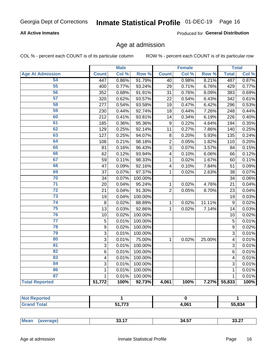# Inmate Statistical Profile 01-DEC-19 Page 16

### **All Active Inmates**

Produced for General Distribution

### Age at admission

COL % - percent each COUNT is of its particular column

|                         |                | <b>Male</b> |         |                | <b>Female</b> |        |                | <b>Total</b> |
|-------------------------|----------------|-------------|---------|----------------|---------------|--------|----------------|--------------|
| <b>Age At Admission</b> | <b>Count</b>   | Col %       | Row %   | <b>Count</b>   | Col %         | Row %  | <b>Total</b>   | Col %        |
| 54                      | 447            | 0.86%       | 91.79%  | 40             | 0.98%         | 8.21%  | 487            | 0.87%        |
| 55                      | 400            | 0.77%       | 93.24%  | 29             | 0.71%         | 6.76%  | 429            | 0.77%        |
| 56                      | 352            | 0.68%       | 91.91%  | 31             | 0.76%         | 8.09%  | 383            | 0.69%        |
| $\overline{57}$         | 320            | 0.62%       | 93.57%  | 22             | 0.54%         | 6.43%  | 342            | 0.61%        |
| 58                      | 277            | 0.54%       | 93.58%  | 19             | 0.47%         | 6.42%  | 296            | 0.53%        |
| 59                      | 230            | 0.44%       | 92.74%  | 18             | 0.44%         | 7.26%  | 248            | 0.44%        |
| 60                      | 212            | 0.41%       | 93.81%  | 14             | 0.34%         | 6.19%  | 226            | 0.40%        |
| 61                      | 185            | 0.36%       | 95.36%  | 9              | 0.22%         | 4.64%  | 194            | 0.35%        |
| 62                      | 129            | 0.25%       | 92.14%  | 11             | 0.27%         | 7.86%  | 140            | 0.25%        |
| 63                      | 127            | 0.25%       | 94.07%  | 8              | 0.20%         | 5.93%  | 135            | 0.24%        |
| 64                      | 108            | 0.21%       | 98.18%  | $\overline{2}$ | 0.05%         | 1.82%  | 110            | 0.20%        |
| 65                      | 81             | 0.16%       | 96.43%  | $\overline{3}$ | 0.07%         | 3.57%  | 84             | 0.15%        |
| 66                      | 62             | 0.12%       | 93.94%  | 4              | 0.10%         | 6.06%  | 66             | 0.12%        |
| 67                      | 59             | 0.11%       | 98.33%  | $\mathbf{1}$   | 0.02%         | 1.67%  | 60             | 0.11%        |
| 68                      | 47             | 0.09%       | 92.16%  | 4              | 0.10%         | 7.84%  | 51             | 0.09%        |
| 69                      | 37             | 0.07%       | 97.37%  | 1              | 0.02%         | 2.63%  | 38             | 0.07%        |
| 70                      | 34             | 0.07%       | 100.00% |                |               |        | 34             | 0.06%        |
| $\overline{71}$         | 20             | 0.04%       | 95.24%  | $\mathbf{1}$   | 0.02%         | 4.76%  | 21             | 0.04%        |
| $\overline{72}$         | 21             | 0.04%       | 91.30%  | $\overline{2}$ | 0.05%         | 8.70%  | 23             | 0.04%        |
| $\overline{73}$         | 19             | 0.04%       | 100.00% |                |               |        | 19             | 0.03%        |
| $\overline{74}$         | 8              | 0.02%       | 88.89%  | $\mathbf{1}$   | 0.02%         | 11.11% | 9              | 0.02%        |
| 75                      | 13             | 0.03%       | 92.86%  | 1              | 0.02%         | 7.14%  | 14             | 0.03%        |
| 76                      | 10             | 0.02%       | 100.00% |                |               |        | 10             | 0.02%        |
| $\overline{77}$         | $\overline{5}$ | 0.01%       | 100.00% |                |               |        | $\overline{5}$ | 0.01%        |
| 78                      | $\overline{9}$ | 0.02%       | 100.00% |                |               |        | $\overline{9}$ | 0.02%        |
| 79                      | $\overline{3}$ | 0.01%       | 100.00% |                |               |        | $\overline{3}$ | 0.01%        |
| 80                      | $\mathbf{3}$   | $0.01\%$    | 75.00%  | 1              | 0.02%         | 25.00% | 4              | 0.01%        |
| $\overline{81}$         | $\overline{3}$ | 0.01%       | 100.00% |                |               |        | 3              | 0.01%        |
| 82                      | 6              | 0.01%       | 100.00% |                |               |        | 6              | 0.01%        |
| 83                      | 4              | 0.01%       | 100.00% |                |               |        | 4              | 0.01%        |
| 84                      | 3              | 0.01%       | 100.00% |                |               |        | 3              | 0.01%        |
| 86                      | 1              | 0.01%       | 100.00% |                |               |        | 1              | 0.01%        |
| 87                      | $\mathbf 1$    | 0.01%       | 100.00% |                |               |        | $\mathbf{1}$   | 0.01%        |
| <b>Total Reported</b>   | 51,772         | 100%        | 92.73%  | 4,061          | 100%          | 7.27%  | 55,833         | 100%         |

| $- - -$<br>- 4<br>. . | 061 | 55,834 |
|-----------------------|-----|--------|

| Me<br>- 34.5.<br>апе<br>-7<br>וגטט<br>$\sim$ - $\sim$ - $\sim$ - $\sim$ - $\sim$<br>__<br>___ |
|-----------------------------------------------------------------------------------------------|
|-----------------------------------------------------------------------------------------------|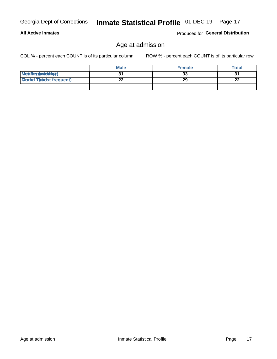**All Active Inmates** 

### Produced for General Distribution

# Age at admission

COL % - percent each COUNT is of its particular column

|                                  | <b>Male</b> | <b>Female</b> | <b>Total</b> |
|----------------------------------|-------------|---------------|--------------|
| MetiRep(anicidig)                |             | 33            | 31           |
| <b>Micaded Tomadst frequent)</b> | ົ<br>LL     | 29            | 22           |
|                                  |             |               |              |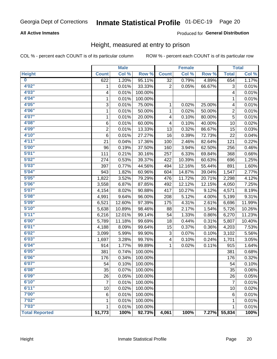# Inmate Statistical Profile 01-DEC-19 Page 20

### **All Active Inmates**

### Produced for General Distribution

### Height, measured at entry to prison

COL % - percent each COUNT is of its particular column

|                       |                | <b>Male</b> |         |                | <b>Female</b>             |        |                | <b>Total</b> |
|-----------------------|----------------|-------------|---------|----------------|---------------------------|--------|----------------|--------------|
| <b>Height</b>         | <b>Count</b>   | Col %       | Row %   | <b>Count</b>   | $\overline{\text{Col 9}}$ | Row %  | <b>Total</b>   | Col %        |
| $\bf{0}$              | 622            | 1.20%       | 95.11%  | 32             | 0.79%                     | 4.89%  | 654            | 1.17%        |
| 4'02"                 | 1              | 0.01%       | 33.33%  | $\overline{2}$ | 0.05%                     | 66.67% | 3              | 0.01%        |
| 4'03''                | 4              | 0.01%       | 100.00% |                |                           |        | 4              | 0.01%        |
| 4'04"                 | 1              | 0.01%       | 100.00% |                |                           |        | 1              | 0.01%        |
| 4'05"                 | 3              | 0.01%       | 75.00%  | 1              | 0.02%                     | 25.00% | 4              | 0.01%        |
| 4'06"                 | 1              | 0.01%       | 50.00%  | $\mathbf{1}$   | 0.02%                     | 50.00% | $\overline{2}$ | 0.01%        |
| 4'07"                 | $\mathbf{1}$   | 0.01%       | 20.00%  | 4              | 0.10%                     | 80.00% | 5              | 0.01%        |
| 4'08"                 | 6              | 0.01%       | 60.00%  | 4              | 0.10%                     | 40.00% | 10             | 0.02%        |
| 4'09"                 | $\overline{2}$ | 0.01%       | 13.33%  | 13             | 0.32%                     | 86.67% | 15             | 0.03%        |
| 4'10"                 | 6              | 0.01%       | 27.27%  | 16             | 0.39%                     | 72.73% | 22             | 0.04%        |
| 4'11''                | 21             | 0.04%       | 17.36%  | 100            | 2.46%                     | 82.64% | 121            | 0.22%        |
| 5'00''                | 96             | 0.19%       | 37.50%  | 160            | 3.94%                     | 62.50% | 256            | 0.46%        |
| 5'01"                 | 111            | 0.21%       | 30.16%  | 257            | 6.33%                     | 69.84% | 368            | 0.66%        |
| 5'02"                 | 274            | 0.53%       | 39.37%  | 422            | 10.39%                    | 60.63% | 696            | 1.25%        |
| 5'03''                | 397            | 0.77%       | 44.56%  | 494            | 12.16%                    | 55.44% | 891            | 1.60%        |
| 5'04"                 | 943            | 1.82%       | 60.96%  | 604            | 14.87%                    | 39.04% | 1,547          | 2.77%        |
| 5'05"                 | 1,822          | 3.52%       | 79.29%  | 476            | 11.72%                    | 20.71% | 2,298          | 4.12%        |
| 5'06''                | 3,558          | 6.87%       | 87.85%  | 492            | 12.12%                    | 12.15% | 4,050          | 7.25%        |
| 5'07"                 | 4,154          | 8.02%       | 90.88%  | 417            | 10.27%                    | 9.12%  | 4,571          | 8.19%        |
| 5'08''                | 4,991          | 9.64%       | 96.00%  | 208            | 5.12%                     | 4.00%  | 5,199          | 9.31%        |
| 5'09''                | 6,521          | 12.60%      | 97.39%  | 175            | 4.31%                     | 2.61%  | 6,696          | 11.99%       |
| 5'10''                | 5,638          | 10.89%      | 98.46%  | 88             | 2.17%                     | 1.54%  | 5,726          | 10.26%       |
| 5'11''                | 6,216          | 12.01%      | 99.14%  | 54             | 1.33%                     | 0.86%  | 6,270          | 11.23%       |
| 6'00''                | 5,789          | 11.18%      | 99.69%  | 18             | 0.44%                     | 0.31%  | 5,807          | 10.40%       |
| 6'01''                | 4,188          | 8.09%       | 99.64%  | 15             | 0.37%                     | 0.36%  | 4,203          | 7.53%        |
| 6'02"                 | 3,099          | 5.99%       | 99.90%  | 3              | 0.07%                     | 0.10%  | 3,102          | 5.56%        |
| 6'03''                | 1,697          | 3.28%       | 99.76%  | 4              | 0.10%                     | 0.24%  | 1,701          | 3.05%        |
| 6'04"                 | 914            | 1.77%       | 99.89%  | 1              | 0.02%                     | 0.11%  | 915            | 1.64%        |
| 6'05"                 | 381            | 0.74%       | 100.00% |                |                           |        | 381            | 0.68%        |
| 6'06''                | 176            | 0.34%       | 100.00% |                |                           |        | 176            | 0.32%        |
| 6'07''                | 54             | 0.10%       | 100.00% |                |                           |        | 54             | 0.10%        |
| 6'08"                 | 35             | 0.07%       | 100.00% |                |                           |        | 35             | 0.06%        |
| 6'09''                | 26             | 0.05%       | 100.00% |                |                           |        | 26             | 0.05%        |
| 6'10''                | 7              | 0.01%       | 100.00% |                |                           |        | $\overline{7}$ | 0.01%        |
| 6'11''                | 10             | 0.02%       | 100.00% |                |                           |        | 10             | 0.02%        |
| 7'00"                 | 6              | 0.01%       | 100.00% |                |                           |        | 6              | 0.01%        |
| 7'02"                 | 1              | 0.01%       | 100.00% |                |                           |        | 1              | 0.01%        |
| 7'03''                | 1              | 0.01%       | 100.00% |                |                           |        | 1              | 0.01%        |
| <b>Total Reported</b> | 51,773         | 100%        | 92.73%  | 4,061          | 100%                      | 7.27%  | 55,834         | 100%         |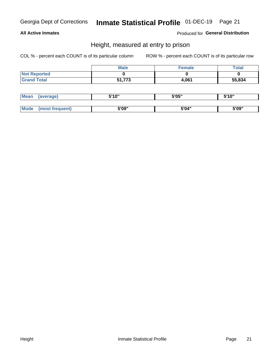# Inmate Statistical Profile 01-DEC-19 Page 21

### **All Active Inmates**

Produced for General Distribution

### Height, measured at entry to prison

COL % - percent each COUNT is of its particular column

|                     | <b>Male</b> | <b>Female</b> | <b>Total</b> |
|---------------------|-------------|---------------|--------------|
| <b>Not Reported</b> |             |               |              |
| <b>Grand Total</b>  | 51,773      | 4,061         | 55,834       |

| <b>Mean</b> | 'average) | EI4 OIL | 5'05" | 5'10" |
|-------------|-----------|---------|-------|-------|
|             |           |         |       |       |
| $M_{\odot}$ | frequent) | 5'09"   | 5'04" | 5'09" |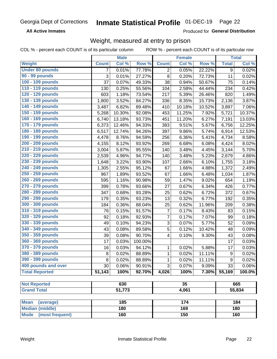#### Inmate Statistical Profile 01-DEC-19 Page 22

**All Active Inmates** 

Produced for General Distribution

### Weight, measured at entry to prison

COL % - percent each COUNT is of its particular column ROW % - percent each COUNT is of its particular row

|                                |              | <b>Male</b> |         |                | <b>Female</b> |                  |                  | <b>Total</b> |  |
|--------------------------------|--------------|-------------|---------|----------------|---------------|------------------|------------------|--------------|--|
| <b>Weight</b>                  | <b>Count</b> | Col %       | Row %   | <b>Count</b>   | Col %         | Row <sup>%</sup> | <b>Total</b>     | Col %        |  |
| <b>Under 80 pounds</b>         | 7            | 0.01%       | 77.78%  | $\overline{c}$ | 0.05%         | 22.22%           | 9                | 0.02%        |  |
| 90 - 99 pounds                 | 3            | 0.01%       | 27.27%  | 8              | 0.20%         | 72.73%           | 11               | 0.02%        |  |
| 100 - 109 pounds               | 37           | 0.07%       | 49.33%  | 38             | 0.94%         | 50.67%           | 75               | 0.14%        |  |
| 110 - 119 pounds               | 130          | 0.25%       | 55.56%  | 104            | 2.58%         | 44.44%           | 234              | 0.42%        |  |
| 120 - 129 pounds               | 603          | 1.18%       | 73.54%  | 217            | 5.39%         | 26.46%           | 820              | 1.49%        |  |
| 130 - 139 pounds               | 1,800        | 3.52%       | 84.27%  | 336            | 8.35%         | 15.73%           | 2,136            | 3.87%        |  |
| 140 - 149 pounds               | 3,487        | 6.82%       | 89.48%  | 410            | 10.18%        | 10.52%           | 3,897            | 7.06%        |  |
| 150 - 159 pounds               | 5,268        | 10.30%      | 92.08%  | 453            | 11.25%        | 7.92%            | 5,721            | 10.37%       |  |
| 160 - 169 pounds               | 6,740        | 13.18%      | 93.73%  | 451            | 11.20%        | 6.27%            | 7,191            | 13.03%       |  |
| 170 - 179 pounds               | 6,373        | 12.46%      | 94.33%  | 383            | 9.51%         | 5.67%            | 6,756            | 12.25%       |  |
| 180 - 189 pounds               | 6,517        | 12.74%      | 94.26%  | 397            | 9.86%         | 5.74%            | 6,914            | 12.53%       |  |
| 190 - 199 pounds               | 4,478        | 8.76%       | 94.59%  | 256            | 6.36%         | 5.41%            | 4,734            | 8.58%        |  |
| 200 - 209 pounds               | 4,155        | 8.12%       | 93.92%  | 269            | 6.68%         | 6.08%            | 4,424            | 8.02%        |  |
| 210 - 219 pounds               | 3,004        | 5.87%       | 95.55%  | 140            | 3.48%         | 4.45%            | 3,144            | 5.70%        |  |
| 220 - 229 pounds               | 2,539        | 4.96%       | 94.77%  | 140            | 3.48%         | 5.23%            | 2,679            | 4.86%        |  |
| 230 - 239 pounds               | 1,648        | 3.22%       | 93.90%  | 107            | 2.66%         | 6.10%            | 1,755            | 3.18%        |  |
| 240 - 249 pounds               | 1,305        | 2.55%       | 95.12%  | 67             | 1.66%         | 4.88%            | 1,372            | 2.49%        |  |
| 250 - 259 pounds               | 967          | 1.89%       | 93.52%  | 67             | 1.66%         | 6.48%            | 1,034            | 1.87%        |  |
| 260 - 269 pounds               | 595          | 1.16%       | 90.98%  | 59             | 1.47%         | 9.02%            | 654              | 1.19%        |  |
| 270 - 279 pounds               | 399          | 0.78%       | 93.66%  | 27             | 0.67%         | 6.34%            | 426              | 0.77%        |  |
| 280 - 289 pounds               | 347          | 0.68%       | 93.28%  | 25             | 0.62%         | 6.72%            | 372              | 0.67%        |  |
| 290 - 299 pounds               | 179          | 0.35%       | 93.23%  | 13             | 0.32%         | 6.77%            | 192              | 0.35%        |  |
| 300 - 309 pounds               | 184          | 0.36%       | 88.04%  | 25             | 0.62%         | 11.96%           | 209              | 0.38%        |  |
| 310 - 319 pounds               | 76           | 0.15%       | 91.57%  | $\overline{7}$ | 0.17%         | 8.43%            | 83               | 0.15%        |  |
| 320 - 329 pounds               | 92           | 0.18%       | 92.93%  | $\overline{7}$ | 0.17%         | 7.07%            | 99               | 0.18%        |  |
| 330 - 339 pounds               | 49           | 0.10%       | 94.23%  | 3              | 0.07%         | 5.77%            | 52               | 0.09%        |  |
| 340 - 349 pounds               | 43           | 0.08%       | 89.58%  | $\overline{5}$ | 0.12%         | 10.42%           | 48               | 0.09%        |  |
| 350 - 359 pounds               | 39           | 0.08%       | 90.70%  | 4              | 0.10%         | 9.30%            | 43               | 0.08%        |  |
| 360 - 369 pounds               | 17           | 0.03%       | 100.00% |                |               |                  | 17               | 0.03%        |  |
| 370 - 379 pounds               | 16           | 0.03%       | 94.12%  | $\mathbf{1}$   | 0.02%         | 5.88%            | 17               | 0.03%        |  |
| 380 - 389 pounds               | 8            | 0.02%       | 88.89%  | $\mathbf{1}$   | 0.02%         | 11.11%           | $\boldsymbol{9}$ | 0.02%        |  |
| 390 - 399 pounds               | 8            | 0.02%       | 88.89%  | 1              | 0.02%         | 11.11%           | 9                | 0.02%        |  |
| 400 pounds and over            | 30           | 0.06%       | 90.91%  | $\overline{3}$ | 0.07%         | 9.09%            | 33               | 0.06%        |  |
| <b>Total Reported</b>          | 51,143       | 100%        | 92.70%  | 4,026          | 100%          | 7.30%            | 55,169           | 100.0%       |  |
|                                |              |             |         |                |               |                  |                  |              |  |
| <b>Not Reported</b>            |              | 630         |         | 35             |               |                  | 665              |              |  |
| <b>Grand Total</b>             |              | 51,773      |         | 4,061          |               |                  |                  | 55,834       |  |
|                                |              |             |         |                |               |                  |                  |              |  |
| <b>Mean</b><br>(average)       |              | 185         |         |                | 174           |                  |                  | 184          |  |
| <b>Median (middle)</b>         |              | 180         |         |                | 169           |                  |                  | 180          |  |
| <b>Mode</b><br>(most frequent) |              | 160         |         | 150            |               |                  | 160              |              |  |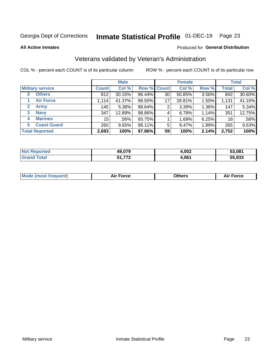# Inmate Statistical Profile 01-DEC-19 Page 23

**All Active Inmates** 

### Produced for General Distribution

# Veterans validated by Veteran's Administration

COL % - percent each COUNT is of its particular column

|                          |              | <b>Male</b> |             |    | <b>Female</b> |       |              | <b>Total</b> |
|--------------------------|--------------|-------------|-------------|----|---------------|-------|--------------|--------------|
| <b>Military service</b>  | <b>Count</b> | Col %       | Row % Count |    | Col %         | Row % | <b>Total</b> | Col %        |
| <b>Others</b><br>0       | 812          | 30.15%      | 96.44%      | 30 | 50.85%        | 3.56% | 842          | 30.60%       |
| <b>Air Force</b>         | 1,114        | 41.37%      | 98.50%      | 17 | 28.81%        | 1.50% | 1,131        | 41.10%       |
| 2<br><b>Army</b>         | 145          | 5.38%       | 98.64%      | 2  | 3.39%         | 1.36% | 147          | 5.34%        |
| <b>Navy</b><br>3         | 347          | 12.89%      | 98.86%      | 4  | 6.78%         | 1.14% | 351          | 12.75%       |
| <b>Marines</b><br>4      | 15           | .56%        | 93.75%      |    | 1.69%         | 6.25% | 16           | .58%         |
| <b>Coast Guard</b><br>5. | 260          | 9.65%       | 98.11%      | 5  | 8.47%         | 1.89% | 265          | 9.63%        |
| <b>Total Reported</b>    | 2,693        | 100%        | 97.86%      | 59 | 100%          | 2.14% | 2,752        | 100%         |

| <b>Not</b><br>Reported | 49,079     | 4,002 | 53,081 |
|------------------------|------------|-------|--------|
| ⊺otal                  | フフヘ<br>- - | 4,061 | 55,833 |

|  |  | <b>Mode (most frequent)</b> | <b>Force</b><br>Aır | วthers | orce |
|--|--|-----------------------------|---------------------|--------|------|
|--|--|-----------------------------|---------------------|--------|------|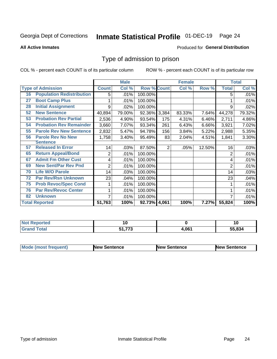# Inmate Statistical Profile 01-DEC-19 Page 24

**All Active Inmates** 

#### Produced for General Distribution

### Type of admission to prison

COL % - percent each COUNT is of its particular column

|    |                                  |              | <b>Male</b> |                    |                | <b>Female</b> |        |              | <b>Total</b> |
|----|----------------------------------|--------------|-------------|--------------------|----------------|---------------|--------|--------------|--------------|
|    | <b>Type of Admission</b>         | <b>Count</b> | Col %       | <b>Row % Count</b> |                | Col %         | Row %  | <b>Total</b> | Col %        |
| 16 | <b>Population Redistribution</b> | 5            | .01%        | 100.00%            |                |               |        | 5            | .01%         |
| 27 | <b>Boot Camp Plus</b>            |              | .01%        | 100.00%            |                |               |        |              | .01%         |
| 28 | <b>Initial Assignment</b>        | 9            | .02%        | 100.00%            |                |               |        | 9            | .02%         |
| 52 | <b>New Sentence</b>              | 40,894       | 79.00%      | 92.36% 3,384       |                | 83.33%        | 7.64%  | 44,278       | 79.32%       |
| 53 | <b>Probation Rev Partial</b>     | 2,536        | 4.90%       | 93.54%             | 175            | 4.31%         | 6.46%  | 2,711        | 4.86%        |
| 54 | <b>Probation Rev Remainder</b>   | 3,660        | 7.07%       | 93.34%             | 261            | 6.43%         | 6.66%  | 3,921        | 7.02%        |
| 55 | <b>Parole Rev New Sentence</b>   | 2,832        | 5.47%       | 94.78%             | 156            | 3.84%         | 5.22%  | 2,988        | 5.35%        |
| 56 | <b>Parole Rev No New</b>         | 1,758        | 3.40%       | 95.49%             | 83             | 2.04%         | 4.51%  | 1,841        | 3.30%        |
|    | <b>Sentence</b>                  |              |             |                    |                |               |        |              |              |
| 57 | <b>Released In Error</b>         | 14           | .03%        | 87.50%             | $\overline{2}$ | .05%          | 12.50% | 16           | .03%         |
| 65 | <b>Return Appeal/Bond</b>        | 2            | .01%        | 100.00%            |                |               |        | 2            | .01%         |
| 67 | <b>Admit Fm Other Cust</b>       | 4            | .01%        | 100.00%            |                |               |        | 4            | .01%         |
| 69 | <b>New Sent/Par Rev Pnd</b>      | 2            | .01%        | 100.00%            |                |               |        | 2            | .01%         |
| 70 | <b>Life W/O Parole</b>           | 14           | .03%        | 100.00%            |                |               |        | 14           | .03%         |
| 72 | <b>Par Rev/Rsn Unknown</b>       | 23           | .04%        | 100.00%            |                |               |        | 23           | .04%         |
| 75 | <b>Prob Revoc/Spec Cond</b>      |              | .01%        | 100.00%            |                |               |        |              | .01%         |
| 76 | <b>Par Rev/Revoc Center</b>      |              | .01%        | 100.00%            |                |               |        |              | .01%         |
| 82 | <b>Unknown</b>                   | 7            | .01%        | 100.00%            |                |               |        |              | .01%         |
|    | <b>Total Reported</b>            | 51,763       | 100%        | 92.73% 4,061       |                | 100%          | 7.27%  | 55,824       | 100%         |

| <b>Not</b><br>oorted |          |       |        |
|----------------------|----------|-------|--------|
| `otal                | 770<br>. | 4,061 | 55.834 |

| <b>Mode (most frequent)</b> | New Sentence | <b>New Sentence</b> | <b>New Sentence</b> |
|-----------------------------|--------------|---------------------|---------------------|
|                             |              |                     |                     |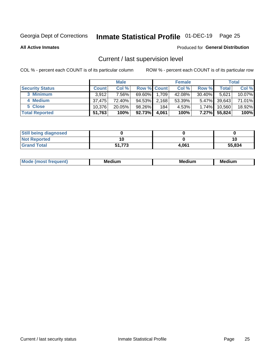# Inmate Statistical Profile 01-DEC-19 Page 25

**All Active Inmates** 

#### Produced for General Distribution

# Current / last supervision level

COL % - percent each COUNT is of its particular column

|                        |              | <b>Male</b> |                    |       | <b>Female</b> |          |        | <b>Total</b> |
|------------------------|--------------|-------------|--------------------|-------|---------------|----------|--------|--------------|
| <b>Security Status</b> | <b>Count</b> | Col %       | <b>Row % Count</b> |       | Col %         | Row %    | Total  | Col %        |
| 3 Minimum              | 3.912        | 7.56%       | 69.60%             | 1,709 | 42.08%        | 30.40%   | 5,621  | 10.07%       |
| 4 Medium               | 37.475       | 72.40%      | 94.53%             | 2,168 | 53.39%        | $5.47\%$ | 39,643 | 71.01%       |
| 5 Close                | 10.376       | 20.05%      | 98.26%             | 184   | 4.53%         | 1.74%    | 10.560 | 18.92%       |
| <b>Total Reported</b>  | 51,763       | 100%        | $92.73\%$          | 4.061 | 100%          | $7.27\%$ | 55,824 | 100%         |

| <b>Still being diagnosed</b> |        |       |        |
|------------------------------|--------|-------|--------|
| <b>Not Reported</b>          | 10     |       | 10     |
| <b>Grand Total</b>           | 51,773 | 4,061 | 55,834 |

| Mo | Me<br>edium<br>_____ | M۵<br>rdıum<br>_____ | <b>Medium</b> |
|----|----------------------|----------------------|---------------|
|    |                      |                      |               |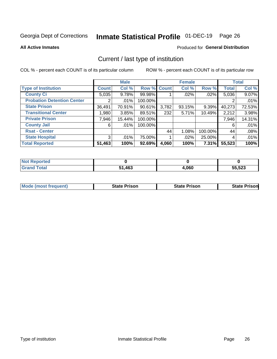# Inmate Statistical Profile 01-DEC-19 Page 26

**All Active Inmates** 

### Produced for General Distribution

# Current / last type of institution

COL % - percent each COUNT is of its particular column

|                                   |              | <b>Male</b> |             |       | <b>Female</b> |         |              | <b>Total</b> |
|-----------------------------------|--------------|-------------|-------------|-------|---------------|---------|--------------|--------------|
| <b>Type of Institution</b>        | <b>Count</b> | Col %       | Row % Count |       | Col %         | Row %   | <b>Total</b> | Col %        |
| <b>County Ci</b>                  | 5,035        | 9.78%       | 99.98%      |       | $.02\%$       | .02%    | 5,036        | 9.07%        |
| <b>Probation Detention Center</b> |              | .01%        | 100.00%     |       |               |         |              | .01%         |
| <b>State Prison</b>               | 36,491       | 70.91%      | 90.61%      | 3,782 | 93.15%        | 9.39%   | 40,273       | 72.53%       |
| <b>Transitional Center</b>        | 1,980        | 3.85%       | 89.51%      | 232   | 5.71%         | 10.49%  | 2,212        | 3.98%        |
| <b>Private Prison</b>             | 7,946        | 15.44%      | 100.00%     |       |               |         | 7,946        | 14.31%       |
| <b>County Jail</b>                | 6            | $.01\%$     | 100.00%     |       |               |         | 6            | .01%         |
| <b>Rsat - Center</b>              |              |             |             | 44    | 1.08%         | 100.00% | 44           | .08%         |
| <b>State Hospital</b>             | 3            | .01%        | 75.00%      |       | .02%          | 25.00%  | 4            | .01%         |
| <b>Total Reported</b>             | 51,463       | 100%        | 92.69%      | 4,060 | 100%          | 7.31%   | 55,523       | 100%         |

| $^{\mathrm{H}}$ Not.<br>Reported |      |       |        |
|----------------------------------|------|-------|--------|
| Total                            | ,463 | 4,060 | 55,523 |

| Mode (most frequent) | <b>State Prison</b> | <b>State Prison</b> | <b>State Prisonl</b> |
|----------------------|---------------------|---------------------|----------------------|
|                      |                     |                     |                      |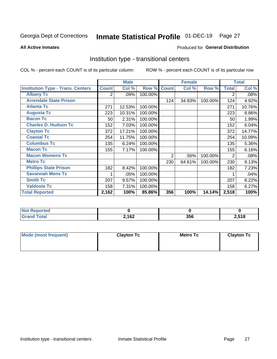# Inmate Statistical Profile 01-DEC-19 Page 27

#### **All Active Inmates**

### Produced for General Distribution

### Institution type - transitional centers

COL % - percent each COUNT is of its particular column

|                                          |              | <b>Male</b> |         |                | <b>Female</b> |         |                | <b>Total</b> |
|------------------------------------------|--------------|-------------|---------|----------------|---------------|---------|----------------|--------------|
| <b>Institution Type - Trans. Centers</b> | <b>Count</b> | Col %       | Row %   | <b>Count</b>   | Col %         | Row %   | <b>Total</b>   | Col %        |
| <b>Albany Tc</b>                         | 2            | .09%        | 100.00% |                |               |         | 2              | .08%         |
| <b>Arrendale State Prison</b>            |              |             |         | 124            | 34.83%        | 100.00% | 124            | 4.92%        |
| <b>Atlanta Tc</b>                        | 271          | 12.53%      | 100.00% |                |               |         | 271            | 10.76%       |
| <b>Augusta Tc</b>                        | 223          | 10.31%      | 100.00% |                |               |         | 223            | 8.86%        |
| <b>Bacon Tc</b>                          | 50           | 2.31%       | 100.00% |                |               |         | 50             | 1.99%        |
| <b>Charles D. Hudson Tc</b>              | 152          | 7.03%       | 100.00% |                |               |         | 152            | 6.04%        |
| <b>Clayton Tc</b>                        | 372          | 17.21%      | 100.00% |                |               |         | 372            | 14.77%       |
| <b>Coastal Tc</b>                        | 254          | 11.75%      | 100.00% |                |               |         | 254            | 10.09%       |
| <b>Columbus Tc</b>                       | 135          | 6.24%       | 100.00% |                |               |         | 135            | 5.36%        |
| <b>Macon Tc</b>                          | 155          | 7.17%       | 100.00% |                |               |         | 155            | 6.16%        |
| <b>Macon Womens Tc</b>                   |              |             |         | $\overline{2}$ | .56%          | 100.00% | $\overline{2}$ | .08%         |
| <b>Metro Tc</b>                          |              |             |         | 230            | 64.61%        | 100.00% | 230            | 9.13%        |
| <b>Phillips State Prison</b>             | 182          | 8.42%       | 100.00% |                |               |         | 182            | 7.23%        |
| <b>Savannah Mens Tc</b>                  | 1            | .05%        | 100.00% |                |               |         |                | .04%         |
| <b>Smith Tc</b>                          | 207          | 9.57%       | 100.00% |                |               |         | 207            | 8.22%        |
| <b>Valdosta Tc</b>                       | 158          | 7.31%       | 100.00% |                |               |         | 158            | 6.27%        |
| <b>Total Reported</b>                    | 2,162        | 100%        | 85.86%  | 356            | 100%          | 14.14%  | 2,518          | 100%         |

| Reportea     |       |     |       |
|--------------|-------|-----|-------|
| <b>Total</b> | 2,162 | 356 | 2,518 |

| Mode (most frequent) | <b>Clayton Tc</b> | Metro Tc | <b>Clayton Tc</b> |
|----------------------|-------------------|----------|-------------------|
|                      |                   |          |                   |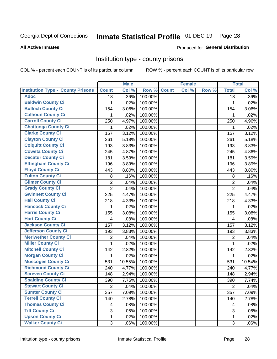# Inmate Statistical Profile 01-DEC-19 Page 28

#### **All Active Inmates**

#### Produced for General Distribution

### Institution type - county prisons

COL % - percent each COUNT is of its particular column

|                                          |                | <b>Male</b> |         |              | <b>Female</b> |       |                | <b>Total</b> |
|------------------------------------------|----------------|-------------|---------|--------------|---------------|-------|----------------|--------------|
| <b>Institution Type - County Prisons</b> | <b>Count</b>   | Col %       | Row %   | <b>Count</b> | Col %         | Row % | <b>Total</b>   | Col %        |
| <b>Adoc</b>                              | 18             | .36%        | 100.00% |              |               |       | 18             | .36%         |
| <b>Baldwin County Ci</b>                 | 1              | .02%        | 100.00% |              |               |       | 1              | .02%         |
| <b>Bulloch County Ci</b>                 | 154            | 3.06%       | 100.00% |              |               |       | 154            | 3.06%        |
| <b>Calhoun County Ci</b>                 | 1              | .02%        | 100.00% |              |               |       | 1              | .02%         |
| <b>Carroll County Ci</b>                 | 250            | 4.97%       | 100.00% |              |               |       | 250            | 4.96%        |
| <b>Chattooga County Ci</b>               | 1              | .02%        | 100.00% |              |               |       | 1              | .02%         |
| <b>Clarke County Ci</b>                  | 157            | 3.12%       | 100.00% |              |               |       | 157            | 3.12%        |
| <b>Clayton County Ci</b>                 | 261            | 5.18%       | 100.00% |              |               |       | 261            | 5.18%        |
| <b>Colquitt County Ci</b>                | 193            | 3.83%       | 100.00% |              |               |       | 193            | 3.83%        |
| <b>Coweta County Ci</b>                  | 245            | 4.87%       | 100.00% |              |               |       | 245            | 4.86%        |
| <b>Decatur County Ci</b>                 | 181            | 3.59%       | 100.00% |              |               |       | 181            | 3.59%        |
| <b>Effingham County Ci</b>               | 196            | 3.89%       | 100.00% |              |               |       | 196            | 3.89%        |
| <b>Floyd County Ci</b>                   | 443            | 8.80%       | 100.00% |              |               |       | 443            | 8.80%        |
| <b>Fulton County Ci</b>                  | 8              | .16%        | 100.00% |              |               |       | 8              | .16%         |
| <b>Gilmer County Ci</b>                  | $\overline{2}$ | .04%        | 100.00% |              |               |       | $\overline{2}$ | .04%         |
| <b>Grady County Ci</b>                   | $\overline{2}$ | .04%        | 100.00% |              |               |       | $\overline{2}$ | .04%         |
| <b>Gwinnett County Ci</b>                | 225            | 4.47%       | 100.00% |              |               |       | 225            | 4.47%        |
| <b>Hall County Ci</b>                    | 218            | 4.33%       | 100.00% |              |               |       | 218            | 4.33%        |
| <b>Hancock County Ci</b>                 | 1              | .02%        | 100.00% |              |               |       | 1              | .02%         |
| <b>Harris County Ci</b>                  | 155            | 3.08%       | 100.00% |              |               |       | 155            | 3.08%        |
| <b>Hart County Ci</b>                    | 4              | .08%        | 100.00% |              |               |       | 4              | .08%         |
| <b>Jackson County Ci</b>                 | 157            | 3.12%       | 100.00% |              |               |       | 157            | 3.12%        |
| Jefferson County Ci                      | 193            | 3.83%       | 100.00% |              |               |       | 193            | 3.83%        |
| <b>Meriwether County Ci</b>              | 2              | .04%        | 100.00% |              |               |       | $\overline{2}$ | .04%         |
| <b>Miller County Ci</b>                  | 1              | .02%        | 100.00% |              |               |       | $\mathbf{1}$   | .02%         |
| <b>Mitchell County Ci</b>                | 142            | 2.82%       | 100.00% |              |               |       | 142            | 2.82%        |
| <b>Morgan County Ci</b>                  | 1              | .02%        | 100.00% |              |               |       | 1              | .02%         |
| <b>Muscogee County Ci</b>                | 531            | 10.55%      | 100.00% |              |               |       | 531            | 10.54%       |
| <b>Richmond County Ci</b>                | 240            | 4.77%       | 100.00% |              |               |       | 240            | 4.77%        |
| <b>Screven County Ci</b>                 | 148            | 2.94%       | 100.00% |              |               |       | 148            | 2.94%        |
| <b>Spalding County Ci</b>                | 390            | 7.75%       | 100.00% |              |               |       | 390            | 7.74%        |
| <b>Stewart County Ci</b>                 | $\overline{2}$ | .04%        | 100.00% |              |               |       | $\overline{2}$ | .04%         |
| <b>Sumter County Ci</b>                  | 357            | 7.09%       | 100.00% |              |               |       | 357            | 7.09%        |
| <b>Terrell County Ci</b>                 | 140            | 2.78%       | 100.00% |              |               |       | 140            | 2.78%        |
| <b>Thomas County Ci</b>                  | 4              | .08%        | 100.00% |              |               |       | 4              | .08%         |
| <b>Tift County Ci</b>                    | 3              | .06%        | 100.00% |              |               |       | 3              | .06%         |
| <b>Upson County Ci</b>                   | 1              | .02%        | 100.00% |              |               |       | $\mathbf 1$    | .02%         |
| <b>Walker County Ci</b>                  | 3              | .06%        | 100.00% |              |               |       | $\mathbf{3}$   | .06%         |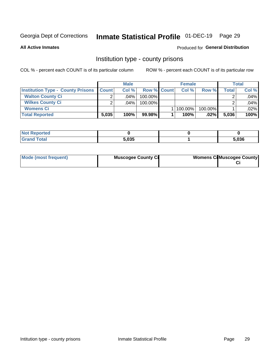# Inmate Statistical Profile 01-DEC-19 Page 29

**All Active Inmates** 

### **Produced for General Distribution**

### Institution type - county prisons

COL % - percent each COUNT is of its particular column

|                                          |              | <b>Male</b> |                    | <b>Female</b> |         |       | <b>Total</b> |
|------------------------------------------|--------------|-------------|--------------------|---------------|---------|-------|--------------|
| <b>Institution Type - County Prisons</b> | <b>Count</b> | Col%        | <b>Row % Count</b> | Col%          | Row %   | Total | Col %        |
| <b>Walton County Ci</b>                  | ⌒            | $.04\%$     | 100.00%            |               |         |       | .04%         |
| <b>Wilkes County Ci</b>                  |              | $.04\%$     | 100.00%            |               |         |       | .04%         |
| <b>Womens Ci</b>                         |              |             |                    | 100.00%       | 100.00% |       | .02%         |
| <b>Total Reported</b>                    | 5,035        | $100\%$     | 99.98%             | 100%          | $.02\%$ | 5,036 | 100%         |

| τeα    |                      |       |
|--------|----------------------|-------|
| ______ | <b>E OOE</b><br>,ບວວ | 5,036 |

| Mode (most frequent) | <b>Muscogee County Ci</b> | <b>Womens Cil Muscogee County</b> |
|----------------------|---------------------------|-----------------------------------|
|                      |                           |                                   |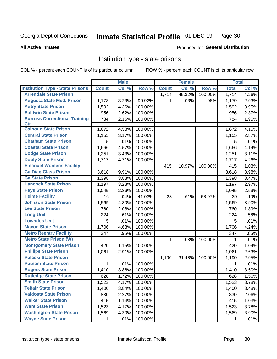# Inmate Statistical Profile 01-DEC-19 Page 30

#### **All Active Inmates**

#### Produced for General Distribution

### Institution type - state prisons

COL % - percent each COUNT is of its particular column

|                                         |              | <b>Male</b> |         |              | <b>Female</b> |         | <b>Total</b> |       |
|-----------------------------------------|--------------|-------------|---------|--------------|---------------|---------|--------------|-------|
| <b>Institution Type - State Prisons</b> | <b>Count</b> | Col %       | Row %   | <b>Count</b> | Col %         | Row %   | <b>Total</b> | Col % |
| <b>Arrendale State Prison</b>           |              |             |         | 1,714        | 45.32%        | 100.00% | 1,714        | 4.26% |
| <b>Augusta State Med. Prison</b>        | 1,178        | 3.23%       | 99.92%  | 1            | .03%          | .08%    | 1,179        | 2.93% |
| <b>Autry State Prison</b>               | 1,592        | 4.36%       | 100.00% |              |               |         | 1,592        | 3.95% |
| <b>Baldwin State Prison</b>             | 956          | 2.62%       | 100.00% |              |               |         | 956          | 2.37% |
| <b>Burruss Correctional Training</b>    | 784          | 2.15%       | 100.00% |              |               |         | 784          | 1.95% |
| <b>Ctr</b>                              |              |             |         |              |               |         |              |       |
| <b>Calhoun State Prison</b>             | 1,672        | 4.58%       | 100.00% |              |               |         | 1,672        | 4.15% |
| <b>Central State Prison</b>             | 1,155        | 3.17%       | 100.00% |              |               |         | 1,155        | 2.87% |
| <b>Chatham State Prison</b>             | 5            | .01%        | 100.00% |              |               |         | 5            | .01%  |
| <b>Coastal State Prison</b>             | 1,666        | 4.57%       | 100.00% |              |               |         | 1,666        | 4.14% |
| <b>Dodge State Prison</b>               | 1,251        | 3.43%       | 100.00% |              |               |         | 1,251        | 3.11% |
| <b>Dooly State Prison</b>               | 1,717        | 4.71%       | 100.00% |              |               |         | 1,717        | 4.26% |
| <b>Emanuel Womens Facility</b>          |              |             |         | 415          | 10.97%        | 100.00% | 415          | 1.03% |
| <b>Ga Diag Class Prison</b>             | 3,618        | 9.91%       | 100.00% |              |               |         | 3,618        | 8.98% |
| <b>Ga State Prison</b>                  | 1,398        | 3.83%       | 100.00% |              |               |         | 1,398        | 3.47% |
| <b>Hancock State Prison</b>             | 1,197        | 3.28%       | 100.00% |              |               |         | 1,197        | 2.97% |
| <b>Hays State Prison</b>                | 1,045        | 2.86%       | 100.00% |              |               |         | 1,045        | 2.59% |
| <b>Helms Facility</b>                   | 16           | .04%        | 41.03%  | 23           | .61%          | 58.97%  | 39           | .10%  |
| <b>Johnson State Prison</b>             | 1,569        | 4.30%       | 100.00% |              |               |         | 1,569        | 3.90% |
| <b>Lee State Prison</b>                 | 760          | 2.08%       | 100.00% |              |               |         | 760          | 1.89% |
| <b>Long Unit</b>                        | 224          | .61%        | 100.00% |              |               |         | 224          | .56%  |
| <b>Lowndes Unit</b>                     | 5            | .01%        | 100.00% |              |               |         | 5            | .01%  |
| <b>Macon State Prison</b>               | 1,706        | 4.68%       | 100.00% |              |               |         | 1,706        | 4.24% |
| <b>Metro Reentry Facility</b>           | 347          | .95%        | 100.00% |              |               |         | 347          | .86%  |
| <b>Metro State Prison (W)</b>           |              |             |         | $\mathbf 1$  | .03%          | 100.00% | 1            | .01%  |
| <b>Montgomery State Prison</b>          | 420          | 1.15%       | 100.00% |              |               |         | 420          | 1.04% |
| <b>Phillips State Prison</b>            | 1,061        | 2.91%       | 100.00% |              |               |         | 1,061        | 2.63% |
| <b>Pulaski State Prison</b>             |              |             |         | 1,190        | 31.46%        | 100.00% | 1,190        | 2.95% |
| <b>Putnam State Prison</b>              | $\mathbf{1}$ | .01%        | 100.00% |              |               |         | 1            | .01%  |
| <b>Rogers State Prison</b>              | 1,410        | 3.86%       | 100.00% |              |               |         | 1,410        | 3.50% |
| <b>Rutledge State Prison</b>            | 628          | 1.72%       | 100.00% |              |               |         | 628          | 1.56% |
| <b>Smith State Prison</b>               | 1,523        | 4.17%       | 100.00% |              |               |         | 1,523        | 3.78% |
| <b>Telfair State Prison</b>             | 1,400        | 3.84%       | 100.00% |              |               |         | 1,400        | 3.48% |
| <b>Valdosta State Prison</b>            | 830          | 2.27%       | 100.00% |              |               |         | 830          | 2.06% |
| <b>Walker State Prison</b>              | 415          | 1.14%       | 100.00% |              |               |         | 415          | 1.03% |
| <b>Ware State Prison</b>                | 1,523        | 4.17%       | 100.00% |              |               |         | 1,523        | 3.78% |
| <b>Washington State Prison</b>          | 1,569        | 4.30%       | 100.00% |              |               |         | 1,569        | 3.90% |
| <b>Wayne State Prison</b>               | $\mathbf{1}$ | .01%        | 100.00% |              |               |         | 1            | .01%  |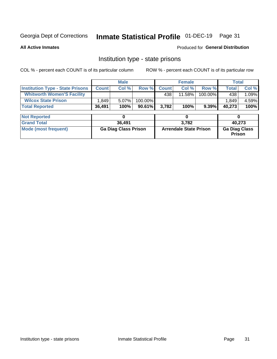# Inmate Statistical Profile 01-DEC-19 Page 31

**All Active Inmates** 

Produced for General Distribution

## Institution type - state prisons

COL % - percent each COUNT is of its particular column

|                                         |              | <b>Male</b>                 |         |              | <b>Female</b>                 |          | <b>Total</b>                   |        |
|-----------------------------------------|--------------|-----------------------------|---------|--------------|-------------------------------|----------|--------------------------------|--------|
| <b>Institution Type - State Prisons</b> | <b>Count</b> | Col %                       | Row %   | <b>Count</b> | Col %                         | Row %    | <b>Total</b>                   | Col %  |
| <b>Whitworth Women'S Facility</b>       |              |                             |         | 438          | $11.58\%$                     | 100.00%  | 438                            | 1.09%  |
| <b>Wilcox State Prison</b>              | .849         | 5.07%                       | 100.00% |              |                               |          | 1,849                          | 4.59%  |
| <b>Total Reported</b>                   | 36,491       | 100%                        | 90.61%  | 3,782        | 100%                          | $9.39\%$ | 40,273                         | 100%   |
|                                         |              |                             |         |              |                               |          |                                |        |
| <b>Not Reported</b>                     |              | 0                           |         |              | 0                             |          | 0                              |        |
| <b>Grand Total</b>                      |              | 36,491                      |         |              | 3,782                         |          |                                | 40.273 |
| <b>Mode (most frequent)</b>             |              | <b>Ga Diag Class Prison</b> |         |              | <b>Arrendale State Prison</b> |          | <b>Ga Diag Class</b><br>Prison |        |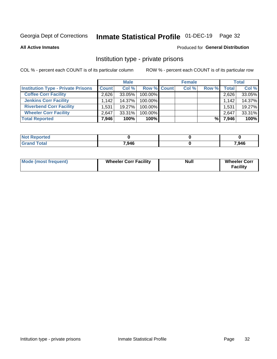# Inmate Statistical Profile 01-DEC-19 Page 32

**All Active Inmates** 

### Produced for General Distribution

### Institution type - private prisons

COL % - percent each COUNT is of its particular column

|                                           |              | <b>Male</b> |                    | <b>Female</b> |       |       | <b>Total</b> |
|-------------------------------------------|--------------|-------------|--------------------|---------------|-------|-------|--------------|
| <b>Institution Type - Private Prisons</b> | <b>Count</b> | Col %       | <b>Row % Count</b> | Col %         | Row % | Total | Col %        |
| <b>Coffee Corr Facility</b>               | 2.626        | $33.05\%$   | 100.00%            |               |       | 2,626 | 33.05%       |
| <b>Jenkins Corr Facility</b>              | 1.142        | 14.37%      | $100.00\%$         |               |       | 1,142 | 14.37%       |
| <b>Riverbend Corr Facility</b>            | 1,531        | 19.27%      | 100.00%            |               |       | 1,531 | 19.27%       |
| <b>Wheeler Corr Facility</b>              | 2.647        | $33.31\%$   | 100.00%            |               |       | 2,647 | 33.31%       |
| <b>Total Reported</b>                     | 7,946        | 100%        | $100\%$            |               | %।    | 7,946 | 100%         |

| <b>Not</b><br>' Reported |       |       |
|--------------------------|-------|-------|
| <b>Total</b>             | 7,946 | 7,946 |

| <b>Mode (most frequent)</b> | <b>Wheeler Corr Facility</b> | <b>Null</b> | <b>Wheeler Corr</b><br><b>Facility</b> |
|-----------------------------|------------------------------|-------------|----------------------------------------|
|-----------------------------|------------------------------|-------------|----------------------------------------|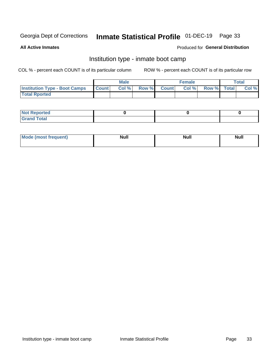# Inmate Statistical Profile 01-DEC-19 Page 33

**All Active Inmates** 

### Produced for General Distribution

# Institution type - inmate boot camp

COL % - percent each COUNT is of its particular column

|                                      |              | <b>Male</b> |               |              | <b>Female</b> |             | <b>Total</b> |
|--------------------------------------|--------------|-------------|---------------|--------------|---------------|-------------|--------------|
| <b>Institution Type - Boot Camps</b> | <b>Count</b> | Col %       | <b>Row %I</b> | <b>Count</b> | Col %         | Row % Total | Col %        |
| <b>Total Rported</b>                 |              |             |               |              |               |             |              |

| <b>Not Reported</b>            |  |  |
|--------------------------------|--|--|
| <b>Total</b><br>C <sub>r</sub> |  |  |

| Mod<br>uamo | Nul.<br>$- - - - - -$ | <b>Null</b> | <br>uu.<br>------ |
|-------------|-----------------------|-------------|-------------------|
|             |                       |             |                   |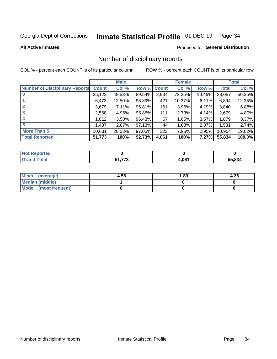# Inmate Statistical Profile 01-DEC-19 Page 34

#### **All Active Inmates**

### Produced for General Distribution

### Number of disciplinary reports

COL % - percent each COUNT is of its particular column

|                                       |              | <b>Male</b> |             |       | <b>Female</b> |        |              | <b>Total</b> |
|---------------------------------------|--------------|-------------|-------------|-------|---------------|--------|--------------|--------------|
| <b>Number of Disciplinary Reports</b> | <b>Count</b> | Col %       | Row % Count |       | Col %         | Row %  | <b>Total</b> | Col %        |
| $\bf{0}$                              | 25,123       | 48.53%      | 89.54%      | 2,934 | 72.25%        | 10.46% | 28,057       | 50.25%       |
|                                       | 6,473        | 12.50%      | 93.89%      | 421   | 10.37%        | 6.11%  | 6,894        | 12.35%       |
| $\mathbf{2}$                          | 3,679        | 7.11%       | 95.81%      | 161   | 3.96%         | 4.19%  | 3,840        | 6.88%        |
| 3                                     | 2,568        | 4.96%       | 95.86%      | 111   | 2.73%         | 4.14%  | 2,679        | 4.80%        |
|                                       | .812         | 3.50%       | 96.43%      | 67    | 1.65%         | 3.57%  | 1,879        | 3.37%        |
| 5                                     | .487         | 2.87%       | 97.13%      | 44    | 1.08%         | 2.87%  | 1,531        | 2.74%        |
| <b>More Than 5</b>                    | 10,631       | 20.53%      | 97.05%      | 323   | 7.95%         | 2.95%  | 10,954       | 19.62%       |
| <b>Total Reported</b>                 | 51,773       | 100%        | 92.73%      | 4,061 | 100%          | 7.27%  | 55,834       | 100.0%       |

| orted<br>NO: |     |       |        |
|--------------|-----|-------|--------|
| <b>Total</b> | --- | 4,061 | 55.834 |

| Mean (average)         | 4.56 | 1.83 | 4.36 |
|------------------------|------|------|------|
| <b>Median (middle)</b> |      |      |      |
| Mode (most frequent)   |      |      |      |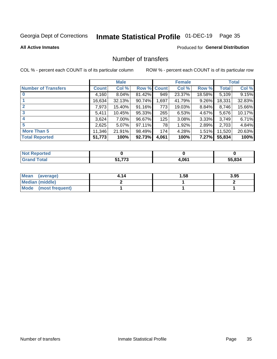# Inmate Statistical Profile 01-DEC-19 Page 35

### **All Active Inmates**

### **Produced for General Distribution**

## Number of transfers

COL % - percent each COUNT is of its particular column

|                            |         | <b>Male</b> |             |       | <b>Female</b> |          |              | <b>Total</b> |
|----------------------------|---------|-------------|-------------|-------|---------------|----------|--------------|--------------|
| <b>Number of Transfers</b> | Count l | Col %       | Row % Count |       | Col %         | Row %    | <b>Total</b> | Col %        |
|                            | 4,160   | $8.04\%$    | 81.42%      | 949   | 23.37%        | 18.58%   | 5,109        | 9.15%        |
|                            | 16,634  | 32.13%      | 90.74%      | 1,697 | 41.79%        | $9.26\%$ | 18,331       | 32.83%       |
| $\mathbf{2}$               | 7,973   | 15.40%      | 91.16%      | 773   | 19.03%        | 8.84%    | 8,746        | 15.66%       |
| 3                          | 5,411   | 10.45%      | 95.33%      | 265   | 6.53%         | 4.67%    | 5,676        | 10.17%       |
|                            | 3,624   | $7.00\%$    | 96.67%      | 125   | 3.08%         | $3.33\%$ | 3,749        | 6.71%        |
| 5                          | 2,625   | $5.07\%$    | 97.11%      | 78    | 1.92%         | 2.89%    | 2,703        | 4.84%        |
| <b>More Than 5</b>         | 11,346  | 21.91%      | 98.49%      | 174   | 4.28%         | $1.51\%$ | 11,520       | 20.63%       |
| <b>Total Reported</b>      | 51,773  | 100%        | 92.73%      | 4,061 | 100%          | 7.27%    | 55,834       | 100%         |

| Reported<br><b>NOT</b> |                     |       |       |
|------------------------|---------------------|-------|-------|
| ⊺otaì                  | ---<br>د.<br>.<br>ັ | 4,061 | 5.834 |

| Mean (average)         | 4.14 | 1.58 | 3.95 |
|------------------------|------|------|------|
| <b>Median (middle)</b> |      |      |      |
| Mode (most frequent)   |      |      |      |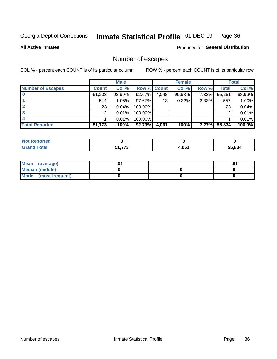# Inmate Statistical Profile 01-DEC-19 Page 36

**All Active Inmates** 

### **Produced for General Distribution**

# Number of escapes

COL % - percent each COUNT is of its particular column

|                          |              | <b>Male</b> |             |       | <b>Female</b> |       |        | <b>Total</b> |
|--------------------------|--------------|-------------|-------------|-------|---------------|-------|--------|--------------|
| <b>Number of Escapes</b> | <b>Count</b> | Col %       | Row % Count |       | Col %         | Row % | Total  | Col %        |
|                          | 51,203       | 98.90%      | 92.67%      | 4,048 | 99.68%        | 7.33% | 55,251 | 98.96%       |
|                          | 544          | 1.05%       | 97.67%      | 13    | 0.32%         | 2.33% | 557    | 1.00%        |
|                          | 23           | 0.04%       | 100.00%     |       |               |       | 23     | 0.04%        |
|                          | ⌒            | 0.01%       | 100.00%     |       |               |       | ◠      | 0.01%        |
|                          |              | 0.01%       | 100.00%     |       |               |       |        | 0.01%        |
| <b>Total Reported</b>    | 51,773       | 100%        | $92.73\%$   | 4,061 | 100%          | 7.27% | 55,834 | 100.0%       |

| <b>Not Reported</b> |               |       |       |
|---------------------|---------------|-------|-------|
| <b>Grand Total</b>  | -4 770<br>1 J | 4,061 | 5.834 |

| Mean (average)         |  | .0 <sup>4</sup> |
|------------------------|--|-----------------|
| <b>Median (middle)</b> |  |                 |
| Mode (most frequent)   |  |                 |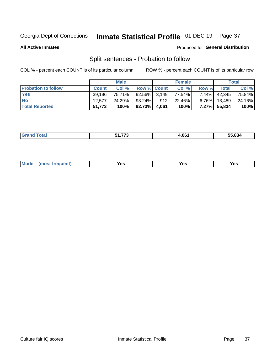# Inmate Statistical Profile 01-DEC-19 Page 37

**All Active Inmates** 

### Produced for General Distribution

# Split sentences - Probation to follow

COL % - percent each COUNT is of its particular column

|                            |              | <b>Male</b> |                 |       | <b>Female</b> |          |              | <b>Total</b> |
|----------------------------|--------------|-------------|-----------------|-------|---------------|----------|--------------|--------------|
| <b>Probation to follow</b> | <b>Count</b> | Col%        | Row % Count     |       | Col %         | Row %    | <b>Total</b> | Col %        |
| <b>Yes</b>                 | 39.196       | 75.71%      | $92.56\%$ 3.149 |       | 77.54%        | $7.44\%$ | 42,345       | 75.84%       |
| <b>No</b>                  | 12.577       | 24.29%      | 93.24%          | 912   | 22.46%        | $6.76\%$ | 13,489       | 24.16%       |
| <b>Total Reported</b>      | 51,773       | 100%        | $92.73\%$       | 4,061 | 100%          | $7.27\%$ | 55,834       | 100%         |

| ______ | ----- | 4.061 | <br>530ء |
|--------|-------|-------|----------|
|        |       |       |          |

| <b>Mode</b><br>reauent)<br>Yes<br>v^c<br>0٥<br>.<br>. .<br>$\sim$ |
|-------------------------------------------------------------------|
|-------------------------------------------------------------------|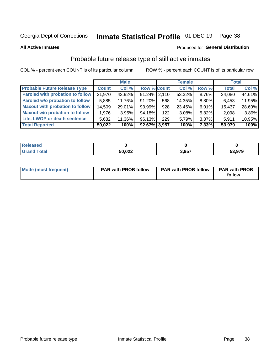# Inmate Statistical Profile 01-DEC-19 Page 38

**All Active Inmates** 

#### Produced for General Distribution

### Probable future release type of still active inmates

COL % - percent each COUNT is of its particular column

|                                         |              | <b>Male</b> |                    |     | <b>Female</b> |          | <b>Total</b> |        |
|-----------------------------------------|--------------|-------------|--------------------|-----|---------------|----------|--------------|--------|
| <b>Probable Future Release Type</b>     | <b>Count</b> | Col %       | <b>Row % Count</b> |     | Col%          | Row %    | <b>Total</b> | Col %  |
| <b>Paroled with probation to follow</b> | 21,970       | 43.92%      | $91.24\%$ 2,110    |     | 53.32%        | 8.76%    | 24,080       | 44.61% |
| Paroled w/o probation to follow         | 5,885        | 11.76%      | 91.20%             | 568 | 14.35%        | 8.80%    | 6,453        | 11.95% |
| <b>Maxout with probation to follow</b>  | 14,509       | 29.01%      | 93.99%             | 928 | 23.45%        | $6.01\%$ | 15,437       | 28.60% |
| <b>Maxout w/o probation to follow</b>   | 1,976        | 3.95%       | 94.18%             | 122 | 3.08%         | 5.82%    | 2,098        | 3.89%  |
| Life, LWOP or death sentence            | 5,682        | 11.36%      | 96.13%             | 229 | 5.79%         | 3.87%    | 5,911        | 10.95% |
| <b>Total Reported</b>                   | 50,022       | 100%        | 92.67% 3,957       |     | 100%          | $7.33\%$ | 53,979       | 100%   |

| . otal | 50,022 | 2 Q57 | 53,979 |
|--------|--------|-------|--------|

| Mode (most frequent) | <b>PAR with PROB follow</b> | <b>PAR with PROB follow</b> | <b>PAR with PROB</b> |  |
|----------------------|-----------------------------|-----------------------------|----------------------|--|
|                      |                             |                             | follow               |  |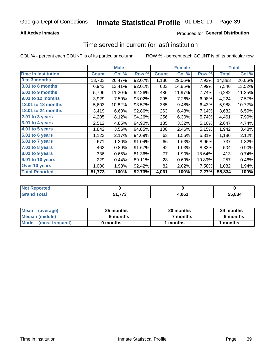### **All Active Inmates**

### **Produced for General Distribution**

# Time served in current (or last) institution

COL % - percent each COUNT is of its particular column

|                            |              | <b>Male</b> |        |              | <b>Female</b> |        |              | <b>Total</b> |
|----------------------------|--------------|-------------|--------|--------------|---------------|--------|--------------|--------------|
| <b>Time In Institution</b> | <b>Count</b> | Col %       | Row %  | <b>Count</b> | Col %         | Row %  | <b>Total</b> | Col %        |
| 0 to 3 months              | 13,703       | 26.47%      | 92.07% | 1,180        | 29.06%        | 7.93%  | 14,883       | 26.66%       |
| 3.01 to 6 months           | 6,943        | 13.41%      | 92.01% | 603          | 14.85%        | 7.99%  | 7,546        | 13.52%       |
| 6.01 to 9 months           | 5,796        | 11.20%      | 92.26% | 486          | 11.97%        | 7.74%  | 6,282        | 11.25%       |
| 9.01 to 12 months          | 3,929        | 7.59%       | 93.02% | 295          | 7.26%         | 6.98%  | 4,224        | 7.57%        |
| 12.01 to 18 months         | 5,603        | 10.82%      | 93.57% | 385          | 9.48%         | 6.43%  | 5,988        | 10.72%       |
| <b>18.01 to 24 months</b>  | 3,419        | 6.60%       | 92.86% | 263          | 6.48%         | 7.14%  | 3,682        | 6.59%        |
| $2.01$ to 3 years          | 4,205        | 8.12%       | 94.26% | 256          | 6.30%         | 5.74%  | 4,461        | 7.99%        |
| 3.01 to 4 years            | 2,512        | 4.85%       | 94.90% | 135          | 3.32%         | 5.10%  | 2,647        | 4.74%        |
| $4.01$ to 5 years          | 1,842        | 3.56%       | 94.85% | 100          | 2.46%         | 5.15%  | 1,942        | 3.48%        |
| 5.01 to 6 years            | 1,123        | 2.17%       | 94.69% | 63           | 1.55%         | 5.31%  | 1,186        | 2.12%        |
| 6.01 to 7 years            | 671          | 1.30%       | 91.04% | 66           | 1.63%         | 8.96%  | 737          | 1.32%        |
| 7.01 to 8 years            | 462          | 0.89%       | 91.67% | 42           | 1.03%         | 8.33%  | 504          | 0.90%        |
| $8.01$ to 9 years          | 336          | 0.65%       | 81.36% | 77           | 1.90%         | 18.64% | 413          | 0.74%        |
| 9.01 to 10 years           | 229          | 0.44%       | 89.11% | 28           | 0.69%         | 10.89% | 257          | 0.46%        |
| Over 10 years              | 1,000        | 1.93%       | 92.42% | 82           | 2.02%         | 7.58%  | 1,082        | 1.94%        |
| <b>Total Reported</b>      | 51,773       | 100%        | 92.73% | 4,061        | 100%          | 7.27%  | 55,834       | 100%         |

| meo<br><b>NOT</b> |                    |                    |        |
|-------------------|--------------------|--------------------|--------|
| $int^{\bullet}$   | ラフヘ<br>Г4.<br>- 11 | <b>061</b><br>7.UU | 55.834 |

| <b>Mean</b><br>(average) | 25 months | 20 months | 24 months |  |
|--------------------------|-----------|-----------|-----------|--|
| Median (middle)          | 9 months  | 7 months  | 9 months  |  |
| Mode<br>(most frequent)  | 0 months  | months    | ∖ months  |  |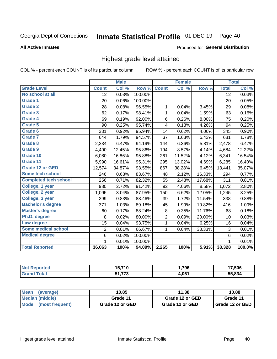#### Inmate Statistical Profile 01-DEC-19 Page 40

#### **All Active Inmates**

#### Produced for General Distribution

### Highest grade level attained

COL % - percent each COUNT is of its particular column

|                              |                 | <b>Male</b> |         |                | <b>Female</b> |        |                 | <b>Total</b> |
|------------------------------|-----------------|-------------|---------|----------------|---------------|--------|-----------------|--------------|
| <b>Grade Level</b>           | <b>Count</b>    | Col %       | Row %   | <b>Count</b>   | Col %         | Row %  | <b>Total</b>    | Col %        |
| No school at all             | $\overline{12}$ | 0.03%       | 100.00% |                |               |        | $\overline{12}$ | 0.03%        |
| <b>Grade 1</b>               | 20              | 0.06%       | 100.00% |                |               |        | 20              | 0.05%        |
| <b>Grade 2</b>               | 28              | 0.08%       | 96.55%  | 1              | 0.04%         | 3.45%  | 29              | 0.08%        |
| Grade 3                      | 62              | 0.17%       | 98.41%  | 1              | 0.04%         | 1.59%  | 63              | 0.16%        |
| <b>Grade 4</b>               | 69              | 0.19%       | 92.00%  | 6              | 0.26%         | 8.00%  | 75              | 0.20%        |
| Grade 5                      | 90              | 0.25%       | 95.74%  | 4              | 0.18%         | 4.26%  | 94              | 0.25%        |
| Grade 6                      | 331             | 0.92%       | 95.94%  | 14             | 0.62%         | 4.06%  | 345             | 0.90%        |
| Grade 7                      | 644             | 1.79%       | 94.57%  | 37             | 1.63%         | 5.43%  | 681             | 1.78%        |
| Grade 8                      | 2,334           | 6.47%       | 94.19%  | 144            | 6.36%         | 5.81%  | 2,478           | 6.47%        |
| Grade 9                      | 4,490           | 12.45%      | 95.86%  | 194            | 8.57%         | 4.14%  | 4,684           | 12.22%       |
| Grade 10                     | 6,080           | 16.86%      | 95.88%  | 261            | 11.52%        | 4.12%  | 6,341           | 16.54%       |
| Grade 11                     | 5,990           | 16.61%      | 95.31%  | 295            | 13.02%        | 4.69%  | 6,285           | 16.40%       |
| <b>Grade 12 or GED</b>       | 12,574          | 34.87%      | 93.55%  | 867            | 38.28%        | 6.45%  | 13,441          | 35.07%       |
| <b>Some tech school</b>      | 246             | 0.68%       | 83.67%  | 48             | 2.12%         | 16.33% | 294             | 0.77%        |
| <b>Completed tech school</b> | 256             | 0.71%       | 82.32%  | 55             | 2.43%         | 17.68% | 311             | 0.81%        |
| College, 1 year              | 980             | 2.72%       | 91.42%  | 92             | 4.06%         | 8.58%  | 1,072           | 2.80%        |
| College, 2 year              | 1,095           | 3.04%       | 87.95%  | 150            | 6.62%         | 12.05% | 1,245           | 3.25%        |
| College, 3 year              | 299             | 0.83%       | 88.46%  | 39             | 1.72%         | 11.54% | 338             | 0.88%        |
| <b>Bachelor's degree</b>     | 371             | 1.03%       | 89.18%  | 45             | 1.99%         | 10.82% | 416             | 1.09%        |
| <b>Master's degree</b>       | 60              | 0.17%       | 88.24%  | 8              | 0.35%         | 11.76% | 68              | 0.18%        |
| Ph.D. degree                 | 8               | 0.02%       | 80.00%  | $\overline{c}$ | 0.09%         | 20.00% | 10              | 0.03%        |
| Law degree                   | 15              | 0.04%       | 93.75%  | $\mathbf{1}$   | 0.04%         | 6.25%  | 16              | 0.04%        |
| <b>Some medical school</b>   | 2               | 0.01%       | 66.67%  | 1              | 0.04%         | 33.33% | 3               | 0.01%        |
| <b>Medical degree</b>        | 6               | 0.02%       | 100.00% |                |               |        | 6               | 0.02%        |
|                              | 1               | 0.01%       | 100.00% |                |               |        | 1               | 0.01%        |
| <b>Total Reported</b>        | 36,063          | 100%        | 94.09%  | 2,265          | 100%          | 5.91%  | 38,328          | 100.0%       |

| 15.710           | ,796  | 7.506          |
|------------------|-------|----------------|
| ーーー<br>- 4<br>72 | 4,061 | FF 88.4<br>650 |

| Mean<br>(average)    | 10.85           | 11.38           | 10.88           |  |
|----------------------|-----------------|-----------------|-----------------|--|
| Median (middle)      | Grade 11        | Grade 12 or GED | Grade 11        |  |
| Mode (most frequent) | Grade 12 or GED | Grade 12 or GED | Grade 12 or GED |  |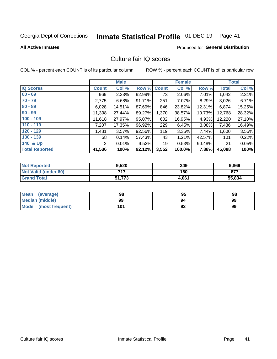# Inmate Statistical Profile 01-DEC-19 Page 41

#### **All Active Inmates**

### **Produced for General Distribution**

## Culture fair IQ scores

COL % - percent each COUNT is of its particular column

|                       |              | <b>Male</b> |             |       | <b>Female</b> |        |              | <b>Total</b> |
|-----------------------|--------------|-------------|-------------|-------|---------------|--------|--------------|--------------|
| <b>IQ Scores</b>      | <b>Count</b> | Col %       | Row % Count |       | Col %         | Row %  | <b>Total</b> | Col %        |
| $60 - 69$             | 969          | 2.33%       | 92.99%      | 73    | 2.06%         | 7.01%  | 1,042        | 2.31%        |
| $70 - 79$             | 2,775        | 6.68%       | 91.71%      | 251   | 7.07%         | 8.29%  | 3,026        | 6.71%        |
| $80 - 89$             | 6,028        | 14.51%      | 87.69%      | 846   | 23.82%        | 12.31% | 6,874        | 15.25%       |
| $90 - 99$             | 11,398       | 27.44%      | 89.27%      | 1,370 | 38.57%        | 10.73% | 12,768       | 28.32%       |
| $100 - 109$           | 11,618       | 27.97%      | 95.07%      | 602   | 16.95%        | 4.93%  | 12,220       | 27.10%       |
| $110 - 119$           | 7,207        | 17.35%      | 96.92%      | 229   | 6.45%         | 3.08%  | 7,436        | 16.49%       |
| $120 - 129$           | 1,481        | 3.57%       | 92.56%      | 119   | 3.35%         | 7.44%  | 1,600        | 3.55%        |
| $130 - 139$           | 58           | 0.14%       | 57.43%      | 43    | 1.21%         | 42.57% | 101          | 0.22%        |
| 140 & Up              | 2            | 0.01%       | 9.52%       | 19    | 0.53%         | 90.48% | 21           | 0.05%        |
| <b>Total Reported</b> | 41,536       | 100%        | 92.12%      | 3,552 | 100.0%        | 7.88%  | 45,088       | 100%         |

| <b>Not Reported</b>         | 9,520  | 349   | 9,869  |
|-----------------------------|--------|-------|--------|
| <b>Not Valid (under 60)</b> | フィフ    | 160   | 877    |
| <b>Grand Total</b>          | 51,773 | 4,061 | 55,834 |

| <b>Mean</b><br>(average) | 98  | 95 | 98 |
|--------------------------|-----|----|----|
| <b>Median (middle)</b>   | 99  | 94 | 99 |
| Mode<br>(most frequent)  | 101 | 92 | 99 |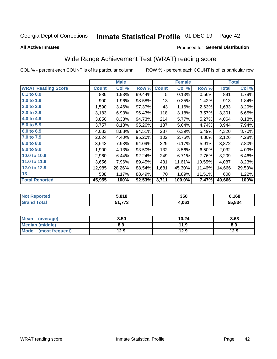#### Inmate Statistical Profile 01-DEC-19 Page 42

**All Active Inmates** 

#### Produced for General Distribution

## Wide Range Achievement Test (WRAT) reading score

COL % - percent each COUNT is of its particular column

|                           |              | <b>Male</b> |        |              | <b>Female</b> |        |              | <b>Total</b> |
|---------------------------|--------------|-------------|--------|--------------|---------------|--------|--------------|--------------|
| <b>WRAT Reading Score</b> | <b>Count</b> | Col %       | Row %  | <b>Count</b> | Col %         | Row %  | <b>Total</b> | Col %        |
| 0.1 to 0.9                | 886          | 1.93%       | 99.44% | 5            | 0.13%         | 0.56%  | 891          | 1.79%        |
| 1.0 to 1.9                | 900          | 1.96%       | 98.58% | 13           | 0.35%         | 1.42%  | 913          | 1.84%        |
| 2.0 to 2.9                | 1,590        | 3.46%       | 97.37% | 43           | 1.16%         | 2.63%  | 1,633        | 3.29%        |
| 3.0 to 3.9                | 3,183        | 6.93%       | 96.43% | 118          | 3.18%         | 3.57%  | 3,301        | 6.65%        |
| 4.0 to 4.9                | 3,850        | 8.38%       | 94.73% | 214          | 5.77%         | 5.27%  | 4,064        | 8.18%        |
| 5.0 to 5.9                | 3,757        | 8.18%       | 95.26% | 187          | 5.04%         | 4.74%  | 3,944        | 7.94%        |
| 6.0 to 6.9                | 4,083        | 8.88%       | 94.51% | 237          | 6.39%         | 5.49%  | 4,320        | 8.70%        |
| 7.0 to 7.9                | 2,024        | 4.40%       | 95.20% | 102          | 2.75%         | 4.80%  | 2,126        | 4.28%        |
| 8.0 to 8.9                | 3,643        | 7.93%       | 94.09% | 229          | 6.17%         | 5.91%  | 3,872        | 7.80%        |
| 9.0 to 9.9                | 1,900        | 4.13%       | 93.50% | 132          | 3.56%         | 6.50%  | 2,032        | 4.09%        |
| 10.0 to 10.9              | 2,960        | 6.44%       | 92.24% | 249          | 6.71%         | 7.76%  | 3,209        | 6.46%        |
| 11.0 to 11.9              | 3,656        | 7.96%       | 89.45% | 431          | 11.61%        | 10.55% | 4,087        | 8.23%        |
| 12.0 to 12.9              | 12,985       | 28.26%      | 88.54% | 1,681        | 45.30%        | 11.46% | 14,666       | 29.53%       |
| 13                        | 538          | 1.17%       | 88.49% | 70           | 1.89%         | 11.51% | 608          | 1.22%        |
| <b>Total Reported</b>     | 45,955       | 100%        | 92.53% | 3,711        | 100.0%        | 7.47%  | 49,666       | 100%         |

| <b>orted</b><br><b>NO</b> | 5.818                  | 350   | 6,168  |
|---------------------------|------------------------|-------|--------|
| <b>Total</b><br>Grz       | <b>E4 772</b><br>31.77 | 4,061 | 55.834 |

| <b>Mean</b><br>(average) | 8.50 | 10.24 | 8.63 |
|--------------------------|------|-------|------|
| <b>Median (middle)</b>   | 8.9  | 11.9  | 8.9  |
| Mode (most frequent)     | 12.9 | 12.9  | 12.9 |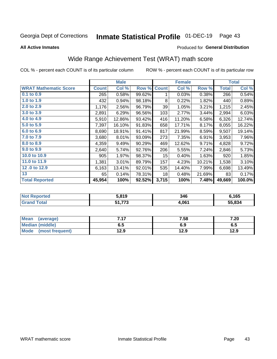#### Inmate Statistical Profile 01-DEC-19 Page 43

**All Active Inmates** 

#### Produced for General Distribution

## Wide Range Achievement Test (WRAT) math score

COL % - percent each COUNT is of its particular column

|                              |              | <b>Male</b> |        |                 | <b>Female</b> |        |              | <b>Total</b> |
|------------------------------|--------------|-------------|--------|-----------------|---------------|--------|--------------|--------------|
| <b>WRAT Mathematic Score</b> | <b>Count</b> | Col %       | Row %  | <b>Count</b>    | Col %         | Row %  | <b>Total</b> | Col %        |
| $0.1$ to $0.9$               | 265          | 0.58%       | 99.62% | 1               | 0.03%         | 0.38%  | 266          | 0.54%        |
| 1.0 to 1.9                   | 432          | 0.94%       | 98.18% | 8               | 0.22%         | 1.82%  | 440          | 0.89%        |
| 2.0 to 2.9                   | 1,176        | 2.56%       | 96.79% | 39              | 1.05%         | 3.21%  | 1,215        | 2.45%        |
| 3.0 to 3.9                   | 2,891        | 6.29%       | 96.56% | 103             | 2.77%         | 3.44%  | 2,994        | 6.03%        |
| 4.0 to 4.9                   | 5,910        | 12.86%      | 93.42% | 416             | 11.20%        | 6.58%  | 6,326        | 12.74%       |
| 5.0 to 5.9                   | 7,397        | 16.10%      | 91.83% | 658             | 17.71%        | 8.17%  | 8,055        | 16.22%       |
| 6.0 to 6.9                   | 8,690        | 18.91%      | 91.41% | 817             | 21.99%        | 8.59%  | 9,507        | 19.14%       |
| 7.0 to 7.9                   | 3,680        | 8.01%       | 93.09% | 273             | 7.35%         | 6.91%  | 3,953        | 7.96%        |
| 8.0 to 8.9                   | 4,359        | 9.49%       | 90.29% | 469             | 12.62%        | 9.71%  | 4,828        | 9.72%        |
| 9.0 to 9.9                   | 2,640        | 5.74%       | 92.76% | 206             | 5.55%         | 7.24%  | 2,846        | 5.73%        |
| 10.0 to 10.9                 | 905          | 1.97%       | 98.37% | 15 <sub>1</sub> | 0.40%         | 1.63%  | 920          | 1.85%        |
| 11.0 to 11.9                 | 1,381        | 3.01%       | 89.79% | 157             | 4.23%         | 10.21% | 1,538        | 3.10%        |
| 12.0 to 12.9                 | 6,163        | 13.41%      | 92.01% | 535             | 14.40%        | 7.99%  | 6,698        | 13.49%       |
| 13                           | 65           | 0.14%       | 78.31% | 18              | 0.48%         | 21.69% | 83           | 0.17%        |
| <b>Total Reported</b>        | 45,954       | 100%        | 92.52% | 3,715           | 100%          | 7.48%  | 49,669       | 100.0%       |

| rtea<br>NO | : 040<br>. .<br>3.0 ש | 346   | 6,165  |
|------------|-----------------------|-------|--------|
| $\sim$     | 770<br>E 4.<br>- 10   | 4,061 | 55.834 |

| <b>Mean</b><br>(average) | 717<br>. | 7.58 | 7.20 |
|--------------------------|----------|------|------|
| Median (middle)          | כ.ס      | 6.9  | ხ.მ  |
| Mode<br>(most frequent)  | 12.9     | 12.9 | 12.9 |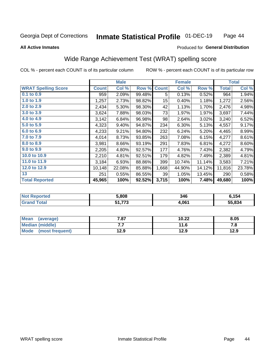#### **Inmate Statistical Profile 01-DEC-19** Page 44

**All Active Inmates** 

#### Produced for General Distribution

## Wide Range Achievement Test (WRAT) spelling score

COL % - percent each COUNT is of its particular column

|                            |              | <b>Male</b> |        |              | <b>Female</b> |        |              | <b>Total</b> |
|----------------------------|--------------|-------------|--------|--------------|---------------|--------|--------------|--------------|
| <b>WRAT Spelling Score</b> | <b>Count</b> | Col %       | Row %  | <b>Count</b> | Col %         | Row %  | <b>Total</b> | Col %        |
| 0.1 to 0.9                 | 959          | 2.09%       | 99.48% | 5            | 0.13%         | 0.52%  | 964          | 1.94%        |
| 1.0 to 1.9                 | 1,257        | 2.73%       | 98.82% | 15           | 0.40%         | 1.18%  | 1,272        | 2.56%        |
| 2.0 to 2.9                 | 2,434        | 5.30%       | 98.30% | 42           | 1.13%         | 1.70%  | 2,476        | 4.98%        |
| 3.0 to 3.9                 | 3,624        | 7.88%       | 98.03% | 73           | 1.97%         | 1.97%  | 3,697        | 7.44%        |
| 4.0 to 4.9                 | 3,142        | 6.84%       | 96.98% | 98           | 2.64%         | 3.02%  | 3,240        | 6.52%        |
| 5.0 to 5.9                 | 4,323        | 9.40%       | 94.87% | 234          | 6.30%         | 5.13%  | 4,557        | 9.17%        |
| 6.0 to 6.9                 | 4,233        | 9.21%       | 94.80% | 232          | 6.24%         | 5.20%  | 4,465        | 8.99%        |
| 7.0 to 7.9                 | 4,014        | 8.73%       | 93.85% | 263          | 7.08%         | 6.15%  | 4,277        | 8.61%        |
| 8.0 to 8.9                 | 3,981        | 8.66%       | 93.19% | 291          | 7.83%         | 6.81%  | 4,272        | 8.60%        |
| 9.0 to 9.9                 | 2,205        | 4.80%       | 92.57% | 177          | 4.76%         | 7.43%  | 2,382        | 4.79%        |
| 10.0 to 10.9               | 2,210        | 4.81%       | 92.51% | 179          | 4.82%         | 7.49%  | 2,389        | 4.81%        |
| 11.0 to 11.9               | 3,184        | 6.93%       | 88.86% | 399          | 10.74%        | 11.14% | 3,583        | 7.21%        |
| 12.0 to 12.9               | 10,148       | 22.08%      | 85.88% | 1,668        | 44.90%        | 14.12% | 11,816       | 23.78%       |
| 13                         | 251          | 0.55%       | 86.55% | 39           | 1.05%         | 13.45% | 290          | 0.58%        |
| <b>Total Reported</b>      | 45,965       | 100%        | 92.52% | 3,715        | 100%          | 7.48%  | 49,680       | 100%         |

| eported?<br><b>NO</b> | 5,808                   | 346   | .154   |
|-----------------------|-------------------------|-------|--------|
| <b>otal</b>           | -4 770<br>. .<br>JI.IIJ | 4,061 | 55.834 |

| <b>Mean</b><br>(average) | 7.87 | 10.22 | 8.05 |
|--------------------------|------|-------|------|
| <b>Median (middle)</b>   | . .  | 11.6  | ه. ، |
| Mode<br>(most frequent)  | 12.9 | 12.9  | 12.9 |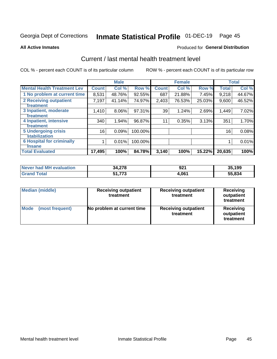# Inmate Statistical Profile 01-DEC-19 Page 45

#### **All Active Inmates**

### **Produced for General Distribution**

## Current / last mental health treatment level

COL % - percent each COUNT is of its particular column

|                                    |              | <b>Male</b> |         |              | <b>Female</b> |           |              | <b>Total</b> |
|------------------------------------|--------------|-------------|---------|--------------|---------------|-----------|--------------|--------------|
| <b>Mental Health Treatment Lev</b> | <b>Count</b> | Col %       | Row %   | <b>Count</b> | Col %         | Row %     | <b>Total</b> | Col %        |
| 1 No problem at current time       | 8,531        | 48.76%      | 92.55%  | 687          | 21.88%        | 7.45%     | 9,218        | 44.67%       |
| 2 Receiving outpatient             | 7,197        | 41.14%      | 74.97%  | 2,403        | 76.53%        | 25.03%    | 9,600        | 46.52%       |
| <b>Treatment</b>                   |              |             |         |              |               |           |              |              |
| 3 Inpatient, moderate              | 1,410        | 8.06%       | 97.31%  | 39           | 1.24%         | 2.69%     | 1,449        | 7.02%        |
| <b>Treatment</b>                   |              |             |         |              |               |           |              |              |
| 4 Inpatient, intensive             | 340          | 1.94%       | 96.87%  | 11           | 0.35%         | 3.13%     | 351          | 1.70%        |
| Treatment                          |              |             |         |              |               |           |              |              |
| <b>5 Undergoing crisis</b>         | 16           | 0.09%       | 100.00% |              |               |           | 16           | 0.08%        |
| <b>Stabilization</b>               |              |             |         |              |               |           |              |              |
| <b>6 Hospital for criminally</b>   |              | 0.01%       | 100.00% |              |               |           |              | 0.01%        |
| <b>Tinsane</b>                     |              |             |         |              |               |           |              |              |
| <b>Total Evaluated</b>             | 17,495       | 100%        | 84.78%  | 3,140        | 100%          | $15.22\%$ | 20,635       | 100%         |

| Never had MH evaluation | 34,278                    | ດດ<br>92 . | 35.199      |
|-------------------------|---------------------------|------------|-------------|
| $\tau$ otal             | フフク<br>E4.<br>73<br>J I J | 1.061      | 55.834<br>… |

| <b>Median (middle)</b>         | <b>Receiving outpatient</b><br>treatment | <b>Receiving outpatient</b><br>treatment | <b>Receiving</b><br>outpatient<br>treatment |  |  |
|--------------------------------|------------------------------------------|------------------------------------------|---------------------------------------------|--|--|
| <b>Mode</b><br>(most frequent) | No problem at current time               | <b>Receiving outpatient</b><br>treatment | Receiving<br>outpatient<br>treatment        |  |  |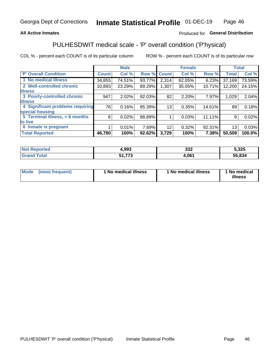### **All Active Inmates**

### Produced for General Distribution

## PULHESDWIT medical scale - 'P' overall condition ('P'hysical)

COL % - percent each COUNT is of its particular column

|                                  |              | <b>Male</b> |        |              | <b>Female</b> |        |              | <b>Total</b> |
|----------------------------------|--------------|-------------|--------|--------------|---------------|--------|--------------|--------------|
| <b>'P' Overall Condition</b>     | <b>Count</b> | Col %       | Row %  | <b>Count</b> | Col %         | Row %  | <b>Total</b> | Col %        |
| 1 No medical illness             | 34,855       | 74.51%      | 93.77% | 2,314        | 62.05%        | 6.23%  | 37,169       | 73.59%       |
| 2 Well-controlled chronic        | 10,893       | 23.29%      | 89.29% | 1,307        | 35.05%        | 10.71% | 12,200       | 24.15%       |
| <b>lillness</b>                  |              |             |        |              |               |        |              |              |
| 3 Poorly-controlled chronic      | 947          | 2.02%       | 92.03% | 82           | 2.20%         | 7.97%  | 1,029        | 2.04%        |
| <b>illness</b>                   |              |             |        |              |               |        |              |              |
| 4 Significant problems requiring | 76           | 0.16%       | 85.39% | 13           | 0.35%         | 14.61% | 89'          | 0.18%        |
| special housing                  |              |             |        |              |               |        |              |              |
| 5 Terminal illness, < 6 months   | 8            | 0.02%       | 88.89% |              | 0.03%         | 11.11% | 9            | 0.02%        |
| to live                          |              |             |        |              |               |        |              |              |
| 6 Inmate is pregnant             |              | 0.01%       | 7.69%  | 12           | 0.32%         | 92.31% | 13           | 0.03%        |
| <b>Total Reported</b>            | 46,780       | 100%        | 92.62% | 3,729        | 100%          | 7.38%  | 50,509       | 100.0%       |

| orted | 1,993 | nnn<br>◡◡▵ | <b>E 22F</b><br>.JZJ |
|-------|-------|------------|----------------------|
| 'ota. | ---   | .061       | 55.834               |

| Mode<br>(most frequent) |  | <sup>1</sup> No medical illness | 1 No medical illness | 1 No medical<br>illness |
|-------------------------|--|---------------------------------|----------------------|-------------------------|
|-------------------------|--|---------------------------------|----------------------|-------------------------|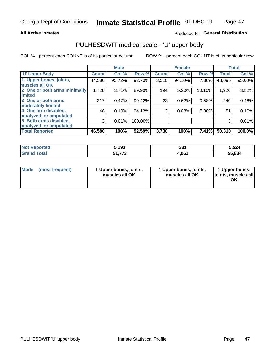#### **All Active Inmates**

### Produced for General Distribution

# PULHESDWIT medical scale - 'U' upper body

COL % - percent each COUNT is of its particular column

|                              |              | <b>Male</b> |         |              | <b>Female</b> |        |              | <b>Total</b> |
|------------------------------|--------------|-------------|---------|--------------|---------------|--------|--------------|--------------|
| <b>U' Upper Body</b>         | <b>Count</b> | Col %       | Row %   | <b>Count</b> | Col %         | Row %  | <b>Total</b> | Col %        |
| 1 Upper bones, joints,       | 44,586       | 95.72%      | 92.70%  | 3,510        | 94.10%        | 7.30%  | 48,096       | 95.60%       |
| muscles all OK               |              |             |         |              |               |        |              |              |
| 2 One or both arms minimally | 1,726        | 3.71%       | 89.90%  | 194          | 5.20%         | 10.10% | 1,920        | 3.82%        |
| limited                      |              |             |         |              |               |        |              |              |
| 3 One or both arms           | 217          | 0.47%       | 90.42%  | 23           | 0.62%         | 9.58%  | 240          | 0.48%        |
| <b>moderately limited</b>    |              |             |         |              |               |        |              |              |
| 4 One arm disabled,          | 48           | 0.10%       | 94.12%  | 3            | 0.08%         | 5.88%  | 51           | 0.10%        |
| paralyzed, or amputated      |              |             |         |              |               |        |              |              |
| 5 Both arms disabled,        | 3            | 0.01%       | 100.00% |              |               |        | 3            | 0.01%        |
| paralyzed, or amputated      |              |             |         |              |               |        |              |              |
| <b>Total Reported</b>        | 46,580       | 100%        | 92.59%  | 3,730        | 100%          | 7.41%  | 50,310       | 100.0%       |

| <b>Not Reported</b> | 5,193         | つつイ<br>ວວ⊤ | 5,524  |
|---------------------|---------------|------------|--------|
| <b>Grand Total</b>  | 51,773<br>E4. | 4,061      | 55,834 |

| Mode (most frequent) | 1 Upper bones, joints,<br>muscles all OK | 1 Upper bones, joints,<br>muscles all OK | 1 Upper bones,<br>joints, muscles all<br>ΟK |
|----------------------|------------------------------------------|------------------------------------------|---------------------------------------------|
|----------------------|------------------------------------------|------------------------------------------|---------------------------------------------|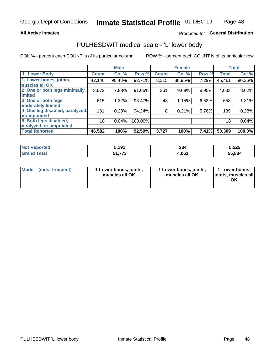### **All Active Inmates**

### Produced for General Distribution

## PULHESDWIT medical scale - 'L' lower body

COL % - percent each COUNT is of its particular column

|                                |              | <b>Male</b> |         |              | <b>Female</b> |       |              | <b>Total</b> |
|--------------------------------|--------------|-------------|---------|--------------|---------------|-------|--------------|--------------|
| 'L' Lower Body                 | <b>Count</b> | Col %       | Row %   | <b>Count</b> | Col %         | Row % | <b>Total</b> | Col %        |
| 1 Lower bones, joints,         | 42,146       | 90.48%      | 92.71%  | 3,315        | 88.95%        | 7.29% | 45,461       | 90.36%       |
| muscles all OK                 |              |             |         |              |               |       |              |              |
| 2 One or both legs minimally   | 3,672        | 7.88%       | 91.05%  | 361          | 9.69%         | 8.95% | 4,033        | 8.02%        |
| limited                        |              |             |         |              |               |       |              |              |
| 3 One or both legs             | 615          | 1.32%       | 93.47%  | 43           | 1.15%         | 6.53% | 658          | 1.31%        |
| moderately limited             |              |             |         |              |               |       |              |              |
| 4 One leg disabled, paralyzed, | 131          | 0.28%       | 94.24%  | 8            | 0.21%         | 5.76% | 139          | 0.28%        |
| or amputated                   |              |             |         |              |               |       |              |              |
| 5 Both legs disabled,          | 18           | 0.04%       | 100.00% |              |               |       | 18           | 0.04%        |
| paralyzed, or amputated        |              |             |         |              |               |       |              |              |
| <b>Total Reported</b>          | 46,582       | 100%        | 92.59%  | 3,727        | 100%          | 7.41% | 50,309       | 100.0%       |

| <b>Not Reported</b> | ៈ 1 0 1<br>IJ                | 334   | 5,525  |
|---------------------|------------------------------|-------|--------|
| <b>Total</b>        | 772<br>£4.<br>7 J<br>J I . I | 4,061 | 55,834 |

| Mode (most frequent) | 1 Lower bones, joints,<br>muscles all OK | 1 Lower bones, joints,<br>muscles all OK | 1 Lower bones,<br>joints, muscles all<br>ΟK |
|----------------------|------------------------------------------|------------------------------------------|---------------------------------------------|
|----------------------|------------------------------------------|------------------------------------------|---------------------------------------------|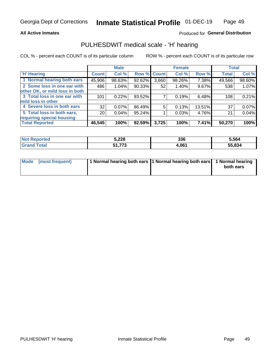#### **All Active Inmates**

### Produced for General Distribution

### PULHESDWIT medical scale - 'H' hearing

COL % - percent each COUNT is of its particular column

|                                |              | <b>Male</b> |                    |       | <b>Female</b> |          | <b>Total</b> |        |
|--------------------------------|--------------|-------------|--------------------|-------|---------------|----------|--------------|--------|
| <b>H' Hearing</b>              | <b>Count</b> | Col %       | <b>Row % Count</b> |       | Col %         | Row %    | <b>Total</b> | Col %  |
| 1 Normal hearing both ears     | 45,906       | 98.63%      | 92.62%             | 3,660 | 98.26%        | 7.38%    | 49,566       | 98.60% |
| 2 Some loss in one ear with    | 486          | 1.04%       | 90.33%             | 52    | 1.40%         | 9.67%    | 538          | 1.07%  |
| other OK, or mild loss in both |              |             |                    |       |               |          |              |        |
| 3 Total loss in one ear with   | 101          | 0.22%       | 93.52%             |       | 0.19%         | 6.48%    | 108          | 0.21%  |
| mild loss in other             |              |             |                    |       |               |          |              |        |
| 4 Severe loss in both ears     | 32           | 0.07%       | 86.49%             | 5     | 0.13%         | 13.51%   | 37           | 0.07%  |
| 5 Total loss in both ears,     | 20           | 0.04%       | 95.24%             |       | 0.03%         | 4.76%    | 21           | 0.04%  |
| requiring special housing      |              |             |                    |       |               |          |              |        |
| <b>Total Reported</b>          | 46,545       | 100%        | 92.59%             | 3,725 | 100%          | $7.41\%$ | 50,270       | 100%   |

| <b>Not Reported</b> | 5,228            | 22C<br>აახ | 564،ز  |
|---------------------|------------------|------------|--------|
| Total               | C 4<br>ララヘ<br>د. | .061       | 55,834 |

| Mode (most frequent) | 1 Normal hearing both ears 11 Normal hearing both ears 1 Normal hearing | both ears |
|----------------------|-------------------------------------------------------------------------|-----------|
|                      |                                                                         |           |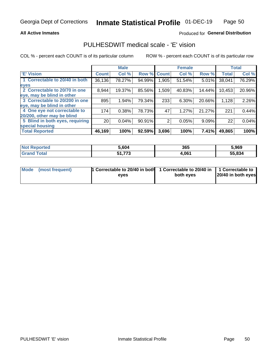### **All Active Inmates**

### Produced for General Distribution

### PULHESDWIT medical scale - 'E' vision

COL % - percent each COUNT is of its particular column

|                                 |                 | <b>Male</b> |        |              | <b>Female</b> |        |              | <b>Total</b> |
|---------------------------------|-----------------|-------------|--------|--------------|---------------|--------|--------------|--------------|
| <b>E' Vision</b>                | <b>Count</b>    | Col %       | Row %  | <b>Count</b> | Col %         | Row %  | <b>Total</b> | Col %        |
| 1 Correctable to 20/40 in both  | 36,136          | 78.27%      | 94.99% | .905         | 51.54%        | 5.01%  | 38,041       | 76.29%       |
| eyes                            |                 |             |        |              |               |        |              |              |
| 2 Correctable to 20/70 in one   | 8,944           | 19.37%      | 85.56% | 1,509        | 40.83%        | 14.44% | 10,453       | 20.96%       |
| eye, may be blind in other      |                 |             |        |              |               |        |              |              |
| 3 Correctable to 20/200 in one  | 895             | 1.94%       | 79.34% | 233          | 6.30%         | 20.66% | 1,128        | 2.26%        |
| eye, may be blind in other      |                 |             |        |              |               |        |              |              |
| 4 One eye not correctable to    | 174             | 0.38%       | 78.73% | 47           | 1.27%         | 21.27% | 221          | 0.44%        |
| 20/200, other may be blind      |                 |             |        |              |               |        |              |              |
| 5 Blind in both eyes, requiring | 20 <sub>1</sub> | 0.04%       | 90.91% | 2            | 0.05%         | 9.09%  | 22           | 0.04%        |
| special housing                 |                 |             |        |              |               |        |              |              |
| <b>Total Reported</b>           | 46,169          | 100%        | 92.59% | 3,696        | 100%          | 7.41%  | 49,865       | 100%         |

| <b>Not Reported</b> | 5,604  | 365   | 5,969  |
|---------------------|--------|-------|--------|
| <b>Grand Total</b>  | 51,773 | 4,061 | 55,834 |

| Mode (most frequent) | 1 Correctable to 20/40 in both<br>eves | 1 Correctable to 20/40 in   1 Correctable to  <br>both eves | 20/40 in both eyes |
|----------------------|----------------------------------------|-------------------------------------------------------------|--------------------|
|                      |                                        |                                                             |                    |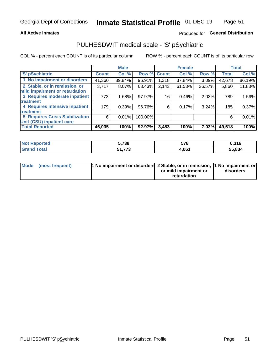### **All Active Inmates**

### Produced for General Distribution

## PULHESDWIT medical scale - 'S' pSychiatric

COL % - percent each COUNT is of its particular column

|                                        |              | <b>Male</b> |         |                    | <b>Female</b> |        |              | <b>Total</b> |
|----------------------------------------|--------------|-------------|---------|--------------------|---------------|--------|--------------|--------------|
| 'S' pSychiatric                        | <b>Count</b> | Col %       |         | <b>Row % Count</b> | Col %         | Row %  | <b>Total</b> | Col %        |
| 1 No impairment or disorders           | 41,360       | 89.84%      | 96.91%  | 1,318              | 37.84%        | 3.09%  | 42,678       | 86.19%       |
| 2 Stable, or in remission, or          | 3,717        | $8.07\%$    | 63.43%  | 2,143              | 61.53%        | 36.57% | 5,860        | 11.83%       |
| mild impairment or retardation         |              |             |         |                    |               |        |              |              |
| 3 Requires moderate inpatient          | 773          | 1.68%       | 97.97%  | 16                 | 0.46%         | 2.03%  | 789          | 1.59%        |
| treatment                              |              |             |         |                    |               |        |              |              |
| 4 Requires intensive inpatient         | 179          | 0.39%       | 96.76%  | 6                  | 0.17%         | 3.24%  | 185          | 0.37%        |
| treatment                              |              |             |         |                    |               |        |              |              |
| <b>5 Requires Crisis Stabilization</b> | 6            | 0.01%       | 100.00% |                    |               |        | 6            | 0.01%        |
| Unit (CSU) inpatient care              |              |             |         |                    |               |        |              |              |
| <b>Total Reported</b>                  | 46,035       | 100%        | 92.97%  | 3,483              | 100%          | 7.03%  | 49,518       | 100%         |

| <b>Not Reported</b> | 5,738     | 578   | 6,316  |
|---------------------|-----------|-------|--------|
| Total               | 773       | 4,061 | 55,834 |
| Grand               | J I , I J |       | 55.    |

| Mode (most frequent) | <b>1 No impairment or disorders 2 Stable, or in remission, 1 No impairment or</b> |                       |           |
|----------------------|-----------------------------------------------------------------------------------|-----------------------|-----------|
|                      |                                                                                   | or mild impairment or | disorders |
|                      |                                                                                   | retardation           |           |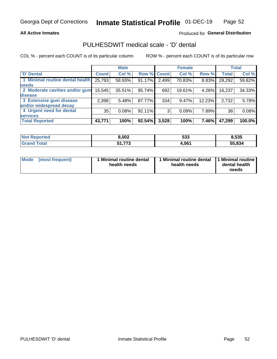### **All Active Inmates**

### Produced for General Distribution

## PULHESDWIT medical scale - 'D' dental

COL % - percent each COUNT is of its particular column

|                                 |              | <b>Male</b> |        |             | <b>Female</b> |        |              | <b>Total</b> |
|---------------------------------|--------------|-------------|--------|-------------|---------------|--------|--------------|--------------|
| <b>D'</b> Dental                | <b>Count</b> | Col %       |        | Row % Count | Col %         | Row %  | <b>Total</b> | Col %        |
| 1 Minimal routine dental health | 25,793       | 58.93%      | 91.17% | 2,499       | 70.83%        | 8.83%  | 28,292       | 59.82%       |
| <b>needs</b>                    |              |             |        |             |               |        |              |              |
| 2 Moderate cavities and/or gum  | 15,545       | 35.51%      | 95.74% | 692         | 19.61%        | 4.26%  | 16,237       | 34.33%       |
| disease                         |              |             |        |             |               |        |              |              |
| 3 Extensive gum disease         | 2,398        | 5.48%       | 87.77% | 334         | 9.47%         | 12.23% | 2,732        | 5.78%        |
| and/or widespread decay         |              |             |        |             |               |        |              |              |
| 4 Urgent need for dental        | 35           | 0.08%       | 92.11% | 3           | 0.09%         | 7.89%  | 38           | 0.08%        |
| <b>services</b>                 |              |             |        |             |               |        |              |              |
| <b>Total Reported</b>           | 43,771       | 100%        | 92.54% | 3,528       | 100%          | 7.46%  | 47,299       | 100.0%       |

| Not Reno<br>ਾ∩orted <b>ਵ</b> | 8,002            | 533   | 8,535  |
|------------------------------|------------------|-------|--------|
| Гоtal                        | フフつ<br>-4<br>. . | 4,061 | 55.834 |

| <b>Mode</b> | (most frequent) | Minimal routine dental<br>health needs | 1 Minimal routine dental 11 Minimal routine<br>health needs | dental health<br>needs |
|-------------|-----------------|----------------------------------------|-------------------------------------------------------------|------------------------|
|-------------|-----------------|----------------------------------------|-------------------------------------------------------------|------------------------|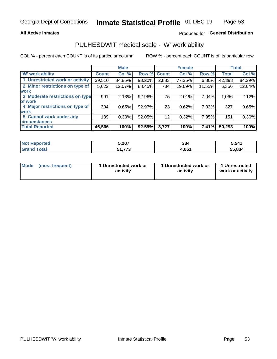### **All Active Inmates**

### Produced for General Distribution

## PULHESDWIT medical scale - 'W' work ability

COL % - percent each COUNT is of its particular column

|                                 |              | <b>Male</b> |        |              | <b>Female</b> |        |              | <b>Total</b> |
|---------------------------------|--------------|-------------|--------|--------------|---------------|--------|--------------|--------------|
| <b>W' work ability</b>          | <b>Count</b> | Col %       | Row %  | <b>Count</b> | Col %         | Row %  | <b>Total</b> | Col %        |
| 1 Unrestricted work or activity | 39,510       | 84.85%      | 93.20% | 2,883        | 77.35%        | 6.80%  | 42,393       | 84.29%       |
| 2 Minor restrictions on type of | 5,622        | 12.07%      | 88.45% | 734          | 19.69%        | 11.55% | 6,356        | 12.64%       |
| <b>work</b>                     |              |             |        |              |               |        |              |              |
| 3 Moderate restrictions on type | 991          | 2.13%       | 92.96% | 75           | 2.01%         | 7.04%  | 1,066        | 2.12%        |
| lof work                        |              |             |        |              |               |        |              |              |
| 4 Major restrictions on type of | 304          | 0.65%       | 92.97% | 23           | 0.62%         | 7.03%  | 327          | 0.65%        |
| <b>work</b>                     |              |             |        |              |               |        |              |              |
| 5 Cannot work under any         | 139          | $0.30\%$    | 92.05% | 12           | 0.32%         | 7.95%  | 151          | 0.30%        |
| <b>circumstances</b>            |              |             |        |              |               |        |              |              |
| <b>Total Reported</b>           | 46,566       | 100%        | 92.59% | 3,727        | 100%          | 7.41%  | 50,293       | 100%         |

| <b>Enorted</b><br>N <sub>O1</sub> | 5,207             | 334   | 5,541  |
|-----------------------------------|-------------------|-------|--------|
| <b>Total</b>                      | フフへ<br>C 4<br>. . | 1.061 | 55.834 |

| Mode            | 1 Unrestricted work or | 1 Unrestricted work or | 1 Unrestricted   |
|-----------------|------------------------|------------------------|------------------|
| (most frequent) | activity               | activity               | work or activity |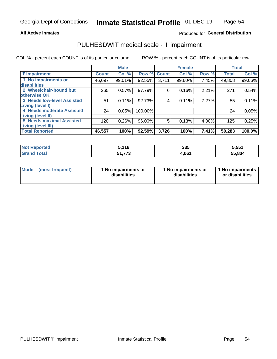#### **All Active Inmates**

### Produced for General Distribution

## PULHESDWIT medical scale - 'I' impairment

COL % - percent each COUNT is of its particular column ROW % - percent each COUNT is of its particular row

|                            |              | <b>Male</b> |         |             | <b>Female</b> |       |              | <b>Total</b> |
|----------------------------|--------------|-------------|---------|-------------|---------------|-------|--------------|--------------|
| <b>T</b> Impairment        | <b>Count</b> | Col %       |         | Row % Count | Col %         | Row % | <b>Total</b> | Col %        |
| 1 No impairments or        | 46,097       | 99.01%      | 92.55%  | 3,711       | 99.60%        | 7.45% | 49,808       | 99.06%       |
| disabilities               |              |             |         |             |               |       |              |              |
| 2 Wheelchair-bound but     | 265          | 0.57%       | 97.79%  | 6           | 0.16%         | 2.21% | 271          | 0.54%        |
| otherwise OK               |              |             |         |             |               |       |              |              |
| 3 Needs low-level Assisted | 51           | 0.11%       | 92.73%  | 4           | 0.11%         | 7.27% | 55           | 0.11%        |
| Living (level I)           |              |             |         |             |               |       |              |              |
| 4 Needs moderate Assisted  | 24           | 0.05%       | 100.00% |             |               |       | 24           | 0.05%        |
| Living (level II)          |              |             |         |             |               |       |              |              |
| 5 Needs maximal Assisted   | 120          | 0.26%       | 96.00%  | 5           | 0.13%         | 4.00% | 125          | 0.25%        |
| <b>Living (level III)</b>  |              |             |         |             |               |       |              |              |
| <b>Total Reported</b>      | 46,557       | 100%        | 92.59%  | 3,726       | 100%          | 7.41% | 50,283       | 100.0%       |

| oorted<br>NO. | 5,216         | 335   | 5,551  |
|---------------|---------------|-------|--------|
| `otal         | E4 770<br>. 3 | 4.061 | 55,834 |

| Mode | (most frequent) | 1 No impairments or<br>disabilities | 1 No impairments or<br>disabilities | 1 No impairments<br>or disabilities |
|------|-----------------|-------------------------------------|-------------------------------------|-------------------------------------|
|------|-----------------|-------------------------------------|-------------------------------------|-------------------------------------|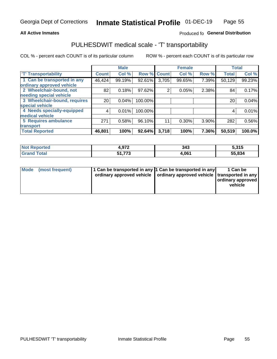### **All Active Inmates**

### Produced fo General Distribution

## PULHESDWIT medical scale - 'T' transportability

COL % - percent each COUNT is of its particular column

|                              |              | <b>Male</b> |         |              | <b>Female</b> |       |              | <b>Total</b> |
|------------------------------|--------------|-------------|---------|--------------|---------------|-------|--------------|--------------|
| <b>T' Transportability</b>   | <b>Count</b> | Col %       | Row %   | <b>Count</b> | Col %         | Row % | <b>Total</b> | Col %        |
| 1 Can be transported in any  | 46,424       | 99.19%      | 92.61%  | 3,705        | 99.65%        | 7.39% | 50,129       | 99.23%       |
| ordinary approved vehicle    |              |             |         |              |               |       |              |              |
| 2 Wheelchair-bound, not      | 82           | 0.18%       | 97.62%  | 2            | 0.05%         | 2.38% | 84           | 0.17%        |
| needing special vehicle      |              |             |         |              |               |       |              |              |
| 3 Wheelchair-bound, requires | 20           | 0.04%       | 100.00% |              |               |       | 20           | 0.04%        |
| special vehicle              |              |             |         |              |               |       |              |              |
| 4 Needs specially-equipped   | 4            | 0.01%       | 100.00% |              |               |       | 4            | 0.01%        |
| medical vehicle              |              |             |         |              |               |       |              |              |
| <b>5 Requires ambulance</b>  | 271          | 0.58%       | 96.10%  | 11           | 0.30%         | 3.90% | 282          | 0.56%        |
| transport                    |              |             |         |              |               |       |              |              |
| <b>Total Reported</b>        | 46,801       | 100%        | 92.64%  | 3,718        | 100%          | 7.36% | 50,519       | 100.0%       |

| <b>Not</b><br>Reported | 1,972      | 343   | 5,315  |
|------------------------|------------|-------|--------|
| <b>Total</b>           | ラフヘ<br>. ง | 1,061 | 55,834 |

|  | Mode (most frequent) | 1 Can be transported in any 1 Can be transported in any<br>ordinary approved vehicle   ordinary approved vehicle   transported in any |  | 1 Can be<br>  ordinary approved  <br>vehicle |
|--|----------------------|---------------------------------------------------------------------------------------------------------------------------------------|--|----------------------------------------------|
|--|----------------------|---------------------------------------------------------------------------------------------------------------------------------------|--|----------------------------------------------|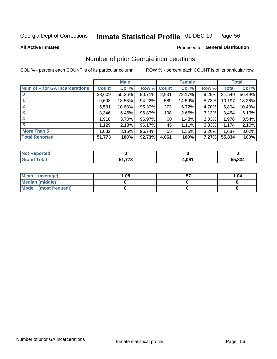# Inmate Statistical Profile 01-DEC-19 Page 56

**All Active Inmates** 

#### Produced for General Distribution

### Number of prior Georgia incarcerations

COL % - percent each COUNT is of its particular column

|                                       |        | <b>Male</b> |             |       | <b>Female</b> |          |        | <b>Total</b> |
|---------------------------------------|--------|-------------|-------------|-------|---------------|----------|--------|--------------|
| <b>Num of Prior GA Incarcerations</b> | Count  | Col %       | Row % Count |       | Col %         | Row %    | Total  | Col %        |
|                                       | 28,609 | 55.26%      | $90.71\%$   | 2,931 | 72.17%        | 9.29%    | 31,540 | 56.49%       |
|                                       | 9,608  | 18.56%      | $94.22\%$   | 589   | 14.50%        | 5.78%    | 10,197 | 18.26%       |
| $\overline{2}$                        | 5,531  | 10.68%      | 95.30%      | 273   | 6.72%         | 4.70%    | 5,804  | 10.40%       |
| 3                                     | 3,346  | 6.46%       | 96.87%      | 108   | 2.66%         | 3.13%    | 3,454  | 6.19%        |
| $\boldsymbol{4}$                      | 1,918  | 3.70%       | 96.97%      | 60    | 1.48%         | 3.03%    | 1,978  | 3.54%        |
| 5                                     | 1,129  | 2.18%       | 96.17%      | 45    | 1.11%         | 3.83%    | 1,174  | 2.10%        |
| <b>More Than 5</b>                    | 1,632  | 3.15%       | 96.74%      | 55    | 1.35%         | $3.26\%$ | 1,687  | 3.02%        |
| <b>Total Reported</b>                 | 51,773 | 100%        | 92.73%      | 4,061 | 100%          | 7.27%    | 55,834 | 100%         |

| <b>Not</b><br>Reported |          |              |        |
|------------------------|----------|--------------|--------|
| Total<br>"Granu        | ---<br>. | <b>I,061</b> | 55,834 |

| Mean (average)       | .08 | 1.04 |
|----------------------|-----|------|
| Median (middle)      |     |      |
| Mode (most frequent) |     |      |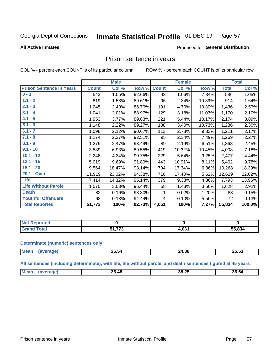#### Inmate Statistical Profile 01-DEC-19 Page 57

#### **All Active Inmates**

#### Produced for General Distribution

### Prison sentence in years

COL % - percent each COUNT is of its particular column

ROW % - percent each COUNT is of its particular row

|                                 |              | <b>Male</b> |        |              | <b>Female</b> |        |              | <b>Total</b> |
|---------------------------------|--------------|-------------|--------|--------------|---------------|--------|--------------|--------------|
| <b>Prison Sentence In Years</b> | <b>Count</b> | Col %       | Row %  | <b>Count</b> | Col %         | Row %  | <b>Total</b> | Col %        |
| $0 - 1$                         | 543          | 1.05%       | 92.66% | 43           | 1.06%         | 7.34%  | 586          | 1.05%        |
| $1.1 - 2$                       | 819          | 1.58%       | 89.61% | 95           | 2.34%         | 10.39% | 914          | 1.64%        |
| $2.1 - 3$                       | 1,245        | 2.40%       | 86.70% | 191          | 4.70%         | 13.30% | 1,436        | 2.57%        |
| $3.1 - 4$                       | 1,041        | 2.01%       | 88.97% | 129          | 3.18%         | 11.03% | 1,170        | 2.10%        |
| $4.1 - 5$                       | 1,953        | 3.77%       | 89.83% | 221          | 5.44%         | 10.17% | 2,174        | 3.89%        |
| $5.1 - 6$                       | 1,148        | 2.22%       | 89.27% | 138          | 3.40%         | 10.73% | 1,286        | 2.30%        |
| $6.1 - 7$                       | 1,098        | 2.12%       | 90.67% | 113          | 2.78%         | 9.33%  | 1,211        | 2.17%        |
| $7.1 - 8$                       | 1,174        | 2.27%       | 92.51% | 95           | 2.34%         | 7.49%  | 1,269        | 2.27%        |
| $8.1 - 9$                       | 1,279        | 2.47%       | 93.49% | 89           | 2.19%         | 6.51%  | 1,368        | 2.45%        |
| $9.1 - 10$                      | 3,589        | 6.93%       | 89.55% | 419          | 10.32%        | 10.45% | 4,008        | 7.18%        |
| $10.1 - 12$                     | 2,248        | 4.34%       | 90.75% | 229          | 5.64%         | 9.25%  | 2,477        | 4.44%        |
| $12.1 - 15$                     | 5,019        | 9.69%       | 91.89% | 443          | 10.91%        | 8.11%  | 5,462        | 9.78%        |
| $15.1 - 20$                     | 9,564        | 18.47%      | 93.14% | 704          | 17.34%        | 6.86%  | 10,268       | 18.39%       |
| 20.1 - Over                     | 11,919       | 23.02%      | 94.38% | 710          | 17.48%        | 5.62%  | 12,629       | 22.62%       |
| <b>Life</b>                     | 7,414        | 14.32%      | 95.14% | 379          | 9.33%         | 4.86%  | 7,793        | 13.96%       |
| <b>Life Without Parole</b>      | 1,570        | 3.03%       | 96.44% | 58           | 1.43%         | 3.56%  | 1,628        | 2.92%        |
| <b>Death</b>                    | 82           | 0.16%       | 98.80% |              | 0.02%         | 1.20%  | 83           | 0.15%        |
| <b>Youthful Offenders</b>       | 68           | 0.13%       | 94.44% | 4            | 0.10%         | 5.56%  | 72           | 0.13%        |
| <b>Total Reported</b>           | 51,773       | 100%        | 92.73% | 4,061        | 100%          | 7.27%  | 55,834       | 100.0%       |

| Reported<br>I NOT |     |      |        |
|-------------------|-----|------|--------|
| $\sim$            | --- | .061 | 55,834 |

#### **Determinate (numeric) sentences only**

| <b>Mean</b> | $- - -$<br>_ు.၁4 | 24.88 | 25.53 |
|-------------|------------------|-------|-------|
|             |                  |       |       |

All sentences (including determinate), with life, life without parole, and death sentences figured at 45 years

| <br><b>Mea</b><br>80 F 4<br>48<br>36.<br>36.54<br>38.25 |  |  |  |
|---------------------------------------------------------|--|--|--|
|                                                         |  |  |  |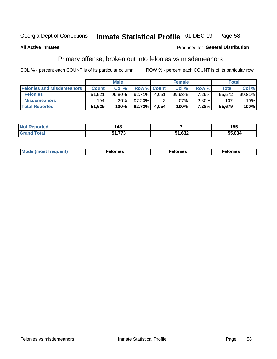# Inmate Statistical Profile 01-DEC-19 Page 58

### **All Active Inmates**

#### Produced for General Distribution

## Primary offense, broken out into felonies vs misdemeanors

COL % - percent each COUNT is of its particular column

|                                  |              | <b>Male</b> |                    |       | <b>Female</b> |          | Total        |        |
|----------------------------------|--------------|-------------|--------------------|-------|---------------|----------|--------------|--------|
| <b>Felonies and Misdemeanors</b> | <b>Count</b> | Col %       | <b>Row % Count</b> |       | Col %         | Row %    | <b>Total</b> | Col %  |
| <b>Felonies</b>                  | 51,521       | 99.80%      | 92.71%             | 4.051 | 99.93%        | 7.29%    | 55.572       | 99.81% |
| <b>Misdemeanors</b>              | 104          | .20%        | 97.20%             |       | $.07\%$       | $2.80\%$ | 107          | .19%   |
| <b>Total Reported</b>            | 51,625       | 100%        | $92.72\%$          | 4,054 | 100%          | 7.28%    | 55,679       | 100%   |

| <b>Not</b><br>'ted | 148 |                | 155    |
|--------------------|-----|----------------|--------|
| Grar<br>™otar      | .   | 51 632<br>,032 | 55.834 |

| Mo | ____ | 11 C.S<br>. | onies<br>. |
|----|------|-------------|------------|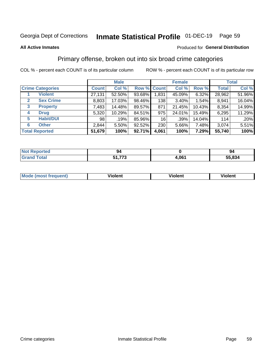#### Inmate Statistical Profile 01-DEC-19 Page 59

#### **All Active Inmates**

#### Produced for General Distribution

### Primary offense, broken out into six broad crime categories

COL % - percent each COUNT is of its particular column

|                                 |              | <b>Male</b> |        |             | <b>Female</b> |        |              | <b>Total</b> |  |
|---------------------------------|--------------|-------------|--------|-------------|---------------|--------|--------------|--------------|--|
| <b>Crime Categories</b>         | <b>Count</b> | Col %       |        | Row % Count | Col %         | Row %  | <b>Total</b> | Col %        |  |
| <b>Violent</b>                  | 27,131       | 52.50%      | 93.68% | 1,831       | 45.09%        | 6.32%  | 28,962       | 51.96%       |  |
| <b>Sex Crime</b><br>2           | 8,803        | 17.03%      | 98.46% | 138         | $3.40\%$      | 1.54%  | 8,941        | 16.04%       |  |
| $\mathbf{3}$<br><b>Property</b> | 7,483        | 14.48%      | 89.57% | 871         | 21.45%        | 10.43% | 8,354        | 14.99%       |  |
| <b>Drug</b><br>4                | 5,320        | 10.29%      | 84.51% | 975         | 24.01%        | 15.49% | 6,295        | 11.29%       |  |
| <b>Habit/DUI</b><br>5           | 98           | .19%        | 85.96% | 16          | .39%          | 14.04% | 114          | .20%         |  |
| <b>Other</b><br>6               | 2,844        | 5.50%       | 92.52% | 230         | 5.66%         | 7.48%  | 3,074        | 5.51%        |  |
| <b>Total Reported</b>           | 51,679       | 100%        | 92.71% | 4,061       | 100%          | 7.29%  | 55,740       | 100%         |  |

| rtea<br>NO       | 94                |              | 94   |
|------------------|-------------------|--------------|------|
| $F_{\mathbf{A}}$ | ---<br>E4.<br>. . | <b>1,061</b> | .834 |

| <b>Mode (most frequent)</b> | .<br><b>iolent</b> | 'iolent | ---<br>Violent |
|-----------------------------|--------------------|---------|----------------|
|                             |                    |         |                |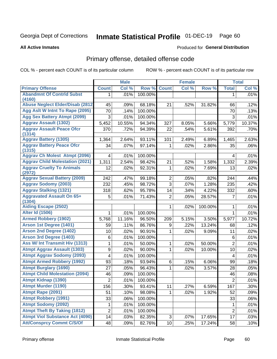# Inmate Statistical Profile 01-DEC-19 Page 60

**All Active Inmates** 

#### Produced for General Distribution

## Primary offense, detailed offense code

COL % - percent each COUNT is of its particular column

|                                                   |                         | <b>Male</b> |         |                | <b>Female</b> |                |                         | <b>Total</b> |
|---------------------------------------------------|-------------------------|-------------|---------|----------------|---------------|----------------|-------------------------|--------------|
| <b>Primary Offense</b>                            | <b>Count</b>            | Col %       | Row %   | <b>Count</b>   | Col %         | Row %          | <b>Total</b>            | Col %        |
| <b>Abandmnt Of Contrid Subst</b>                  | 1.                      | .01%        | 100.00% |                |               |                | 1                       | .01%         |
| (4160)<br><b>Abuse Neglect Elder/Disab (2812)</b> | 45                      | .09%        | 68.18%  | 21             | .52%          | 31.82%         | 66                      | .12%         |
| Agg Aslt W Intnt To Rape (2095)                   | 70                      | .14%        | 100.00% |                |               |                | 70                      | .13%         |
| <b>Agg Sex Battery Atmpt (2099)</b>               | $\mathfrak{S}$          | .01%        | 100.00% |                |               |                | 3                       | .01%         |
| <b>Aggrav Assault (1302)</b>                      | 5,452                   | 10.55%      | 94.34%  | 327            | 8.05%         | 5.66%          | 5,779                   | 10.37%       |
| <b>Aggrav Assault Peace Ofcr</b>                  | 370                     | .72%        | 94.39%  | 22             | .54%          | 5.61%          | 392                     | .70%         |
| (1314)<br><b>Aggrav Battery (1305)</b>            |                         | 2.64%       | 93.11%  |                |               |                |                         | 2.63%        |
| <b>Aggrav Battery Peace Ofcr</b>                  | 1,364<br>34             | .07%        | 97.14%  | 101<br>1       | 2.49%<br>.02% | 6.89%<br>2.86% | 1,465<br>35             | .06%         |
| (1315)                                            |                         |             |         |                |               |                |                         |              |
| <b>Aggrav Ch Molest Atmpt (2096)</b>              | 4                       | .01%        | 100.00% |                |               |                | 4                       | .01%         |
| <b>Aggrav Child Molestation (2021)</b>            | 1,311                   | 2.54%       | 98.42%  | 21             | .52%          | 1.58%          | 1,332                   | 2.39%        |
| <b>Aggrav Cruelty To Animals</b><br>(2972)        | 12                      | .02%        | 92.31%  | 1              | .02%          | 7.69%          | 13                      | .02%         |
| <b>Aggrav Sexual Battery (2009)</b>               | 242                     | .47%        | 99.18%  | $\overline{2}$ | .05%          | .82%           | 244                     | .44%         |
| <b>Aggrav Sodomy (2003)</b>                       | 232                     | .45%        | 98.72%  | $\overline{3}$ | .07%          | 1.28%          | 235                     | .42%         |
| <b>Aggrav Stalking (1321)</b>                     | 318                     | .62%        | 95.78%  | 14             | .34%          | 4.22%          | 332                     | .60%         |
| <b>Aggravated Assault On 65+</b><br>(1304)        | 5                       | .01%        | 71.43%  | $\overline{2}$ | .05%          | 28.57%         | 7                       | .01%         |
| <b>Aiding Escape (2502)</b>                       |                         |             |         | $\mathbf 1$    | .02%          | 100.00%        | 1                       | .01%         |
| <b>Alter Id (1506)</b>                            | 1                       | .01%        | 100.00% |                |               |                | $\mathbf{1}$            | .01%         |
| <b>Armed Robbery (1902)</b>                       | 5,768                   | 11.16%      | 96.50%  | 209            | 5.15%         | 3.50%          | 5,977                   | 10.72%       |
| Arson 1st Degree (1401)                           | 59                      | .11%        | 86.76%  | 9              | .22%          | 13.24%         | 68                      | .12%         |
| <b>Arson 2nd Degree (1402)</b>                    | 10                      | .02%        | 90.91%  | $\mathbf{1}$   | .02%          | 9.09%          | 11                      | .02%         |
| <b>Arson 3rd Degree (1403)</b>                    | $\,6$                   | .01%        | 100.00% |                |               |                | 6                       | .01%         |
| <b>Ass W/ Int Transmit Hiv (1313)</b>             | 1                       | .01%        | 50.00%  | 1              | .02%          | 50.00%         | $\overline{2}$          | .01%         |
| <b>Atmpt Aggrav Assault (1303)</b>                | $\boldsymbol{9}$        | .02%        | 90.00%  | $\mathbf{1}$   | .02%          | 10.00%         | 10                      | .02%         |
| <b>Atmpt Aggrav Sodomy (2093)</b>                 | $\overline{\mathbf{4}}$ | .01%        | 100.00% |                |               |                | $\overline{\mathbf{4}}$ | .01%         |
| <b>Atmpt Armed Robbery (1992)</b>                 | 93                      | .18%        | 93.94%  | 6              | .15%          | 6.06%          | 99                      | .18%         |
| <b>Atmpt Burglary (1690)</b>                      | 27                      | .05%        | 96.43%  | 1              | .02%          | 3.57%          | 28                      | .05%         |
| <b>Atmpt Child Molestation (2094)</b>             | 46                      | .09%        | 100.00% |                |               |                | 46                      | .08%         |
| <b>Atmpt Kidnap (1390)</b>                        | $\overline{2}$          | .01%        | 100.00% |                |               |                | $\overline{2}$          | .01%         |
| <b>Atmpt Murder (1190)</b>                        | 156                     | .30%        | 93.41%  | 11             | .27%          | 6.59%          | 167                     | $.30\%$      |
| Atmpt Rape (2091)                                 | 51                      | .10%        | 98.08%  | 1              | .02%          | 1.92%          | 52                      | .09%         |
| <b>Atmpt Robbery (1991)</b>                       | 33                      | .06%        | 100.00% |                |               |                | 33                      | .06%         |
| <b>Atmpt Sodomy (2092)</b>                        | 1                       | .01%        | 100.00% |                |               |                | 1                       | .01%         |
| <b>Atmpt Theft By Taking (1812)</b>               | $\overline{c}$          | .01%        | 100.00% |                |               |                | $\overline{2}$          | .01%         |
| <b>Atmpt Viol Substance Act (4090)</b>            | 14                      | .03%        | 82.35%  | 3              | .07%          | 17.65%         | 17                      | .03%         |
| <b>Att/Consprcy Commt C/S/Of</b>                  | 48                      | .09%        | 82.76%  | 10             | .25%          | 17.24%         | 58                      | .10%         |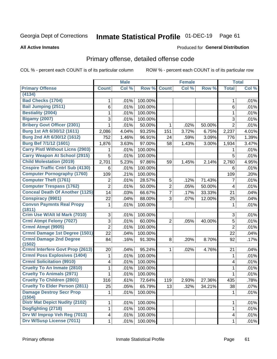# Inmate Statistical Profile 01-DEC-19 Page 61

Produced for General Distribution

#### **All Active Inmates**

## Primary offense, detailed offense code

COL % - percent each COUNT is of its particular column

|                                            |                | <b>Male</b> |         |                | <b>Female</b> |        |                         | <b>Total</b> |
|--------------------------------------------|----------------|-------------|---------|----------------|---------------|--------|-------------------------|--------------|
| <b>Primary Offense</b>                     | <b>Count</b>   | Col %       | Row %   | <b>Count</b>   | Col %         | Row %  | <b>Total</b>            | Col %        |
| (4134)                                     |                |             |         |                |               |        |                         |              |
| <b>Bad Checks (1704)</b>                   | 1              | .01%        | 100.00% |                |               |        | 1                       | .01%         |
| <b>Bail Jumping (2511)</b>                 | 6              | .01%        | 100.00% |                |               |        | 6                       | .01%         |
| <b>Bestiality (2004)</b>                   | 1              | .01%        | 100.00% |                |               |        | 1                       | .01%         |
| <b>Bigamy (2007)</b>                       | 3              | .01%        | 100.00% |                |               |        | 3                       | .01%         |
| <b>Bribery Govt Officer (2301)</b>         | 1              | .01%        | 50.00%  | $\mathbf{1}$   | .02%          | 50.00% | $\overline{2}$          | .01%         |
| Burg 1st Aft 6/30/12 (1611)                | 2,086          | 4.04%       | 93.25%  | 151            | 3.72%         | 6.75%  | 2,237                   | 4.01%        |
| Burg 2nd Aft 6/30/12 (1612)                | 752            | 1.46%       | 96.91%  | 24             | .59%          | 3.09%  | 776                     | 1.39%        |
| <b>Burg Bef 7/1/12 (1601)</b>              | 1,876          | 3.63%       | 97.00%  | 58             | 1.43%         | 3.00%  | 1,934                   | 3.47%        |
| <b>Carry Pistl Without Licns (2903)</b>    |                | .01%        | 100.00% |                |               |        |                         | .01%         |
| <b>Carry Weapon At School (2915)</b>       | 5              | .01%        | 100.00% |                |               |        | 5                       | .01%         |
| <b>Child Molestation (2019)</b>            | 2,701          | 5.23%       | 97.86%  | 59             | 1.45%         | 2.14%  | 2,760                   | 4.95%        |
| <b>Cnspire Traffic Cntrl Sub (4130)</b>    | 6              | .01%        | 100.00% |                |               |        | 6                       | .01%         |
| <b>Computer Pornography (1760)</b>         | 109            | .21%        | 100.00% |                |               |        | 109                     | .20%         |
| <b>Computer Theft (1761)</b>               | 2              | .01%        | 28.57%  | 5              | .12%          | 71.43% | $\overline{7}$          | .01%         |
| <b>Computer Trespass (1762)</b>            | $\overline{2}$ | .01%        | 50.00%  | $\overline{2}$ | .05%          | 50.00% | 4                       | .01%         |
| <b>Conceal Death Of Another (1125)</b>     | 14             | .03%        | 66.67%  | $\overline{7}$ | .17%          | 33.33% | 21                      | .04%         |
| <b>Conspiracy (9901)</b>                   | 22             | .04%        | 88.00%  | 3              | .07%          | 12.00% | 25                      | .04%         |
| <b>Convsn Paymnts Real Propy</b><br>(1811) | 1              | .01%        | 100.00% |                |               |        | 1                       | .01%         |
| Crim Use W/Alt Id Mark (7010)              | 3              | .01%        | 100.00% |                |               |        | 3                       | .01%         |
| <b>Crml Atmpt Felony (7027)</b>            | 3              | .01%        | 60.00%  | $\overline{2}$ | .05%          | 40.00% | 5                       | .01%         |
| <b>Crmnl Atmpt (9905)</b>                  | $\overline{2}$ | .01%        | 100.00% |                |               |        | $\overline{2}$          | .01%         |
| Crmnl Damage 1st Degree (1501)             | 22             | .04%        | 100.00% |                |               |        | 22                      | .04%         |
| <b>Crmnl Damage 2nd Degree</b><br>(1502)   | 84             | .16%        | 91.30%  | 8              | .20%          | 8.70%  | 92                      | .17%         |
| <b>Crmnl Interfere Govt Prop (2613)</b>    | 20             | .04%        | 95.24%  | $\mathbf{1}$   | $.02\%$       | 4.76%  | 21                      | .04%         |
| <b>Crmnl Poss Explosives (1404)</b>        | 1              | .01%        | 100.00% |                |               |        | $\mathbf{1}$            | .01%         |
| <b>Crmnl Solicitation (9910)</b>           | 4              | .01%        | 100.00% |                |               |        | 4                       | .01%         |
| <b>Cruelty To An Inmate (2810)</b>         | 1              | .01%        | 100.00% |                |               |        | 1                       | .01%         |
| <b>Cruelty To Animals (2971)</b>           | $\mathbf{1}$   | .01%        | 100.00% |                |               |        | 1                       | .01%         |
| <b>Cruelty To Children (2801)</b>          | 316            | .61%        | 72.64%  | 119            | 2.93%         | 27.36% | 435                     | .78%         |
| <b>Cruelty To Elder Person (2811)</b>      | 25             | .05%        | 65.79%  | 13             | .32%          | 34.21% | 38                      | .07%         |
| <b>Damage Destroy Secr Prop</b><br>(1504)  | 1.             | .01%        | 100.00% |                |               |        | 1                       | .01%         |
| <b>Distr Mat Depict Nudity (2102)</b>      | 1              | .01%        | 100.00% |                |               |        | 1                       | .01%         |
| Dogfighting (2718)                         | 1              | .01%        | 100.00% |                |               |        | 1                       | .01%         |
| Drv W/ Improp Veh Reg (7013)               | 4              | .01%        | 100.00% |                |               |        | $\overline{\mathbf{4}}$ | .01%         |
| <b>Drv W/Susp License (7011)</b>           | $\mathbf{1}$   | .01%        | 100.00% |                |               |        | 1                       | .01%         |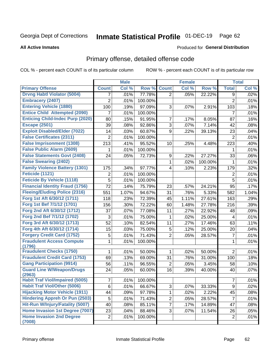#### Inmate Statistical Profile 01-DEC-19 Page 62

#### **All Active Inmates**

#### Produced for General Distribution

### Primary offense, detailed offense code

COL % - percent each COUNT is of its particular column

|                                            |                | <b>Male</b> |         |                | <b>Female</b> |         |                | <b>Total</b> |
|--------------------------------------------|----------------|-------------|---------|----------------|---------------|---------|----------------|--------------|
| <b>Primary Offense</b>                     | <b>Count</b>   | Col %       | Row %   | <b>Count</b>   | Col %         | Row %   | <b>Total</b>   | Col %        |
| <b>Drvng Habtl Violator (5004)</b>         | 7              | .01%        | 77.78%  | $\overline{2}$ | .05%          | 22.22%  | 9              | .02%         |
| <b>Embracery (2407)</b>                    | $\overline{2}$ | .01%        | 100.00% |                |               |         | $\overline{2}$ | .01%         |
| <b>Entering Vehicle (1880)</b>             | 100            | .19%        | 97.09%  | 3              | .07%          | 2.91%   | 103            | .18%         |
| <b>Entice Child Attempted (2090)</b>       | 7              | .01%        | 100.00% |                |               |         | $\overline{7}$ | .01%         |
| <b>Enticing Child-Indec Purp (2020)</b>    | 80             | .15%        | 91.95%  | 7              | .17%          | 8.05%   | 87             | .16%         |
| <b>Escape (2501)</b>                       | 39             | .08%        | 92.86%  | 3              | .07%          | 7.14%   | 42             | .08%         |
| <b>Exploit Disabled/Elder (7022)</b>       | 14             | .03%        | 60.87%  | 9              | .22%          | 39.13%  | 23             | .04%         |
| <b>False Certificates (2311)</b>           | $\overline{2}$ | .01%        | 100.00% |                |               |         | $\overline{2}$ | .01%         |
| <b>False Imprisonment (1308)</b>           | 213            | .41%        | 95.52%  | 10             | .25%          | 4.48%   | 223            | .40%         |
| <b>False Public Alarm (2609)</b>           | 1              | .01%        | 100.00% |                |               |         | 1              | .01%         |
| <b>False Statements Govt (2408)</b>        | 24             | .05%        | 72.73%  | 9              | .22%          | 27.27%  | 33             | .06%         |
| <b>False Swearing (2402)</b>               |                |             |         | 1              | .02%          | 100.00% | $\mathbf{1}$   | .01%         |
| <b>Family Violence Battery (1301)</b>      | 175            | .34%        | 97.77%  | 4              | .10%          | 2.23%   | 179            | .32%         |
| Feticide (1121)                            | $\overline{2}$ | .01%        | 100.00% |                |               |         | $\overline{2}$ | .01%         |
| <b>Feticide By Vehicle (1118)</b>          | 5              | .01%        | 100.00% |                |               |         | 5              | .01%         |
| <b>Financial Identity Fraud (1756)</b>     | 72             | .14%        | 75.79%  | 23             | .57%          | 24.21%  | 95             | .17%         |
| <b>Fleeing/Eluding Police (2316)</b>       | 551            | 1.07%       | 94.67%  | 31             | .76%          | 5.33%   | 582            | 1.04%        |
| Forg 1st Aft 6/30/12 (1711)                | 118            | .23%        | 72.39%  | 45             | 1.11%         | 27.61%  | 163            | .29%         |
| Forg 1st Bef 7/1/12 (1701)                 | 156            | .30%        | 72.22%  | 60             | 1.48%         | 27.78%  | 216            | .39%         |
| Forg 2nd Aft 6/30/12 (1712)                | 37             | .07%        | 77.08%  | 11             | .27%          | 22.92%  | 48             | .09%         |
| Forg 2nd Bef 7/1/12 (1702)                 | 3              | .01%        | 75.00%  | 1              | .02%          | 25.00%  | $\overline{4}$ | .01%         |
| Forg 3rd Aft 6/30/12 (1713)                | 52             | .10%        | 82.54%  | 11             | .27%          | 17.46%  | 63             | .11%         |
| Forg 4th Aft 6/30/12 (1714)                | 15             | .03%        | 75.00%  | 5              | .12%          | 25.00%  | 20             | .04%         |
| <b>Forgery Credit Card (1752)</b>          | 5              | .01%        | 71.43%  | $\overline{2}$ | .05%          | 28.57%  | $\overline{7}$ | .01%         |
| <b>Fraudulent Access Compute</b>           | 1              | .01%        | 100.00% |                |               |         | $\mathbf{1}$   | .01%         |
| (1796)                                     |                |             |         |                |               |         |                |              |
| <b>Fraudulent Checks (1750)</b>            | 1              | .01%        | 50.00%  | 1              | .02%          | 50.00%  | $\overline{2}$ | .01%         |
| <b>Fraudulent Credit Card (1753)</b>       | 69             | .13%        | 69.00%  | 31             | .76%          | 31.00%  | 100            | .18%         |
| <b>Gang Participation (9914)</b>           | 56             | .11%        | 96.55%  | 2              | .05%          | 3.45%   | 58             | .10%         |
| <b>Guard Line W/Weapon/Drugs</b><br>(2963) | 24             | .05%        | 60.00%  | 16             | .39%          | 40.00%  | 40             | .07%         |
| <b>Habit Traf Viol/Impaired (5005)</b>     | $\overline{7}$ | .01%        | 100.00% |                |               |         | $\overline{7}$ | .01%         |
| <b>Habit Traf Viol/Other (5006)</b>        | 6              | .01%        | 66.67%  | 3              | .07%          | 33.33%  | 9              | .02%         |
| <b>Hijacking Motor Vehicle (1911)</b>      | 44             | .09%        | 97.78%  | 1              | .02%          | 2.22%   | 45             | .08%         |
| <b>Hindering Appreh Or Pun (2503)</b>      | $\sqrt{5}$     | .01%        | 71.43%  | $\overline{2}$ | .05%          | 28.57%  | $\overline{7}$ | .01%         |
| Hit-Run W/Injury/Fatality (5007)           | 40             | .08%        | 85.11%  | 7              | .17%          | 14.89%  | 47             | .08%         |
| Home Invasion 1st Degree (7007)            | 23             | .04%        | 88.46%  | 3              | .07%          | 11.54%  | 26             | .05%         |
| <b>Home Invasion 2nd Degree</b>            | $\overline{2}$ | .01%        | 100.00% |                |               |         | $\overline{2}$ | .01%         |
| (7008)                                     |                |             |         |                |               |         |                |              |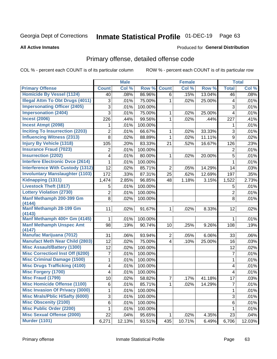#### Inmate Statistical Profile 01-DEC-19 Page 63

**All Active Inmates** 

#### Produced for General Distribution

### Primary offense, detailed offense code

COL % - percent each COUNT is of its particular column

|                                           |                | <b>Male</b> |         |                | <b>Female</b> |        |                         | <b>Total</b> |
|-------------------------------------------|----------------|-------------|---------|----------------|---------------|--------|-------------------------|--------------|
| <b>Primary Offense</b>                    | <b>Count</b>   | Col %       | Row %   | <b>Count</b>   | Col %         | Row %  | <b>Total</b>            | Col %        |
| <b>Homicide By Vessel (1124)</b>          | 40             | .08%        | 86.96%  | 6              | .15%          | 13.04% | 46                      | .08%         |
| <b>Illegal Attm To Obt Drugs (4011)</b>   | $\mathfrak{S}$ | .01%        | 75.00%  | 1              | .02%          | 25.00% | 4                       | .01%         |
| <b>Impersonating Officer (2405)</b>       | 3              | .01%        | 100.00% |                |               |        | 3                       | .01%         |
| <b>Impersonation (2404)</b>               | 3              | .01%        | 75.00%  | 1              | .02%          | 25.00% | $\overline{4}$          | .01%         |
| <b>Incest (2006)</b>                      | 226            | .44%        | 99.56%  | 1              | .02%          | .44%   | 227                     | .41%         |
| <b>Incest Atmpt (2098)</b>                | 1              | .01%        | 100.00% |                |               |        | 1                       | .01%         |
| <b>Inciting To Insurrection (2203)</b>    | $\overline{2}$ | .01%        | 66.67%  | 1              | .02%          | 33.33% | 3                       | .01%         |
| <b>Influencing Witness (2313)</b>         | 8              | .02%        | 88.89%  | 1              | .02%          | 11.11% | 9                       | .02%         |
| <b>Injury By Vehicle (1318)</b>           | 105            | .20%        | 83.33%  | 21             | .52%          | 16.67% | 126                     | .23%         |
| <b>Insurance Fraud (7023)</b>             | $\overline{2}$ | .01%        | 100.00% |                |               |        | $\mathbf 2$             | .01%         |
| <b>Insurrection (2202)</b>                | 4              | .01%        | 80.00%  | 1              | .02%          | 20.00% | 5                       | .01%         |
| <b>Interfere Electronic Dvce (2614)</b>   | 1              | .01%        | 100.00% |                |               |        | $\mathbf{1}$            | .01%         |
| <b>Interference With Custody (1312)</b>   | 12             | .02%        | 85.71%  | $\overline{2}$ | .05%          | 14.29% | 14                      | .03%         |
| <b>Involuntary Manslaughter (1103)</b>    | 172            | .33%        | 87.31%  | 25             | .62%          | 12.69% | 197                     | .35%         |
| Kidnapping (1311)                         | 1,474          | 2.85%       | 96.85%  | 48             | 1.18%         | 3.15%  | 1,522                   | 2.73%        |
| <b>Livestock Theft (1817)</b>             | 5              | .01%        | 100.00% |                |               |        | 5                       | .01%         |
| <b>Lottery Violation (2730)</b>           | $\overline{2}$ | .01%        | 100.00% |                |               |        | $\overline{c}$          | .01%         |
| Manf Methamph 200-399 Gm<br>(4144)        | 8              | .02%        | 100.00% |                |               |        | 8                       | .01%         |
| <b>Manf Methamph 28-199 Gm</b><br>(4143)  | 11             | .02%        | 91.67%  | 1              | .02%          | 8.33%  | 12                      | .02%         |
| Manf Methamph 400+ Gm (4145)              | 1              | .01%        | 100.00% |                |               |        | 1                       | .01%         |
| <b>Manf Methamph Unspec Amt</b><br>(4147) | 98             | .19%        | 90.74%  | 10             | .25%          | 9.26%  | 108                     | .19%         |
| <b>Manufac Marijuana (7012)</b>           | 31             | .06%        | 93.94%  | $\overline{c}$ | .05%          | 6.06%  | 33                      | .06%         |
| <b>Manufact Meth Near Child (2803)</b>    | 12             | .02%        | 75.00%  | 4              | .10%          | 25.00% | 16                      | .03%         |
| <b>Misc Assault/Battery (1300)</b>        | 12             | .02%        | 100.00% |                |               |        | 12                      | .02%         |
| <b>Misc Correctionl Inst Off (6200)</b>   | 7              | .01%        | 100.00% |                |               |        | $\overline{7}$          | .01%         |
| <b>Misc Criminal Damage (1500)</b>        | 1              | .01%        | 100.00% |                |               |        | $\mathbf{1}$            | .01%         |
| <b>Misc Drugs Trafficking (4100)</b>      | 4              | .01%        | 100.00% |                |               |        | $\overline{\mathbf{4}}$ | .01%         |
| <b>Misc Forgery (1700)</b>                | 4              | .01%        | 100.00% |                |               |        | 4                       | .01%         |
| <b>Misc Fraud (1799)</b>                  | 10             | .02%        | 58.82%  | 7              | .17%          | 41.18% | 17                      | .03%         |
| <b>Misc Homicide Offense (1100)</b>       | 6              | .01%        | 85.71%  | 1              | .02%          | 14.29% | 7                       | .01%         |
| <b>Misc Invasion Of Privacy (3000)</b>    |                | .01%        | 100.00% |                |               |        | $\mathbf{1}$            | .01%         |
| <b>Misc Mrals/Pblic H/Safty (6000)</b>    | $\sqrt{3}$     | .01%        | 100.00% |                |               |        | $\mathfrak{S}$          | .01%         |
| <b>Misc Obscenity (2100)</b>              | 6              | .01%        | 100.00% |                |               |        | 6                       | .01%         |
| <b>Misc Public Order (2200)</b>           |                | .01%        | 100.00% |                |               |        | 1                       | .01%         |
| <b>Misc Sexual Offense (2000)</b>         | 22             | .04%        | 95.65%  |                | .02%          | 4.35%  | 23                      | .04%         |
| <b>Murder (1101)</b>                      | 6,271          | 12.13%      | 93.51%  | 435            | 10.71%        | 6.49%  | 6,706                   | 12.03%       |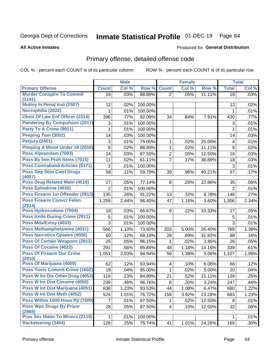# Inmate Statistical Profile 01-DEC-19 Page 64

#### **All Active Inmates**

#### Produced for General Distribution

## Primary offense, detailed offense code

COL % - percent each COUNT is of its particular column

|                                              |                | <b>Male</b> |         |                         | <b>Female</b> |        |                | <b>Total</b> |
|----------------------------------------------|----------------|-------------|---------|-------------------------|---------------|--------|----------------|--------------|
| <b>Primary Offense</b>                       | <b>Count</b>   | Col %       | Row %   | <b>Count</b>            | Col %         | Row %  | <b>Total</b>   | Col %        |
| <b>Murder Conspire To Commit</b>             | 16             | .03%        | 88.89%  | $\overline{2}$          | .05%          | 11.11% | 18             | .03%         |
| (1191)<br><b>Mutiny In Penal Inst (2507)</b> |                |             |         |                         |               |        |                |              |
|                                              | 12             | .02%        | 100.00% |                         |               |        | 12             | .02%         |
| Necrophilia (2022)                           | 1              | .01%        | 100.00% |                         |               |        | 1              | .01%         |
| <b>Obstr Of Law Enf Officer (2314)</b>       | 396            | .77%        | 92.09%  | 34                      | .84%          | 7.91%  | 430            | .77%         |
| <b>Pandering By Compulsion (2017)</b>        | 3              | .01%        | 100.00% |                         |               |        | 3              | .01%         |
| Party To A Crime (9911)                      | 1              | .01%        | 100.00% |                         |               |        | 1              | .01%         |
| Peeping Tom (3002)                           | 14             | .03%        | 100.00% |                         |               |        | 14             | .03%         |
| Perjury (2401)                               | 3              | .01%        | 75.00%  | 1                       | .02%          | 25.00% | 4              | .01%         |
| <b>Pimping A Minor Under 18 (2016)</b>       | 8              | .02%        | 88.89%  | 1                       | .02%          | 11.11% | 9              | .02%         |
| Poss Alprazolam (7003)                       | 14             | .03%        | 87.50%  | $\overline{2}$          | .05%          | 12.50% | 16             | .03%         |
| Poss By Inm Proh Items (7015)                | 11             | .02%        | 61.11%  | $\overline{7}$          | .17%          | 38.89% | 18             | .03%         |
| <b>Poss Contraband Articles (5171)</b>       | 3              | .01%        | 100.00% |                         |               |        | 3              | .01%         |
| <b>Poss Dep Stim Cntrf Drugs</b>             | 58             | .11%        | 59.79%  | 39                      | .96%          | 40.21% | 97             | .17%         |
| (4007)                                       |                |             |         |                         |               |        |                |              |
| Poss Drug Related Matrl (4016)               | 27             | .05%        | 77.14%  | 8                       | .20%          | 22.86% | 35             | .06%         |
| Poss Ephedrine (4030)                        | 2              | .01%        | 100.00% |                         |               |        | $\overline{2}$ | .01%         |
| Poss Firearm 1st Offender (2913)             | 135            | .26%        | 91.22%  | 13                      | .32%          | 8.78%  | 148            | .27%         |
| <b>Poss Firearm Convct Felon</b><br>(2914)   | 1,259          | 2.44%       | 96.40%  | 47                      | 1.16%         | 3.60%  | 1,306          | 2.34%        |
| Poss Hydrocodone (7004)                      | 18             | .03%        | 66.67%  | 9                       | .22%          | 33.33% | 27             | .05%         |
| <b>Poss Knife During Crime (2911)</b>        | 5              | .01%        | 100.00% |                         |               |        | 5              | .01%         |
| Poss Mda/Extsy (4033)                        | 3              | .01%        | 100.00% |                         |               |        | 3              | .01%         |
| Poss Methamphetamine (4031)                  | 566            | 1.10%       | 73.60%  | 203                     | 5.00%         | 26.40% | 769            | 1.38%        |
| <b>Poss Narcotics Opiates (4006)</b>         | 60             | .12%        | 68.18%  | 28                      | .69%          | 31.82% | 88             | .16%         |
| <b>Poss Of Certain Weapons (2912)</b>        | 25             | .05%        | 96.15%  | 1                       | .02%          | 3.85%  | 26             | .05%         |
| <b>Poss Of Cocaine (4022)</b>                | 291            | .56%        | 85.84%  | 48                      | 1.18%         | 14.16% | 339            | .61%         |
| <b>Poss Of Firearm Dur Crime</b>             | 1,051          | 2.03%       | 94.94%  | 56                      | 1.38%         | 5.06%  | 1,107          | 1.99%        |
| (2910)                                       |                |             |         |                         |               |        |                |              |
| Poss Of Marijuana (4009)                     | 62             | .12%        | 93.94%  | $\overline{\mathbf{4}}$ | .10%          | 6.06%  | 66             | .12%         |
| <b>Poss Tools Commit Crime (1602)</b>        | 19             | .04%        | 95.00%  | 1                       | .02%          | 5.00%  | 20             | .04%         |
| Poss W Int Dis Other Drug (4053)             | 118            | .23%        | 84.89%  | 21                      | .52%          | 15.11% | 139            | .25%         |
| <b>Poss W Int Dist Cocaine (4050)</b>        | 239            | .46%        | 96.76%  | $\bf 8$                 | .20%          | 3.24%  | 247            | .44%         |
| Poss W Int Dist Marijuana (4051)             | 636            | 1.23%       | 93.53%  | 44                      | 1.08%         | 6.47%  | 680            | 1.22%        |
| Poss W Int Dist Meth (4052)                  | 524            | 1.01%       | 76.72%  | 159                     | 3.92%         | 23.28% | 683            | 1.23%        |
| Poss Within 1000 Hous Pit (7009)             | $\overline{7}$ | .01%        | 87.50%  | $\mathbf{1}$            | .02%          | 12.50% | 8              | .01%         |
| <b>Poss Wpn Drugs By Prisnr</b>              | 28             | .05%        | 87.50%  | $\vert 4 \vert$         | .10%          | 12.50% | 32             | .06%         |
| (2965)                                       |                |             |         |                         |               |        |                |              |
| <b>Prov Sex Mater To Minors (2110)</b>       | $\mathbf 1$    | .01%        | 100.00% |                         |               |        | 1              | .01%         |
| <b>Racketeering (3404)</b>                   | 128            | .25%        | 75.74%  | 41                      | 1.01%         | 24.26% | 169            | .30%         |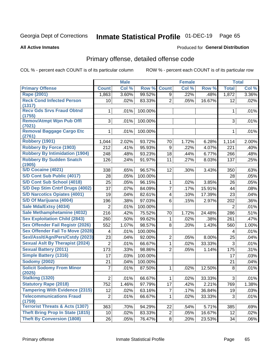# Inmate Statistical Profile 01-DEC-19 Page 65

#### **All Active Inmates**

#### Produced for General Distribution

## Primary offense, detailed offense code

COL % - percent each COUNT is of its particular column

|                                            |                 | <b>Male</b> |         |                | <b>Female</b> |        |                | <b>Total</b> |
|--------------------------------------------|-----------------|-------------|---------|----------------|---------------|--------|----------------|--------------|
| <b>Primary Offense</b>                     | <b>Count</b>    | Col %       | Row %   | <b>Count</b>   | Col %         | Row %  | <b>Total</b>   | Col %        |
| <b>Rape (2001)</b>                         | 1,863           | 3.60%       | 99.52%  | 9              | .22%          | .48%   | 1,872          | 3.36%        |
| <b>Reck Cond Infected Person</b>           | 10 <sup>1</sup> | .02%        | 83.33%  | $\overline{2}$ | .05%          | 16.67% | 12             | .02%         |
| (1317)                                     |                 |             |         |                |               |        |                |              |
| <b>Recv Gds Srvs Fraud Obtnd</b><br>(1755) | 1               | .01%        | 100.00% |                |               |        | 1              | .01%         |
| <b>Remov/Atmpt Wpn Pub Offl</b>            | 3               | .01%        | 100.00% |                |               |        | 3              | .01%         |
| (7021)                                     |                 |             |         |                |               |        |                |              |
| <b>Removal Baggage Cargo Etc</b>           | 1               | .01%        | 100.00% |                |               |        | 1              | .01%         |
| (2761)<br><b>Robbery (1901)</b>            |                 |             |         |                |               |        |                |              |
|                                            | 1,044           | 2.02%       | 93.72%  | 70             | 1.72%         | 6.28%  | 1,114          | 2.00%        |
| <b>Robbery By Force (1903)</b>             | 212             | .41%        | 95.93%  | 9              | .22%          | 4.07%  | 221            | .40%         |
| <b>Robbery By Intimidation (1904)</b>      | 248             | .48%        | 93.23%  | 18             | .44%          | 6.77%  | 266            | .48%         |
| <b>Robbery By Sudden Snatch</b><br>(1905)  | 126             | .24%        | 91.97%  | 11             | .27%          | 8.03%  | 137            | .25%         |
| <b>S/D Cocaine (4021)</b>                  | 338             | .65%        | 96.57%  | 12             | .30%          | 3.43%  | 350            | .63%         |
| S/D Cont Sub Public (4017)                 | 28              | .05%        | 100.00% |                |               |        | 28             | .05%         |
| S/D Cont Sub School (4018)                 | 25              | .05%        | 96.15%  | $\mathbf{1}$   | .02%          | 3.85%  | 26             | .05%         |
| S/D Dep Stim Cntrf Drugs (4002)            | $\overline{37}$ | .07%        | 84.09%  | $\overline{7}$ | .17%          | 15.91% | 44             | .08%         |
| <b>S/D Narcotics Opiates (4001)</b>        | 19              | .04%        | 82.61%  | 4              | .10%          | 17.39% | 23             | .04%         |
| S/D Of Marijuana (4004)                    | 196             | .38%        | 97.03%  | 6              | .15%          | 2.97%  | 202            | .36%         |
| Sale Mda/Extsy (4034)                      | $\overline{2}$  | .01%        | 100.00% |                |               |        | $\overline{2}$ | .01%         |
| Sale Methamphetamine (4032)                | 216             | .42%        | 75.52%  | 70             | 1.72%         | 24.48% | 286            | .51%         |
| <b>Sex Exploitation Child (2843)</b>       | 260             | .50%        | 99.62%  | 1              | .02%          | .38%   | 261            | .47%         |
| <b>Sex Offender Fail Registr (2026)</b>    | 552             | 1.07%       | 98.57%  | 8              | .20%          | 1.43%  | 560            | 1.00%        |
| <b>Sex Offender Fail To Move (2028)</b>    | 4               | .01%        | 100.00% |                |               |        | 4              | .01%         |
| Sexl/Asslt/Agn/Pers/Cstdy (2023)           | 23              | .04%        | 92.00%  | $\overline{2}$ | .05%          | 8.00%  | 25             | .04%         |
| <b>Sexual Aslt By Therapist (2024)</b>     | $\overline{2}$  | .01%        | 66.67%  | 1              | .02%          | 33.33% | $\mathfrak{S}$ | .01%         |
| <b>Sexual Battery (2011)</b>               | 173             | .33%        | 98.86%  | $\overline{2}$ | .05%          | 1.14%  | 175            | .31%         |
| <b>Simple Battery (1316)</b>               | 17              | .03%        | 100.00% |                |               |        | 17             | .03%         |
| <b>Sodomy (2002)</b>                       | 21              | .04%        | 100.00% |                |               |        | 21             | .04%         |
| <b>Solicit Sodomy From Minor</b><br>(2025) | 7               | .01%        | 87.50%  | $\mathbf{1}$   | .02%          | 12.50% | 8              | .01%         |
| <b>Stalking (1320)</b>                     | $\overline{2}$  | .01%        | 66.67%  | $\mathbf{1}$   | .02%          | 33.33% | 3              | .01%         |
| <b>Statutory Rape (2018)</b>               | 752             | 1.46%       | 97.79%  | 17             | .42%          | 2.21%  | 769            | 1.38%        |
| <b>Tampering With Evidence (2315)</b>      | 12              | .02%        | 63.16%  | $\overline{7}$ | .17%          | 36.84% | 19             | .03%         |
| <b>Telecommunications Fraud</b><br>(1759)  | $\overline{2}$  | .01%        | 66.67%  | 1              | .02%          | 33.33% | 3              | .01%         |
| <b>Terrorist Threats &amp; Acts (1307)</b> | 363             | .70%        | 94.29%  | 22             | .54%          | 5.71%  | 385            | .69%         |
| <b>Theft Bring Prop In State (1815)</b>    | 10 <sup>1</sup> | .02%        | 83.33%  | $\overline{c}$ | .05%          | 16.67% | 12             | .02%         |
| <b>Theft By Conversion (1808)</b>          | 26              | .05%        | 76.47%  | 8 <sup>1</sup> | .20%          | 23.53% | 34             | .06%         |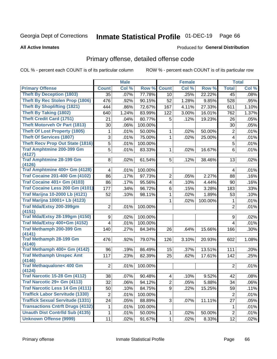#### Inmate Statistical Profile 01-DEC-19 Page 66

**All Active Inmates** 

### **Produced for General Distribution**

### Primary offense, detailed offense code

COL % - percent each COUNT is of its particular column

|                                         |                 | <b>Male</b> |         |                         | <b>Female</b> |         |                | <b>Total</b> |
|-----------------------------------------|-----------------|-------------|---------|-------------------------|---------------|---------|----------------|--------------|
| <b>Primary Offense</b>                  | <b>Count</b>    | Col %       | Row %   | <b>Count</b>            | Col %         | Row %   | <b>Total</b>   | Col %        |
| <b>Theft By Deception (1803)</b>        | 35              | .07%        | 77.78%  | 10                      | .25%          | 22.22%  | 45             | .08%         |
| <b>Theft By Rec Stolen Prop (1806)</b>  | 476             | .92%        | 90.15%  | 52                      | 1.28%         | 9.85%   | 528            | .95%         |
| <b>Theft By Shoplifting (1821)</b>      | 444             | .86%        | 72.67%  | 167                     | 4.11%         | 27.33%  | 611            | 1.10%        |
| <b>Theft By Taking (1802)</b>           | 640             | 1.24%       | 83.99%  | 122                     | 3.00%         | 16.01%  | 762            | 1.37%        |
| <b>Theft Credit Card (1751)</b>         | 21              | .04%        | 80.77%  | 5                       | .12%          | 19.23%  | 26             | .05%         |
| <b>Theft Motorveh Or Part (1813)</b>    | 30              | .06%        | 100.00% |                         |               |         | 30             | .05%         |
| <b>Theft Of Lost Property (1805)</b>    | 1               | .01%        | 50.00%  | 1                       | .02%          | 50.00%  | $\overline{2}$ | .01%         |
| <b>Theft Of Services (1807)</b>         | 3               | .01%        | 75.00%  | 1                       | .02%          | 25.00%  | 4              | .01%         |
| <b>Theft Recv Prop Out State (1816)</b> | 5               | .01%        | 100.00% |                         |               |         | 5              | .01%         |
| <b>Traf Amphtmine 200-399 Gm</b>        | 5               | .01%        | 83.33%  | 1                       | .02%          | 16.67%  | 6              | .01%         |
| (4127)                                  |                 |             |         |                         |               |         |                |              |
| <b>Traf Amphtmine 28-199 Gm</b>         | 8               | .02%        | 61.54%  | 5                       | .12%          | 38.46%  | 13             | .02%         |
| (4126)<br>Traf Amphtmine 400+ Gm (4128) | 4               | .01%        | 100.00% |                         |               |         |                | .01%         |
| <b>Traf Cocaine 201-400 Gm (4102)</b>   | 86              |             |         |                         |               |         | 4              |              |
| <b>Traf Cocaine 401+ Gm (4103)</b>      |                 | .17%        | 97.73%  | 2                       | .05%          | 2.27%   | 88             | .16%         |
|                                         | 86              | .17%        | 95.56%  | 4                       | .10%          | 4.44%   | 90             | .16%         |
| Traf Cocaine Less 200 Gm (4101)         | 177             | .34%        | 96.72%  | 6                       | .15%          | 3.28%   | 183            | .33%         |
| <b>Traf Marijna 10-2000 Lb (4121)</b>   | 52              | .10%        | 98.11%  | 1                       | .02%          | 1.89%   | 53             | .10%         |
| <b>Traf Marijna 10001+ Lb (4123)</b>    |                 |             |         | 1                       | .02%          | 100.00% | 1              | .01%         |
| Traf Mda/Extsy 200-399gm<br>(4151)      | $\overline{2}$  | .01%        | 100.00% |                         |               |         | 2              | .01%         |
| <b>Traf Mda/Extsy 28-199gm (4150)</b>   | 9               | .02%        | 100.00% |                         |               |         | 9              | .02%         |
| Traf Mda/Extsy 400+Gm (4152)            | $\overline{4}$  | .01%        | 100.00% |                         |               |         | 4              | .01%         |
| Traf Methamph 200-399 Gm                | 140             | .27%        | 84.34%  | 26                      | .64%          | 15.66%  | 166            | .30%         |
| (4141)                                  |                 |             |         |                         |               |         |                |              |
| <b>Traf Methamph 28-199 Gm</b>          | 476             | .92%        | 79.07%  | 126                     | 3.10%         | 20.93%  | 602            | 1.08%        |
| (4140)<br>Traf Methamph 400+ Gm (4142)  | 96              | .19%        | 86.49%  | 15                      | .37%          | 13.51%  | 111            | .20%         |
| <b>Traf Methamph Unspec Amt</b>         | 117             |             |         | 25                      |               |         |                |              |
| (4146)                                  |                 | .23%        | 82.39%  |                         | .62%          | 17.61%  | 142            | .25%         |
| <b>Traf Methaqualone&lt; 400 Gm</b>     | $\overline{2}$  | .01%        | 100.00% |                         |               |         | $\overline{2}$ | .01%         |
| (4124)                                  |                 |             |         |                         |               |         |                |              |
| <b>Traf Narcotic 15-28 Gm (4112)</b>    | 38              | .07%        | 90.48%  | $\overline{\mathbf{4}}$ | .10%          | 9.52%   | 42             | .08%         |
| Traf Narcotic 29+ Gm (4113)             | $\overline{32}$ | .06%        | 94.12%  | $\overline{2}$          | .05%          | 5.88%   | 34             | .06%         |
| <b>Traf Narcotic Less 14 Gm (4111)</b>  | 50              | .10%        | 84.75%  | 9                       | .22%          | 15.25%  | 59             | .11%         |
| <b>Traffick Labor Servitude (1330)</b>  | $\overline{2}$  | .01%        | 100.00% |                         |               |         | $\overline{2}$ | .01%         |
| <b>Traffick Sexual Servitude (1331)</b> | 24              | .05%        | 88.89%  | 3 <sup>1</sup>          | .07%          | 11.11%  | 27             | .05%         |
| <b>Transactions Cntrft Drugs (4132)</b> | 1               | .01%        | 100.00% |                         |               |         | 1              | .01%         |
| <b>Unauth Dist Contrild Sub (4135)</b>  | 1               | .01%        | 50.00%  | $\mathbf 1$             | .02%          | 50.00%  | $\overline{2}$ | .01%         |
| <b>Unknown Offense (9999)</b>           | 11              | .02%        | 91.67%  | 1                       | .02%          | 8.33%   | 12             | .02%         |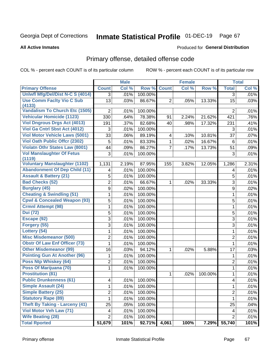# Inmate Statistical Profile 01-DEC-19 Page 67

**All Active Inmates** 

#### Produced for General Distribution

## Primary offense, detailed offense code

COL % - percent each COUNT is of its particular column

|                                            |                         | <b>Male</b> |         |                          | <b>Female</b> |         |                  | <b>Total</b> |
|--------------------------------------------|-------------------------|-------------|---------|--------------------------|---------------|---------|------------------|--------------|
| <b>Primary Offense</b>                     | <b>Count</b>            | Col %       | Row %   | <b>Count</b>             | Col %         | Row %   | <b>Total</b>     | Col %        |
| Uniwfl Mfg/Del/Dist N-C S (4014)           | 3                       | .01%        | 100.00% |                          |               |         | $\overline{3}$   | .01%         |
| <b>Use Comm Facity Vio C Sub</b><br>(4133) | 13                      | .03%        | 86.67%  | $\overline{2}$           | .05%          | 13.33%  | 15               | .03%         |
| <b>Vandalism To Church Etc (1505)</b>      | $\overline{2}$          | .01%        | 100.00% |                          |               |         | $\overline{2}$   | .01%         |
| <b>Vehicular Homicide (1123)</b>           | 330                     | .64%        | 78.38%  | 91                       | 2.24%         | 21.62%  | 421              | .76%         |
| <b>Viol Dngrous Drgs Act (4013)</b>        | 191                     | .37%        | 82.68%  | 40                       | .98%          | 17.32%  | 231              | .41%         |
| Viol Ga Cntrl Sbst Act (4012)              | 3                       | .01%        | 100.00% |                          |               |         | 3                | .01%         |
| <b>Viol Motor Vehicle Laws (5001)</b>      | 33                      | .06%        | 89.19%  | $\overline{\mathcal{A}}$ | .10%          | 10.81%  | 37               | .07%         |
| <b>Viol Oath Public Offer (2302)</b>       | 5                       | .01%        | 83.33%  | $\mathbf{1}$             | .02%          | 16.67%  | 6                | .01%         |
| <b>Violatn Othr States Law (8001)</b>      | 44                      | .09%        | 86.27%  | $\overline{7}$           | .17%          | 13.73%  | 51               | .09%         |
| <b>Vol Manslaughter Of Fetus</b><br>(1119) | 3                       | .01%        | 100.00% |                          |               |         | 3                | .01%         |
| <b>Voluntary Manslaughter (1102)</b>       | 1,131                   | 2.19%       | 87.95%  | 155                      | 3.82%         | 12.05%  | 1,286            | 2.31%        |
| <b>Abandonment Of Dep Child (11)</b>       | 4                       | .01%        | 100.00% |                          |               |         | $\overline{4}$   | .01%         |
| <b>Assault &amp; Battery (21)</b>          | 5                       | .01%        | 100.00% |                          |               |         | 5                | .01%         |
| <b>Bad Checks (52)</b>                     | 2                       | .01%        | 66.67%  | 1                        | .02%          | 33.33%  | 3                | .01%         |
| <b>Burglary (45)</b>                       | 9                       | .02%        | 100.00% |                          |               |         | $\boldsymbol{9}$ | .02%         |
| <b>Cheating &amp; Swindling (51)</b>       | 1                       | .01%        | 100.00% |                          |               |         | 1                | .01%         |
| <b>Cpwl &amp; Concealed Weapon (93)</b>    | 5                       | .01%        | 100.00% |                          |               |         | 5                | .01%         |
| <b>Crmnl Attempt (98)</b>                  | 1                       | .01%        | 100.00% |                          |               |         | $\mathbf{1}$     | .01%         |
| <b>Dui</b> (72)                            | 5                       | .01%        | 100.00% |                          |               |         | 5                | .01%         |
| Escape (92)                                | 3                       | .01%        | 100.00% |                          |               |         | 3                | .01%         |
| Forgery (55)                               | 3                       | .01%        | 100.00% |                          |               |         | 3                | .01%         |
| Lottery (54)                               | 1                       | .01%        | 100.00% |                          |               |         | $\mathbf{1}$     | .01%         |
| <b>Misc Misdemeanor (500)</b>              | $\overline{\mathbf{c}}$ | .01%        | 100.00% |                          |               |         | $\overline{2}$   | .01%         |
| <b>Obstr Of Law Enf Officer (73)</b>       | $\mathbf{1}$            | .01%        | 100.00% |                          |               |         | $\mathbf 1$      | .01%         |
| <b>Other Misdemeanor (99)</b>              | 16                      | .03%        | 94.12%  | $\mathbf{1}$             | .02%          | 5.88%   | 17               | .03%         |
| <b>Pointing Gun At Another (96)</b>        | 1                       | .01%        | 100.00% |                          |               |         | 1                | .01%         |
| Poss Ntp Whiskey (64)                      | $\overline{c}$          | .01%        | 100.00% |                          |               |         | $\overline{2}$   | .01%         |
| Poss Of Marijuana (70)                     | 1                       | .01%        | 100.00% |                          |               |         | 1                | .01%         |
| <b>Prostitution (81)</b>                   |                         |             |         | $\mathbf{1}$             | .02%          | 100.00% | 1                | .01%         |
| <b>Public Drunkenness (61)</b>             | 4                       | .01%        | 100.00% |                          |               |         | $\overline{4}$   | .01%         |
| <b>Simple Assault (24)</b>                 | 1                       | .01%        | 100.00% |                          |               |         | 1                | .01%         |
| <b>Simple Battery (25)</b>                 | 2                       | .01%        | 100.00% |                          |               |         | $\overline{2}$   | .01%         |
| <b>Statutory Rape (89)</b>                 | 1                       | .01%        | 100.00% |                          |               |         | 1                | .01%         |
| <b>Theft By Taking - Larceny (41)</b>      | 25                      | .05%        | 100.00% |                          |               |         | 25               | .04%         |
| Viol Motor Veh Law (71)                    | 4                       | .01%        | 100.00% |                          |               |         | 4                | .01%         |
| <b>Wife Beating (28)</b>                   | $\overline{2}$          | .01%        | 100.00% |                          |               |         | $\overline{2}$   | .01%         |
| <b>Total Rported</b>                       | 51,679                  | 101%        | 92.71%  | 4,061                    | 100%          | 7.29%   | 55,740           | 101%         |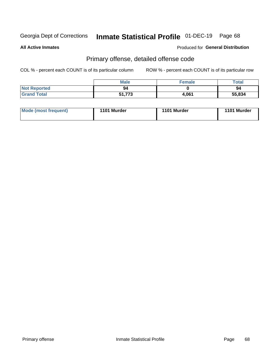# Inmate Statistical Profile 01-DEC-19 Page 68

**All Active Inmates** 

#### Produced for General Distribution

## Primary offense, detailed offense code

COL % - percent each COUNT is of its particular column

|                     | <b>Male</b> | <b>Female</b> | Total  |
|---------------------|-------------|---------------|--------|
| <b>Not Reported</b> | 94          |               | 94     |
| <b>Grand Total</b>  | 51,773      | 4,061         | 55,834 |

| Mode (most frequent) | 1101 Murder | 1101 Murder | 1101 Murder |
|----------------------|-------------|-------------|-------------|
|                      |             |             |             |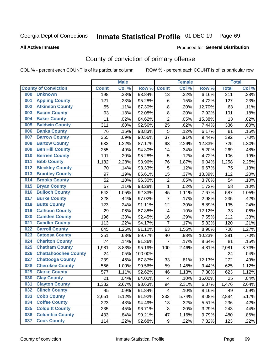# Inmate Statistical Profile 01-DEC-19 Page 69

**All Active Inmates** 

#### Produced for General Distribution

## County of conviction of primary offense

COL % - percent each COUNT is of its particular column

|     |                             |              | <b>Male</b> |         |                | <b>Female</b> |        |                  | <b>Total</b> |
|-----|-----------------------------|--------------|-------------|---------|----------------|---------------|--------|------------------|--------------|
|     | <b>County of Conviction</b> | <b>Count</b> | Col %       | Row %   | <b>Count</b>   | Col %         | Row %  | <b>Total</b>     | Col %        |
| 000 | <b>Unknown</b>              | 198          | .38%        | 93.84%  | 13             | .32%          | 6.16%  | $\overline{211}$ | .38%         |
| 001 | <b>Appling County</b>       | 121          | .23%        | 95.28%  | 6              | .15%          | 4.72%  | 127              | .23%         |
| 002 | <b>Atkinson County</b>      | 55           | .11%        | 87.30%  | 8              | .20%          | 12.70% | 63               | .11%         |
| 003 | <b>Bacon County</b>         | 93           | .18%        | 92.08%  | 8              | .20%          | 7.92%  | 101              | .18%         |
| 004 | <b>Baker County</b>         | 11           | .02%        | 84.62%  | $\overline{2}$ | .05%          | 15.38% | 13               | .02%         |
| 005 | <b>Baldwin County</b>       | 311          | .60%        | 92.56%  | 25             | .62%          | 7.44%  | 336              | .60%         |
| 006 | <b>Banks County</b>         | 76           | .15%        | 93.83%  | 5              | .12%          | 6.17%  | 81               | .15%         |
| 007 | <b>Barrow County</b>        | 355          | .69%        | 90.56%  | 37             | .91%          | 9.44%  | 392              | .70%         |
| 008 | <b>Bartow County</b>        | 632          | 1.22%       | 87.17%  | 93             | 2.29%         | 12.83% | 725              | 1.30%        |
| 009 | <b>Ben Hill County</b>      | 255          | .49%        | 94.80%  | 14             | .34%          | 5.20%  | 269              | .48%         |
| 010 | <b>Berrien County</b>       | 101          | .20%        | 95.28%  | 5              | .12%          | 4.72%  | 106              | .19%         |
| 011 | <b>Bibb County</b>          | 1,182        | 2.28%       | 93.96%  | 76             | 1.87%         | 6.04%  | 1,258            | 2.25%        |
| 012 | <b>Bleckley County</b>      | 70           | .14%        | 93.33%  | 5              | .12%          | 6.67%  | 75               | .13%         |
| 013 | <b>Brantley County</b>      | 97           | .19%        | 86.61%  | 15             | .37%          | 13.39% | 112              | .20%         |
| 014 | <b>Brooks County</b>        | 52           | .10%        | 96.30%  | $\overline{2}$ | .05%          | 3.70%  | 54               | .10%         |
| 015 | <b>Bryan County</b>         | 57           | .11%        | 98.28%  | $\mathbf{1}$   | .02%          | 1.72%  | 58               | .10%         |
| 016 | <b>Bulloch County</b>       | 542          | 1.05%       | 92.33%  | 45             | 1.11%         | 7.67%  | 587              | 1.05%        |
| 017 | <b>Burke County</b>         | 228          | .44%        | 97.02%  | $\overline{7}$ | .17%          | 2.98%  | 235              | .42%         |
| 018 | <b>Butts County</b>         | 123          | .24%        | 91.11%  | 12             | .30%          | 8.89%  | 135              | .24%         |
| 019 | <b>Calhoun County</b>       | 29           | .06%        | 87.88%  | $\overline{4}$ | .10%          | 12.12% | 33               | .06%         |
| 020 | <b>Camden County</b>        | 196          | .38%        | 92.45%  | 16             | .39%          | 7.55%  | 212              | .38%         |
| 021 | <b>Candler County</b>       | 113          | .22%        | 94.17%  | $\overline{7}$ | .17%          | 5.83%  | 120              | .21%         |
| 022 | <b>Carroll County</b>       | 645          | 1.25%       | 91.10%  | 63             | 1.55%         | 8.90%  | 708              | 1.27%        |
| 023 | <b>Catoosa County</b>       | 351          | .68%        | 89.77%  | 40             | .98%          | 10.23% | 391              | .70%         |
| 024 | <b>Charlton County</b>      | 74           | .14%        | 91.36%  | $\overline{7}$ | .17%          | 8.64%  | 81               | .15%         |
| 025 | <b>Chatham County</b>       | 1,981        | 3.83%       | 95.19%  | 100            | 2.46%         | 4.81%  | 2,081            | 3.73%        |
| 026 | <b>Chattahoochee County</b> | 24           | .05%        | 100.00% |                |               |        | 24               | .04%         |
| 027 | <b>Chattooga County</b>     | 239          | .46%        | 87.87%  | 33             | .81%          | 12.13% | 272              | .49%         |
| 028 | <b>Cherokee County</b>      | 566          | 1.09%       | 90.56%  | 59             | 1.45%         | 9.44%  | 625              | 1.12%        |
| 029 | <b>Clarke County</b>        | 577          | 1.11%       | 92.62%  | 46             | 1.13%         | 7.38%  | 623              | 1.12%        |
| 030 | <b>Clay County</b>          | 21           | .04%        | 84.00%  | 4              | .10%          | 16.00% | 25               | .04%         |
| 031 | <b>Clayton County</b>       | 1,382        | 2.67%       | 93.63%  | 94             | 2.31%         | 6.37%  | 1,476            | 2.64%        |
| 032 | <b>Clinch County</b>        | 45           | .09%        | 91.84%  | 4              | .10%          | 8.16%  | 49               | .09%         |
| 033 | <b>Cobb County</b>          | 2,651        | 5.12%       | 91.92%  | 233            | 5.74%         | 8.08%  | 2,884            | 5.17%        |
| 034 | <b>Coffee County</b>        | 223          | .43%        | 94.49%  | 13             | .32%          | 5.51%  | 236              | .42%         |
| 035 | <b>Colquitt County</b>      | 235          | .45%        | 96.71%  | 8              | .20%          | 3.29%  | 243              | .44%         |
| 036 | <b>Columbia County</b>      | 433          | .84%        | 90.21%  | 47             | 1.16%         | 9.79%  | 480              | .86%         |
| 037 | <b>Cook County</b>          | 114          | .22%        | 92.68%  | 9              | .22%          | 7.32%  | 123              | .22%         |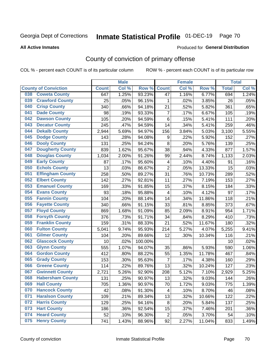# Inmate Statistical Profile 01-DEC-19 Page 70

#### **All Active Inmates**

#### Produced for General Distribution

## County of conviction of primary offense

COL % - percent each COUNT is of its particular column

|     |                             |              | <b>Male</b> |         |                         | <b>Female</b> |        |              | <b>Total</b> |
|-----|-----------------------------|--------------|-------------|---------|-------------------------|---------------|--------|--------------|--------------|
|     | <b>County of Conviction</b> | <b>Count</b> | Col %       | Row %   | <b>Count</b>            | Col%          | Row %  | <b>Total</b> | Col %        |
| 038 | <b>Coweta County</b>        | 647          | 1.25%       | 93.23%  | 47                      | 1.16%         | 6.77%  | 694          | 1.24%        |
| 039 | <b>Crawford County</b>      | 25           | .05%        | 96.15%  | 1                       | .02%          | 3.85%  | 26           | .05%         |
| 040 | <b>Crisp County</b>         | 340          | .66%        | 94.18%  | 21                      | .52%          | 5.82%  | 361          | .65%         |
| 041 | <b>Dade County</b>          | 98           | .19%        | 93.33%  | $\overline{7}$          | .17%          | 6.67%  | 105          | .19%         |
| 042 | <b>Dawson County</b>        | 105          | .20%        | 94.59%  | 6                       | .15%          | 5.41%  | 111          | .20%         |
| 043 | <b>Decatur County</b>       | 245          | .47%        | 94.59%  | 14                      | .34%          | 5.41%  | 259          | .46%         |
| 044 | <b>Dekalb County</b>        | 2,944        | 5.69%       | 94.97%  | 156                     | 3.84%         | 5.03%  | 3,100        | 5.55%        |
| 045 | <b>Dodge County</b>         | 143          | .28%        | 94.08%  | 9                       | .22%          | 5.92%  | 152          | .27%         |
| 046 | <b>Dooly County</b>         | 131          | .25%        | 94.24%  | 8                       | .20%          | 5.76%  | 139          | .25%         |
| 047 | <b>Dougherty County</b>     | 839          | 1.62%       | 95.67%  | 38                      | .94%          | 4.33%  | 877          | 1.57%        |
| 048 | <b>Douglas County</b>       | 1,034        | 2.00%       | 91.26%  | 99                      | 2.44%         | 8.74%  | 1,133        | 2.03%        |
| 049 | <b>Early County</b>         | 87           | .17%        | 95.60%  | $\overline{\mathbf{4}}$ | .10%          | 4.40%  | 91           | .16%         |
| 050 | <b>Echols County</b>        | 13           | .03%        | 86.67%  | $\overline{2}$          | .05%          | 13.33% | 15           | .03%         |
| 051 | <b>Effingham County</b>     | 258          | .50%        | 89.27%  | 31                      | .76%          | 10.73% | 289          | .52%         |
| 052 | <b>Elbert County</b>        | 142          | .27%        | 92.81%  | 11                      | .27%          | 7.19%  | 153          | .27%         |
| 053 | <b>Emanuel County</b>       | 169          | .33%        | 91.85%  | 15                      | .37%          | 8.15%  | 184          | .33%         |
| 054 | <b>Evans County</b>         | 93           | .18%        | 95.88%  | 4                       | .10%          | 4.12%  | 97           | .17%         |
| 055 | <b>Fannin County</b>        | 104          | .20%        | 88.14%  | 14                      | .34%          | 11.86% | 118          | .21%         |
| 056 | <b>Fayette County</b>       | 340          | .66%        | 91.15%  | 33                      | .81%          | 8.85%  | 373          | .67%         |
| 057 | <b>Floyd County</b>         | 869          | 1.68%       | 91.09%  | 85                      | 2.09%         | 8.91%  | 954          | 1.71%        |
| 058 | <b>Forsyth County</b>       | 376          | .73%        | 91.71%  | 34                      | .84%          | 8.29%  | 410          | .73%         |
| 059 | <b>Franklin County</b>      | 159          | .31%        | 88.33%  | 21                      | .52%          | 11.67% | 180          | .32%         |
| 060 | <b>Fulton County</b>        | 5,041        | 9.74%       | 95.93%  | 214                     | 5.27%         | 4.07%  | 5,255        | 9.41%        |
| 061 | <b>Gilmer County</b>        | 104          | .20%        | 89.66%  | 12                      | .30%          | 10.34% | 116          | .21%         |
| 062 | <b>Glascock County</b>      | 10           | .02%        | 100.00% |                         |               |        | 10           | .02%         |
| 063 | <b>Glynn County</b>         | 555          | 1.07%       | 94.07%  | 35                      | .86%          | 5.93%  | 590          | 1.06%        |
| 064 | <b>Gordon County</b>        | 412          | .80%        | 88.22%  | 55                      | 1.35%         | 11.78% | 467          | .84%         |
| 065 | <b>Grady County</b>         | 153          | .30%        | 95.63%  | $\overline{7}$          | .17%          | 4.38%  | 160          | .29%         |
| 066 | <b>Greene County</b>        | 114          | .22%        | 89.76%  | 13                      | .32%          | 10.24% | 127          | .23%         |
| 067 | <b>Gwinnett County</b>      | 2,721        | 5.26%       | 92.90%  | 208                     | 5.12%         | 7.10%  | 2,929        | 5.25%        |
| 068 | <b>Habersham County</b>     | 131          | .25%        | 90.97%  | 13                      | .32%          | 9.03%  | 144          | .26%         |
| 069 | <b>Hall County</b>          | 705          | 1.36%       | 90.97%  | 70                      | 1.72%         | 9.03%  | 775          | 1.39%        |
| 070 | <b>Hancock County</b>       | 42           | .08%        | 91.30%  | 4                       | .10%          | 8.70%  | 46           | .08%         |
| 071 | <b>Haralson County</b>      | 109          | .21%        | 89.34%  | 13                      | .32%          | 10.66% | 122          | .22%         |
| 072 | <b>Harris County</b>        | 129          | .25%        | 94.16%  | 8                       | .20%          | 5.84%  | 137          | .25%         |
| 073 | <b>Hart County</b>          | 186          | .36%        | 92.54%  | 15                      | .37%          | 7.46%  | 201          | .36%         |
| 074 | <b>Heard County</b>         | 52           | .10%        | 96.30%  | $\overline{c}$          | .05%          | 3.70%  | 54           | .10%         |
| 075 | <b>Henry County</b>         | 741          | 1.43%       | 88.96%  | 92                      | 2.27%         | 11.04% | 833          | 1.49%        |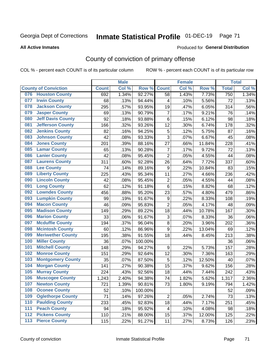# Inmate Statistical Profile 01-DEC-19 Page 71

#### **All Active Inmates**

### **Produced for General Distribution**

## County of conviction of primary offense

COL % - percent each COUNT is of its particular column

|     |                             |              | <b>Male</b> |         |                           | <b>Female</b> |        |              | <b>Total</b> |
|-----|-----------------------------|--------------|-------------|---------|---------------------------|---------------|--------|--------------|--------------|
|     | <b>County of Conviction</b> | <b>Count</b> | Col %       | Row %   | <b>Count</b>              | Col %         | Row %  | <b>Total</b> | Col %        |
| 076 | <b>Houston County</b>       | 692          | 1.34%       | 92.27%  | 58                        | 1.43%         | 7.73%  | 750          | 1.34%        |
| 077 | <b>Irwin County</b>         | 68           | .13%        | 94.44%  | 4                         | .10%          | 5.56%  | 72           | .13%         |
| 078 | <b>Jackson County</b>       | 295          | .57%        | 93.95%  | 19                        | .47%          | 6.05%  | 314          | .56%         |
| 079 | <b>Jasper County</b>        | 69           | .13%        | 90.79%  | $\overline{7}$            | .17%          | 9.21%  | 76           | .14%         |
| 080 | <b>Jeff Davis County</b>    | 92           | .18%        | 93.88%  | $\,6$                     | .15%          | 6.12%  | 98           | .18%         |
| 081 | <b>Jefferson County</b>     | 166          | .32%        | 93.26%  | 12                        | .30%          | 6.74%  | 178          | .32%         |
| 082 | <b>Jenkins County</b>       | 82           | .16%        | 94.25%  | $\mathbf 5$               | .12%          | 5.75%  | 87           | .16%         |
| 083 | <b>Johnson County</b>       | 42           | .08%        | 93.33%  | 3                         | .07%          | 6.67%  | 45           | .08%         |
| 084 | <b>Jones County</b>         | 201          | .39%        | 88.16%  | 27                        | .66%          | 11.84% | 228          | .41%         |
| 085 | <b>Lamar County</b>         | 65           | .13%        | 90.28%  | $\overline{7}$            | .17%          | 9.72%  | 72           | .13%         |
| 086 | <b>Lanier County</b>        | 42           | .08%        | 95.45%  | $\overline{2}$            | .05%          | 4.55%  | 44           | .08%         |
| 087 | <b>Laurens County</b>       | 311          | .60%        | 92.28%  | 26                        | .64%          | 7.72%  | 337          | .60%         |
| 088 | <b>Lee County</b>           | 74           | .14%        | 89.16%  | $\boldsymbol{9}$          | .22%          | 10.84% | 83           | .15%         |
| 089 | <b>Liberty County</b>       | 225          | .43%        | 95.34%  | 11                        | .27%          | 4.66%  | 236          | .42%         |
| 090 | <b>Lincoln County</b>       | 42           | .08%        | 95.45%  | $\overline{2}$            | .05%          | 4.55%  | 44           | .08%         |
| 091 | <b>Long County</b>          | 62           | .12%        | 91.18%  | 6                         | .15%          | 8.82%  | 68           | .12%         |
| 092 | <b>Lowndes County</b>       | 456          | .88%        | 95.20%  | 23                        | .57%          | 4.80%  | 479          | .86%         |
| 093 | <b>Lumpkin County</b>       | 99           | .19%        | 91.67%  | 9                         | .22%          | 8.33%  | 108          | .19%         |
| 094 | <b>Macon County</b>         | 46           | .09%        | 95.83%  | $\overline{2}$            | .05%          | 4.17%  | 48           | .09%         |
| 095 | <b>Madison County</b>       | 149          | .29%        | 89.22%  | 18                        | .44%          | 10.78% | 167          | .30%         |
| 096 | <b>Marion County</b>        | 33           | .06%        | 91.67%  | $\ensuremath{\mathsf{3}}$ | .07%          | 8.33%  | 36           | .06%         |
| 097 | <b>Mcduffie County</b>      | 194          | .37%        | 96.04%  | 8                         | .20%          | 3.96%  | 202          | .36%         |
| 098 | <b>Mcintosh County</b>      | 60           | .12%        | 86.96%  | $\boldsymbol{9}$          | .22%          | 13.04% | 69           | .12%         |
| 099 | <b>Meriwether County</b>    | 195          | .38%        | 91.55%  | 18                        | .44%          | 8.45%  | 213          | .38%         |
| 100 | <b>Miller County</b>        | 36           | .07%        | 100.00% |                           |               |        | 36           | .06%         |
| 101 | <b>Mitchell County</b>      | 148          | .29%        | 94.27%  | 9                         | .22%          | 5.73%  | 157          | .28%         |
| 102 | <b>Monroe County</b>        | 151          | .29%        | 92.64%  | 12                        | .30%          | 7.36%  | 163          | .29%         |
| 103 | <b>Montgomery County</b>    | 35           | .07%        | 87.50%  | 5                         | .12%          | 12.50% | 40           | .07%         |
| 104 | <b>Morgan County</b>        | 141          | .27%        | 90.38%  | 15                        | .37%          | 9.62%  | 156          | .28%         |
| 105 | <b>Murray County</b>        | 224          | .43%        | 92.56%  | 18                        | .44%          | 7.44%  | 242          | .43%         |
| 106 | <b>Muscogee County</b>      | 1,243        | 2.40%       | 94.38%  | 74                        | 1.82%         | 5.62%  | 1,317        | 2.36%        |
| 107 | <b>Newton County</b>        | 721          | 1.39%       | 90.81%  | 73                        | 1.80%         | 9.19%  | 794          | 1.42%        |
| 108 | <b>Oconee County</b>        | 52           | .10%        | 100.00% |                           |               |        | 52           | .09%         |
| 109 | <b>Oglethorpe County</b>    | 71           | .14%        | 97.26%  | $\overline{c}$            | .05%          | 2.74%  | 73           | .13%         |
| 110 | <b>Paulding County</b>      | 233          | .45%        | 92.83%  | 18                        | .44%          | 7.17%  | 251          | .45%         |
| 111 | <b>Peach County</b>         | 94           | .18%        | 95.92%  | 4                         | .10%          | 4.08%  | 98           | .18%         |
| 112 | <b>Pickens County</b>       | 110          | .21%        | 88.00%  | 15                        | .37%          | 12.00% | 125          | .22%         |
| 113 | <b>Pierce County</b>        | 115          | .22%        | 91.27%  | 11                        | .27%          | 8.73%  | 126          | .23%         |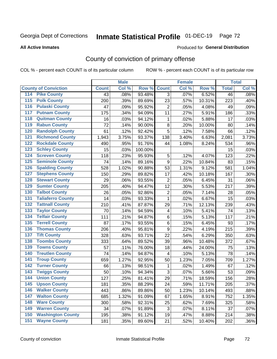#### Inmate Statistical Profile 01-DEC-19 Page 72

#### **All Active Inmates**

### **Produced for General Distribution**

### County of conviction of primary offense

COL % - percent each COUNT is of its particular column

|                                          |              | <b>Male</b> |         |                         | <b>Female</b> |        |                 | <b>Total</b> |
|------------------------------------------|--------------|-------------|---------|-------------------------|---------------|--------|-----------------|--------------|
| <b>County of Conviction</b>              | <b>Count</b> | Col %       | Row %   | <b>Count</b>            | Col %         | Row %  | <b>Total</b>    | Col %        |
| <b>Pike County</b><br>114                | 43           | .08%        | 93.48%  | 3                       | .07%          | 6.52%  | $\overline{46}$ | .08%         |
| <b>Polk County</b><br>$\overline{115}$   | 200          | .39%        | 89.69%  | 23                      | .57%          | 10.31% | 223             | .40%         |
| <b>Pulaski County</b><br>116             | 47           | .09%        | 95.92%  | $\overline{2}$          | .05%          | 4.08%  | 49              | .09%         |
| <b>Putnam County</b><br>117              | 175          | .34%        | 94.09%  | 11                      | .27%          | 5.91%  | 186             | .33%         |
| <b>Quitman County</b><br>118             | 16           | .03%        | 94.12%  | 1                       | .02%          | 5.88%  | 17              | .03%         |
| <b>Rabun County</b><br>119               | 72           | .14%        | 90.00%  | 8                       | .20%          | 10.00% | 80              | .14%         |
| <b>Randolph County</b><br>120            | 61           | .12%        | 92.42%  | $\overline{5}$          | .12%          | 7.58%  | 66              | .12%         |
| <b>Richmond County</b><br>121            | 1,943        | 3.75%       | 93.37%  | 138                     | 3.40%         | 6.63%  | 2,081           | 3.73%        |
| <b>Rockdale County</b><br>122            | 490          | .95%        | 91.76%  | 44                      | 1.08%         | 8.24%  | 534             | .96%         |
| <b>Schley County</b><br>123              | 15           | .03%        | 100.00% |                         |               |        | 15              | .03%         |
| <b>Screven County</b><br>124             | 118          | .23%        | 95.93%  | 5                       | .12%          | 4.07%  | 123             | .22%         |
| <b>Seminole County</b><br>125            | 74           | .14%        | 89.16%  | 9                       | .22%          | 10.84% | 83              | .15%         |
| <b>Spalding County</b><br>126            | 528          | 1.02%       | 90.88%  | 53                      | 1.31%         | 9.12%  | 581             | 1.04%        |
| <b>Stephens County</b><br>127            | 150          | .29%        | 89.82%  | 17                      | .42%          | 10.18% | 167             | .30%         |
| <b>Stewart County</b><br>128             | 29           | .06%        | 93.55%  | $\overline{2}$          | .05%          | 6.45%  | 31              | .06%         |
| <b>Sumter County</b><br>129              | 205          | .40%        | 94.47%  | 12                      | .30%          | 5.53%  | 217             | .39%         |
| <b>Talbot County</b><br>130              | 26           | .05%        | 92.86%  | $\overline{2}$          | .05%          | 7.14%  | 28              | .05%         |
| <b>Taliaferro County</b><br>131          | 14           | .03%        | 93.33%  | 1                       | .02%          | 6.67%  | 15              | .03%         |
| <b>Tattnall County</b><br>132            | 210          | .41%        | 87.87%  | 29                      | .71%          | 12.13% | 239             | .43%         |
| <b>Taylor County</b><br>133              | 70           | .14%        | 94.59%  | $\overline{\mathbf{4}}$ | .10%          | 5.41%  | 74              | .13%         |
| <b>Telfair County</b><br>134             | 111          | .21%        | 94.87%  | 6                       | .15%          | 5.13%  | 117             | .21%         |
| <b>Terrell County</b><br>135             | 87           | .17%        | 93.55%  | 6                       | .15%          | 6.45%  | 93              | .17%         |
| <b>Thomas County</b><br>136              | 206          | .40%        | 95.81%  | 9                       | .22%          | 4.19%  | 215             | .39%         |
| <b>Tift County</b><br>137                | 328          | .63%        | 93.71%  | 22                      | .54%          | 6.29%  | 350             | .63%         |
| <b>Toombs County</b><br>138              | 333          | .64%        | 89.52%  | 39                      | .96%          | 10.48% | 372             | .67%         |
| <b>Towns County</b><br>139               | 57           | .11%        | 76.00%  | 18                      | .44%          | 24.00% | 75              | .13%         |
| <b>Treutlen County</b><br>140            | 74           | .14%        | 94.87%  | 4                       | .10%          | 5.13%  | 78              | .14%         |
| <b>Troup County</b><br>141               | 659          | 1.27%       | 92.95%  | 50                      | 1.23%         | 7.05%  | 709             | 1.27%        |
| <b>Turner County</b><br>142              | 66           | .13%        | 98.51%  | 1                       | .02%          | 1.49%  | 67              | .12%         |
| <b>Twiggs County</b><br>$\overline{143}$ | 50           | .10%        | 94.34%  | 3                       | .07%          | 5.66%  | 53              | .09%         |
| <b>Union County</b><br>144               | 127          | .25%        | 81.41%  | 29                      | .71%          | 18.59% | 156             | .28%         |
| 145<br><b>Upson County</b>               | 181          | .35%        | 88.29%  | 24                      | .59%          | 11.71% | 205             | .37%         |
| <b>Walker County</b><br>146              | 443          | .86%        | 89.86%  | 50                      | 1.23%         | 10.14% | 493             | .88%         |
| <b>Walton County</b><br>147              | 685          | 1.32%       | 91.09%  | 67                      | 1.65%         | 8.91%  | 752             | 1.35%        |
| <b>Ware County</b><br>148                | 300          | .58%        | 92.31%  | 25                      | .62%          | 7.69%  | 325             | .58%         |
| <b>Warren County</b><br>149              | 34           | .07%        | 91.89%  | 3                       | .07%          | 8.11%  | 37              | .07%         |
| <b>Washington County</b><br>150          | 195          | .38%        | 91.12%  | 19                      | .47%          | 8.88%  | 214             | .38%         |
| <b>Wayne County</b><br>151               | 181          | .35%        | 89.60%  | 21                      | .52%          | 10.40% | 202             | .36%         |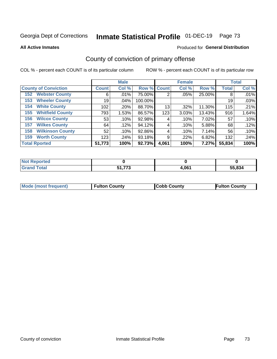# Inmate Statistical Profile 01-DEC-19 Page 73

**All Active Inmates** 

#### Produced for General Distribution

## County of conviction of primary offense

COL % - percent each COUNT is of its particular column

|                                |                  | <b>Male</b> |             |       | <b>Female</b> |        |              | <b>Total</b> |
|--------------------------------|------------------|-------------|-------------|-------|---------------|--------|--------------|--------------|
| <b>County of Conviction</b>    | <b>Count</b>     | Col %       | Row % Count |       | Col %         | Row %  | <b>Total</b> | Col %        |
| <b>Webster County</b><br>152   | 6                | .01%        | 75.00%      | 2     | .05%          | 25.00% | 8            | .01%         |
| <b>Wheeler County</b><br>153   | 19               | $.04\%$     | 100.00%     |       |               |        | 19           | .03%         |
| <b>White County</b><br>154     | 102 <sub>1</sub> | .20%        | 88.70%      | 13    | .32%          | 11.30% | 115          | .21%         |
| <b>Whitfield County</b><br>155 | 793              | 1.53%       | 86.57%      | 123   | 3.03%         | 13.43% | 916          | 1.64%        |
| <b>Wilcox County</b><br>156    | 53               | .10%        | 92.98%      | 4     | .10%          | 7.02%  | 57           | .10%         |
| <b>Wilkes County</b><br>157    | 64               | .12%        | 94.12%      | 4     | .10%          | 5.88%  | 68           | .12%         |
| <b>Wilkinson County</b><br>158 | 52               | .10%        | 92.86%      | 4     | .10%          | 7.14%  | 56           | .10%         |
| <b>Worth County</b><br>159     | 123              | .24%        | 93.18%      | 9     | .22%          | 6.82%  | 132          | .24%         |
| <b>Total Rported</b>           | 51,773           | 100%        | 92.73%      | 4,061 | 100%          | 7.27%  | 55,834       | 100%         |

| <b>Not Reported</b> |                   |       |        |
|---------------------|-------------------|-------|--------|
| <b>Grand Total</b>  | フフつ<br>64<br>נוונ | 4,061 | 55,834 |

| Mode (most frequent) | <b>Fulton County</b> | <b>Cobb County</b> | <b>Fulton County</b> |
|----------------------|----------------------|--------------------|----------------------|
|                      |                      |                    |                      |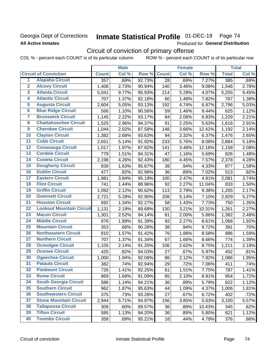### Georgia Dept of Corrections **All Active Inmates**

# Inmate Statistical Profile 01-DEC-19 Page 74

Produced for General Distribution

# Circuit of conviction of primary offense

|                         |                                 |              | <b>Male</b> |        |              | <b>Female</b> |        |              | <b>Total</b> |
|-------------------------|---------------------------------|--------------|-------------|--------|--------------|---------------|--------|--------------|--------------|
|                         | <b>Circuit of Conviction</b>    | <b>Count</b> | Col %       | Row %  | <b>Count</b> | Col %         | Row %  | <b>Total</b> | Col%         |
| 1                       | <b>Alapaha Circuit</b>          | 357          | .69%        | 92.73% | 28           | .69%          | 7.27%  | 385          | .69%         |
| $\overline{2}$          | <b>Alcovy Circuit</b>           | 1,406        | 2.73%       | 90.94% | 140          | 3.46%         | 9.06%  | 1,546        | 2.78%        |
| $\overline{\mathbf{3}}$ | <b>Atlanta Circuit</b>          | 5,041        | 9.77%       | 95.93% | 214          | 5.29%         | 4.07%  | 5,255        | 9.45%        |
| 4                       | <b>Atlantic Circuit</b>         | 707          | 1.37%       | 92.18% | 60           | 1.48%         | 7.82%  | 767          | 1.38%        |
| 5                       | <b>Augusta Circuit</b>          | 2,604        | 5.05%       | 93.13% | 192          | 4.74%         | 6.87%  | 2,796        | 5.03%        |
| $\overline{\mathbf{6}}$ | <b>Blue Ridge Circuit</b>       | 566          | 1.10%       | 90.56% | 59           | 1.46%         | 9.44%  | 625          | 1.12%        |
| $\overline{\mathbf{7}}$ | <b>Brunswick Circuit</b>        | 1,145        | 2.22%       | 93.17% | 84           | 2.08%         | 6.83%  | 1,229        | 2.21%        |
| 8                       | <b>Chattahoochee Circuit</b>    | 1,525        | 2.96%       | 94.37% | 91           | 2.25%         | 5.63%  | 1,616        | 2.91%        |
| $\overline{9}$          | <b>Cherokee Circuit</b>         | 1,044        | 2.02%       | 87.58% | 148          | 3.66%         | 12.42% | 1,192        | 2.14%        |
| 10                      | <b>Clayton Circuit</b>          | 1,382        | 2.68%       | 93.63% | 94           | 2.32%         | 6.37%  | 1,476        | 2.65%        |
| $\overline{11}$         | <b>Cobb Circuit</b>             | 2,651        | 5.14%       | 91.92% | 233          | 5.76%         | 8.08%  | 2,884        | 5.18%        |
| 12                      | <b>Conasauga Circuit</b>        | 1,017        | 1.97%       | 87.82% | 141          | 3.48%         | 12.18% | 1,158        | 2.08%        |
| $\overline{13}$         | <b>Cordele Circuit</b>          | 779          | 1.51%       | 94.31% | 47           | 1.16%         | 5.69%  | 826          | 1.48%        |
| $\overline{14}$         | <b>Coweta Circuit</b>           | 2,198        | 4.26%       | 92.43% | 180          | 4.45%         | 7.57%  | 2,378        | 4.28%        |
| 15                      | <b>Dougherty Circuit</b>        | 839          | 1.63%       | 95.67% | 38           | .94%          | 4.33%  | 877          | 1.58%        |
| 16                      | <b>Dublin Circuit</b>           | 477          | .92%        | 92.98% | 36           | .89%          | 7.02%  | 513          | .92%         |
| $\overline{17}$         | <b>Eastern Circuit</b>          | 1,981        | 3.84%       | 95.19% | 100          | 2.47%         | 4.81%  | 2,081        | 3.74%        |
| 18                      | <b>Flint Circuit</b>            | 741          | 1.44%       | 88.96% | 92           | 2.27%         | 11.04% | 833          | 1.50%        |
| 19                      | <b>Griffin Circuit</b>          | 1,092        | 2.12%       | 90.62% | 113          | 2.79%         | 9.38%  | 1,205        | 2.17%        |
| 20                      | <b>Gwinnett Circuit</b>         | 2,721        | 5.28%       | 92.90% | 208          | 5.14%         | 7.10%  | 2,929        | 5.27%        |
| $\overline{21}$         | <b>Houston Circuit</b>          | 692          | 1.34%       | 92.27% | 58           | 1.43%         | 7.73%  | 750          | 1.35%        |
| $\overline{22}$         | <b>Lookout Mountain Circuit</b> | 1,131        | 2.19%       | 89.69% | 130          | 3.21%         | 10.31% | 1,261        | 2.27%        |
| 23                      | <b>Macon Circuit</b>            | 1,301        | 2.52%       | 94.14% | 81           | 2.00%         | 5.86%  | 1,382        | 2.48%        |
| 24                      | <b>Middle Circuit</b>           | 976          | 1.89%       | 91.39% | 92           | 2.27%         | 8.61%  | 1,068        | 1.92%        |
| $\overline{25}$         | <b>Mountain Circuit</b>         | 353          | .68%        | 90.28% | 38           | .94%          | 9.72%  | 391          | .70%         |
| 26                      | <b>Northeastern Circuit</b>     | 810          | 1.57%       | 91.42% | 76           | 1.88%         | 8.58%  | 886          | 1.59%        |
| 27                      | <b>Northern Circuit</b>         | 707          | 1.37%       | 91.34% | 67           | 1.66%         | 8.66%  | 774          | 1.39%        |
| 28                      | <b>Ocmulgee Circuit</b>         | 1,105        | 2.14%       | 91.25% | 106          | 2.62%         | 8.75%  | 1,211        | 2.18%        |
| 29                      | <b>Oconee Circuit</b>           | 425          | .82%        | 94.03% | 27           | .67%          | 5.97%  | 452          | .81%         |
| 30                      | <b>Ogeechee Circuit</b>         | 1,000        | 1.94%       | 92.08% | 86           | 2.12%         | 7.92%  | 1,086        | 1.95%        |
| $\overline{31}$         | <b>Pataula Circuit</b>          | 382          | .74%        | 92.94% | 29           | .72%          | 7.06%  | 411          | .74%         |
| 32                      | <b>Piedmont Circuit</b>         | 726          | 1.41%       | 92.25% | 61           | 1.51%         | 7.75%  | 787          | 1.41%        |
| 33                      | <b>Rome Circuit</b>             | 869          | 1.68%       | 91.09% | 85           | 2.10%         | 8.91%  | 954          | 1.72%        |
| 34                      | <b>South Georgia Circuit</b>    | 586          | 1.14%       | 94.21% | 36           | .89%          | 5.79%  | 622          | 1.12%        |
| 35                      | <b>Southern Circuit</b>         | 962          | 1.87%       | 95.63% | 44           | 1.09%         | 4.37%  | 1,006        | 1.81%        |
| 36                      | <b>Southwestern Circuit</b>     | 375          | .73%        | 93.28% | 27           | .67%          | 6.72%  | 402          | .72%         |
| 37                      | <b>Stone Mountain Circuit</b>   | 2,944        | 5.71%       | 94.97% | 156          | 3.85%         | 5.03%  | 3,100        | 5.57%        |
| 38                      | <b>Tallapoosa Circuit</b>       | 309          | .60%        | 89.57% | 36           | .89%          | 10.43% | 345          | .62%         |
| 39                      | <b>Tifton Circuit</b>           | 585          | 1.13%       | 94.20% | 36           | .89%          | 5.80%  | 621          | 1.12%        |
| 40                      | <b>Toombs Circuit</b>           | 358          | .69%        | 95.21% | 18           | .44%          | 4.79%  | 376          | .68%         |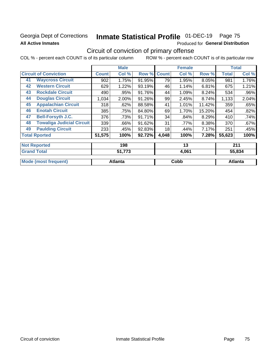### Georgia Dept of Corrections **All Active Inmates**

# Inmate Statistical Profile 01-DEC-19 Page 75

Produced for General Distribution

### Circuit of conviction of primary offense

|                                        |              | <b>Male</b> |        |              | <b>Female</b> |        |              | <b>Total</b> |
|----------------------------------------|--------------|-------------|--------|--------------|---------------|--------|--------------|--------------|
| <b>Circuit of Conviction</b>           | <b>Count</b> | Col %       | Row %  | <b>Count</b> | Col %         | Row %  | <b>Total</b> | Col %        |
| <b>Waycross Circuit</b><br>41          | 902          | 1.75%       | 91.95% | 79           | 1.95%         | 8.05%  | 981          | 1.76%        |
| <b>Western Circuit</b><br>42           | 629          | 1.22%       | 93.19% | 46           | 1.14%         | 6.81%  | 675          | 1.21%        |
| <b>Rockdale Circuit</b><br>43          | 490          | .95%        | 91.76% | 44           | 1.09%         | 8.24%  | 534          | .96%         |
| <b>Douglas Circuit</b><br>44           | 1,034        | 2.00%       | 91.26% | 99           | 2.45%         | 8.74%  | 1,133        | 2.04%        |
| <b>Appalachian Circuit</b><br>45       | 318          | .62%        | 88.58% | 41           | 1.01%         | 11.42% | 359          | .65%         |
| <b>Enotah Circuit</b><br>46            | 385          | .75%        | 84.80% | 69           | 1.70%         | 15.20% | 454          | .82%         |
| <b>Bell-Forsyth J.C.</b><br>47         | 376          | .73%        | 91.71% | 34           | .84%          | 8.29%  | 410          | .74%         |
| <b>Towaliga Judicial Circuit</b><br>48 | 339          | .66%        | 91.62% | 31           | .77%          | 8.38%  | 370          | $.67\%$      |
| <b>Paulding Circuit</b><br>49          | 233          | .45%        | 92.83% | 18           | .44%          | 7.17%  | 251          | .45%         |
| <b>Total Rported</b>                   | 51,575       | 100%        | 92.72% | 4,048        | 100%          | 7.28%  | 55,623       | 100%         |
| <b>Not Reported</b>                    |              | 198         |        |              | 13            |        |              | 211          |
| <b>Grand Total</b>                     |              | 51 773      |        |              | 4 061         |        |              | 55834        |

| <b>Grand</b><br>Total | ヒィ フフヘ<br>1 J | 4,061 | 55,834  |
|-----------------------|---------------|-------|---------|
| Mode (most frequent)  | Atlanta       | Cobb  | Atlanta |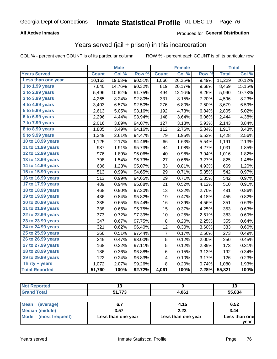#### **All Active Inmates**

#### Produced for **General Distribution**

### Years served (jail + prison) in this incarceration

|                              |              | <b>Male</b> |        |              | <b>Female</b> |       |              | <b>Total</b> |
|------------------------------|--------------|-------------|--------|--------------|---------------|-------|--------------|--------------|
| <b>Years Served</b>          | <b>Count</b> | Col %       | Row %  | <b>Count</b> | Col %         | Row % | <b>Total</b> | Col %        |
| Less than one year           | 10,163       | 19.63%      | 90.51% | 1,066        | 26.25%        | 9.49% | 11,229       | 20.12%       |
| 1 to 1.99 years              | 7,640        | 14.76%      | 90.32% | 819          | 20.17%        | 9.68% | 8,459        | 15.15%       |
| 2 to 2.99 years              | 5,496        | 10.62%      | 91.75% | 494          | 12.16%        | 8.25% | 5,990        | 10.73%       |
| $3$ to $3.99$ years          | 4,265        | 8.24%       | 92.80% | 331          | 8.15%         | 7.20% | 4,596        | 8.23%        |
| $\overline{4}$ to 4.99 years | 3,403        | 6.57%       | 92.50% | 276          | 6.80%         | 7.50% | 3,679        | 6.59%        |
| $\overline{5}$ to 5.99 years | 2,613        | 5.05%       | 93.16% | 192          | 4.73%         | 6.84% | 2,805        | 5.02%        |
| $6$ to $6.99$ years          | 2,296        | 4.44%       | 93.94% | 148          | 3.64%         | 6.06% | 2,444        | 4.38%        |
| 7 to 7.99 years              | 2,016        | 3.89%       | 94.07% | 127          | 3.13%         | 5.93% | 2,143        | 3.84%        |
| 8 to 8.99 years              | 1,805        | 3.49%       | 94.16% | 112          | 2.76%         | 5.84% | 1,917        | 3.43%        |
| 9 to 9.99 years              | 1,349        | 2.61%       | 94.47% | 79           | 1.95%         | 5.53% | 1,428        | 2.56%        |
| 10 to 10.99 years            | 1,125        | 2.17%       | 94.46% | 66           | 1.63%         | 5.54% | 1,191        | 2.13%        |
| 11 to 11.99 years            | 987          | 1.91%       | 95.73% | 44           | 1.08%         | 4.27% | 1,031        | 1.85%        |
| 12 to 12.99 years            | 976          | 1.89%       | 96.06% | 40           | 0.98%         | 3.94% | 1,016        | 1.82%        |
| 13 to 13.99 years            | 798          | 1.54%       | 96.73% | 27           | 0.66%         | 3.27% | 825          | 1.48%        |
| 14 to 14.99 years            | 636          | 1.23%       | 95.07% | 33           | $0.81\%$      | 4.93% | 669          | 1.20%        |
| 15 to 15.99 years            | 513          | 0.99%       | 94.65% | 29           | 0.71%         | 5.35% | 542          | 0.97%        |
| 16 to 16.99 years            | 513          | 0.99%       | 94.65% | 29           | 0.71%         | 5.35% | 542          | 0.97%        |
| 17 to 17.99 years            | 489          | 0.94%       | 95.88% | 21           | 0.52%         | 4.12% | 510          | 0.91%        |
| 18 to 18.99 years            | 468          | 0.90%       | 97.30% | 13           | 0.32%         | 2.70% | 481          | 0.86%        |
| 19 to 19.99 years            | 436          | 0.84%       | 95.82% | 19           | 0.47%         | 4.18% | 455          | 0.82%        |
| 20 to 20.99 years            | 335          | 0.65%       | 95.44% | 16           | 0.39%         | 4.56% | 351          | 0.63%        |
| 21 to 21.99 years            | 338          | 0.65%       | 95.75% | 15           | 0.37%         | 4.25% | 353          | 0.63%        |
| 22 to 22.99 years            | 373          | 0.72%       | 97.39% | 10           | 0.25%         | 2.61% | 383          | 0.69%        |
| 23 to 23.99 years            | 347          | 0.67%       | 97.75% | 8            | 0.20%         | 2.25% | 355          | 0.64%        |
| 24 to 24.99 years            | 321          | 0.62%       | 96.40% | 12           | 0.30%         | 3.60% | 333          | 0.60%        |
| 25 to 25.99 years            | 266          | 0.51%       | 97.44% | 7            | 0.17%         | 2.56% | 273          | 0.49%        |
| 26 to 26.99 years            | 245          | 0.47%       | 98.00% | 5            | 0.12%         | 2.00% | 250          | 0.45%        |
| 27 to 27.99 years            | 168          | 0.32%       | 97.11% | 5            | 0.12%         | 2.89% | 173          | 0.31%        |
| 28 to 28.99 years            | 186          | 0.36%       | 96.88% | 6            | 0.15%         | 3.13% | 192          | 0.34%        |
| 29 to 29.99 years            | 122          | 0.24%       | 96.83% | 4            | 0.10%         | 3.17% | 126          | 0.23%        |
| Thirty + years               | 1,072        | 2.07%       | 99.26% | 8            | 0.20%         | 0.74% | 1,080        | 1.93%        |
| <b>Total Reported</b>        | 51,760       | 100%        | 92.72% | 4,061        | 100%          | 7.28% | 55,821       | 100%         |

| N<br>ontea |                    |      | ∪ו     |
|------------|--------------------|------|--------|
| `ofa⊾      | 770<br>E 4.<br>. . | .061 | 55.834 |

| <b>Mean</b><br>(average) |                    | 4.15               | 6.52          |
|--------------------------|--------------------|--------------------|---------------|
| Median (middle)          | 3.57               | 2.23               | 3.44          |
| Mode (most frequent)     | Less than one year | Less than one year | Less than one |
|                          |                    |                    | year          |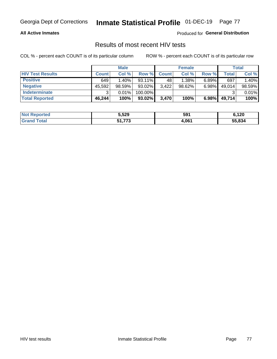#### **All Active Inmates**

Produced for **General Distribution**

### Results of most recent HIV tests

|                         |              | <b>Male</b> |           |              | <b>Female</b> |          |        | Total  |
|-------------------------|--------------|-------------|-----------|--------------|---------------|----------|--------|--------|
| <b>HIV Test Results</b> | <b>Count</b> | Col %       | Row %I    | <b>Count</b> | Col %         | Row %    | Total  | Col %  |
| <b>Positive</b>         | 649          | $1.40\%$    | $93.11\%$ | 48           | 1.38%         | $6.89\%$ | 697    | 1.40%  |
| <b>Negative</b>         | 45,592       | 98.59%      | 93.02%    | 3,422        | $98.62\%$     | $6.98\%$ | 49,014 | 98.59% |
| Indeterminate           | ີ            | 0.01%       | 100.00%   |              |               |          |        | 0.01%  |
| <b>Total Reported</b>   | 46,244       | 100%        | $93.02\%$ | 3,470        | 100%          | 6.98%    | 49,714 | 100%   |

| <b>Not Reported</b> | 5,529                      | 591   | 6,120  |
|---------------------|----------------------------|-------|--------|
| Total<br>Grand      | 54 772<br>ง เ. <i>เ</i> เง | 4,061 | 55,834 |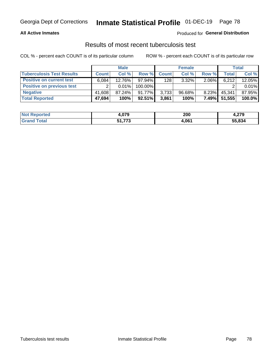#### **All Active Inmates**

#### Produced for **General Distribution**

#### Results of most recent tuberculosis test

|                                  |              | <b>Male</b> |           |              | <b>Female</b> |          |        | Total  |
|----------------------------------|--------------|-------------|-----------|--------------|---------------|----------|--------|--------|
| <b>Tuberculosis Test Results</b> | <b>Count</b> | Col%        | Row %I    | <b>Count</b> | Col%          | Row %    | Total  | Col %  |
| <b>Positive on current test</b>  | 6,084        | 12.76%      | 97.94%    | 128          | $3.32\%$      | $2.06\%$ | 6,212  | 12.05% |
| <b>Positive on previous test</b> | ົ            | $0.01\%$    | 100.00%   |              |               |          |        | 0.01%  |
| <b>Negative</b>                  | 41.608       | $87.24\%$   | $91.77\%$ | 3,733        | $96.68\%$     | $8.23\%$ | 45,341 | 87.95% |
| <b>Total Reported</b>            | 47,694       | 100%        | 92.51%    | 3,861        | 100%          | 7.49%    | 51,555 | 100.0% |

| <b>Not Reported</b>     | 4,079            | 200   | הדה<br>4.ZI J |
|-------------------------|------------------|-------|---------------|
| <b>Total</b><br>' Grand | 54 772<br>31.773 | 4,061 | 55,834        |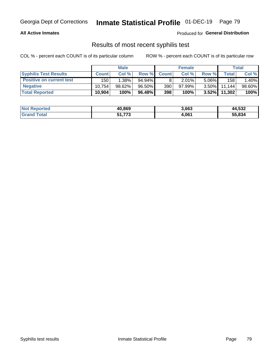#### **All Active Inmates**

Produced for **General Distribution**

### Results of most recent syphilis test

|                                 |              | <b>Male</b> |           |              | <b>Female</b> |          |        | Total  |
|---------------------------------|--------------|-------------|-----------|--------------|---------------|----------|--------|--------|
| <b>Syphilis Test Results</b>    | <b>Count</b> | Col%        | Row %I    | <b>Count</b> | Col %         | Row %I   | Total  | Col %  |
| <b>Positive on current test</b> | 150          | 1.38%       | $94.94\%$ |              | 2.01%         | $5.06\%$ | 158    | 1.40%  |
| <b>Negative</b>                 | 10.754       | $98.62\%$   | 96.50%    | 390          | $97.99\%$     | $3.50\%$ | 11.144 | 98.60% |
| <b>Total Reported</b>           | 10,904       | 100%        | 96.48%    | 398          | 100%          | $3.52\%$ | 11,302 | 100%   |

| <b>Not Reported</b> | 40,869                 | 3,663 | 44,532 |
|---------------------|------------------------|-------|--------|
| <b>Grand Total</b>  | <b>FA 770</b><br>1.773 | 4,061 | 55,834 |